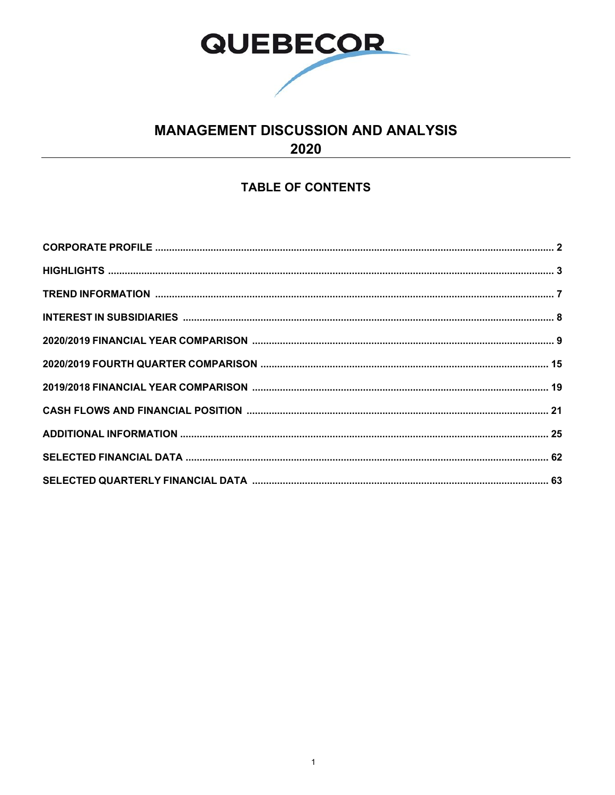

# **MANAGEMENT DISCUSSION AND ANALYSIS** 2020

# **TABLE OF CONTENTS**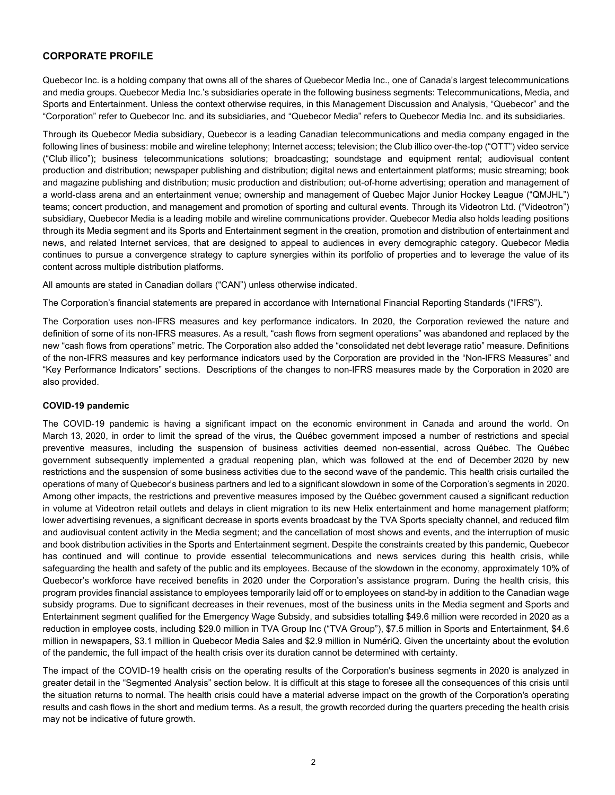# **CORPORATE PROFILE**

Quebecor Inc. is a holding company that owns all of the shares of Quebecor Media Inc., one of Canada's largest telecommunications and media groups. Quebecor Media Inc.'s subsidiaries operate in the following business segments: Telecommunications, Media, and Sports and Entertainment. Unless the context otherwise requires, in this Management Discussion and Analysis, "Quebecor" and the "Corporation" refer to Quebecor Inc. and its subsidiaries, and "Quebecor Media" refers to Quebecor Media Inc. and its subsidiaries.

Through its Quebecor Media subsidiary, Quebecor is a leading Canadian telecommunications and media company engaged in the following lines of business: mobile and wireline telephony; Internet access; television; the Club illico over-the-top ("OTT") video service ("Club illico"); business telecommunications solutions; broadcasting; soundstage and equipment rental; audiovisual content production and distribution; newspaper publishing and distribution; digital news and entertainment platforms; music streaming; book and magazine publishing and distribution; music production and distribution; out-of-home advertising; operation and management of a world-class arena and an entertainment venue; ownership and management of Quebec Major Junior Hockey League ("QMJHL") teams; concert production, and management and promotion of sporting and cultural events. Through its Videotron Ltd. ("Videotron") subsidiary, Quebecor Media is a leading mobile and wireline communications provider. Quebecor Media also holds leading positions through its Media segment and its Sports and Entertainment segment in the creation, promotion and distribution of entertainment and news, and related Internet services, that are designed to appeal to audiences in every demographic category. Quebecor Media continues to pursue a convergence strategy to capture synergies within its portfolio of properties and to leverage the value of its content across multiple distribution platforms.

All amounts are stated in Canadian dollars ("CAN") unless otherwise indicated.

The Corporation's financial statements are prepared in accordance with International Financial Reporting Standards ("IFRS").

The Corporation uses non-IFRS measures and key performance indicators. In 2020, the Corporation reviewed the nature and definition of some of its non-IFRS measures. As a result, "cash flows from segment operations" was abandoned and replaced by the new "cash flows from operations" metric. The Corporation also added the "consolidated net debt leverage ratio" measure. Definitions of the non-IFRS measures and key performance indicators used by the Corporation are provided in the "Non-IFRS Measures" and "Key Performance Indicators" sections. Descriptions of the changes to non-IFRS measures made by the Corporation in 2020 are also provided.

#### **COVID-19 pandemic**

The COVID‑19 pandemic is having a significant impact on the economic environment in Canada and around the world. On March 13, 2020, in order to limit the spread of the virus, the Québec government imposed a number of restrictions and special preventive measures, including the suspension of business activities deemed non‑essential, across Québec. The Québec government subsequently implemented a gradual reopening plan, which was followed at the end of December 2020 by new restrictions and the suspension of some business activities due to the second wave of the pandemic. This health crisis curtailed the operations of many of Quebecor's business partners and led to a significant slowdown in some of the Corporation's segments in 2020. Among other impacts, the restrictions and preventive measures imposed by the Québec government caused a significant reduction in volume at Videotron retail outlets and delays in client migration to its new Helix entertainment and home management platform; lower advertising revenues, a significant decrease in sports events broadcast by the TVA Sports specialty channel, and reduced film and audiovisual content activity in the Media segment; and the cancellation of most shows and events, and the interruption of music and book distribution activities in the Sports and Entertainment segment. Despite the constraints created by this pandemic, Quebecor has continued and will continue to provide essential telecommunications and news services during this health crisis, while safeguarding the health and safety of the public and its employees. Because of the slowdown in the economy, approximately 10% of Quebecor's workforce have received benefits in 2020 under the Corporation's assistance program. During the health crisis, this program provides financial assistance to employees temporarily laid off or to employees on stand-by in addition to the Canadian wage subsidy programs. Due to significant decreases in their revenues, most of the business units in the Media segment and Sports and Entertainment segment qualified for the Emergency Wage Subsidy, and subsidies totalling \$49.6 million were recorded in 2020 as a reduction in employee costs, including \$29.0 million in TVA Group Inc ("TVA Group"), \$7.5 million in Sports and Entertainment, \$4.6 million in newspapers, \$3.1 million in Quebecor Media Sales and \$2.9 million in NumériQ. Given the uncertainty about the evolution of the pandemic, the full impact of the health crisis over its duration cannot be determined with certainty.

The impact of the COVID-19 health crisis on the operating results of the Corporation's business segments in 2020 is analyzed in greater detail in the "Segmented Analysis" section below. It is difficult at this stage to foresee all the consequences of this crisis until the situation returns to normal. The health crisis could have a material adverse impact on the growth of the Corporation's operating results and cash flows in the short and medium terms. As a result, the growth recorded during the quarters preceding the health crisis may not be indicative of future growth.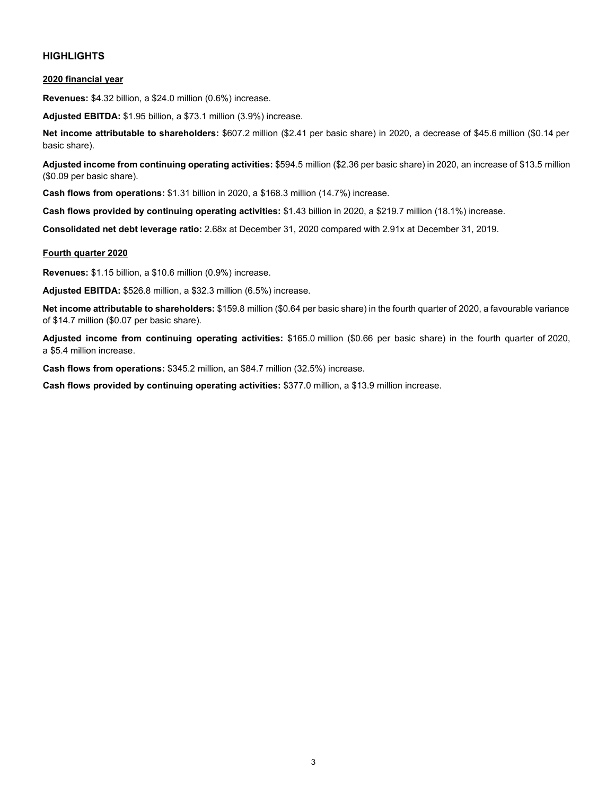# **HIGHLIGHTS**

#### **2020 financial year**

**Revenues:** \$4.32 billion, a \$24.0 million (0.6%) increase.

**Adjusted EBITDA:** \$1.95 billion, a \$73.1 million (3.9%) increase.

**Net income attributable to shareholders:** \$607.2 million (\$2.41 per basic share) in 2020, a decrease of \$45.6 million (\$0.14 per basic share).

**Adjusted income from continuing operating activities:** \$594.5 million (\$2.36 per basic share) in 2020, an increase of \$13.5 million (\$0.09 per basic share).

**Cash flows from operations:** \$1.31 billion in 2020, a \$168.3 million (14.7%) increase.

**Cash flows provided by continuing operating activities:** \$1.43 billion in 2020, a \$219.7 million (18.1%) increase.

**Consolidated net debt leverage ratio:** 2.68x at December 31, 2020 compared with 2.91x at December 31, 2019.

#### **Fourth quarter 2020**

**Revenues:** \$1.15 billion, a \$10.6 million (0.9%) increase.

**Adjusted EBITDA:** \$526.8 million, a \$32.3 million (6.5%) increase.

**Net income attributable to shareholders:** \$159.8 million (\$0.64 per basic share) in the fourth quarter of 2020, a favourable variance of \$14.7 million (\$0.07 per basic share).

**Adjusted income from continuing operating activities:** \$165.0 million (\$0.66 per basic share) in the fourth quarter of 2020, a \$5.4 million increase.

**Cash flows from operations:** \$345.2 million, an \$84.7 million (32.5%) increase.

**Cash flows provided by continuing operating activities:** \$377.0 million, a \$13.9 million increase.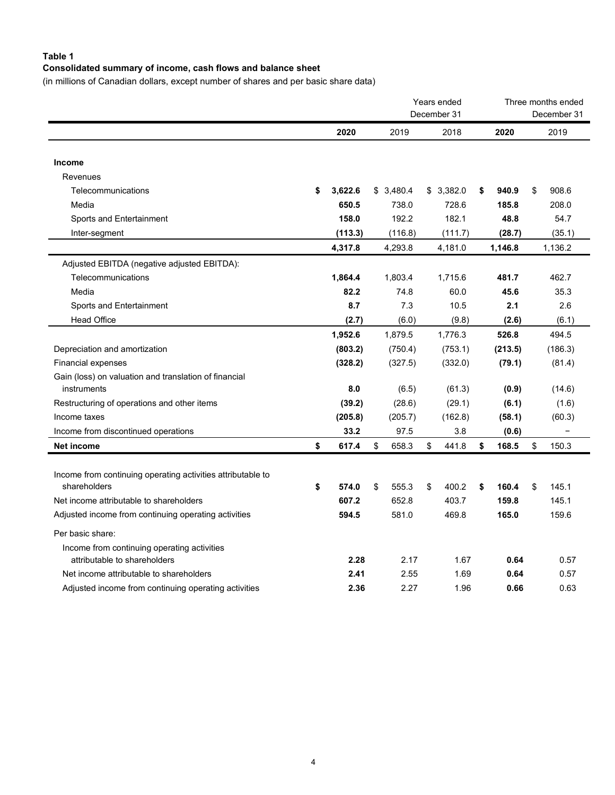# **Consolidated summary of income, cash flows and balance sheet**

(in millions of Canadian dollars, except number of shares and per basic share data)

|                                                                             |               | Years ended<br>December 31 |    |           |    |         | Three months ended<br>December 31 |
|-----------------------------------------------------------------------------|---------------|----------------------------|----|-----------|----|---------|-----------------------------------|
|                                                                             | 2020          | 2019                       |    | 2018      |    | 2020    | 2019                              |
| <b>Income</b>                                                               |               |                            |    |           |    |         |                                   |
| Revenues                                                                    |               |                            |    |           |    |         |                                   |
| Telecommunications                                                          | \$<br>3,622.6 | \$3,480.4                  |    | \$3,382.0 | \$ | 940.9   | \$<br>908.6                       |
| Media                                                                       | 650.5         | 738.0                      |    | 728.6     |    | 185.8   | 208.0                             |
| Sports and Entertainment                                                    | 158.0         | 192.2                      |    | 182.1     |    | 48.8    | 54.7                              |
| Inter-segment                                                               | (113.3)       | (116.8)                    |    | (111.7)   |    | (28.7)  | (35.1)                            |
|                                                                             | 4,317.8       | 4,293.8                    |    | 4,181.0   |    | 1,146.8 | 1,136.2                           |
| Adjusted EBITDA (negative adjusted EBITDA):                                 |               |                            |    |           |    |         |                                   |
| Telecommunications                                                          | 1,864.4       | 1,803.4                    |    | 1,715.6   |    | 481.7   | 462.7                             |
| Media                                                                       | 82.2          | 74.8                       |    | 60.0      |    | 45.6    | 35.3                              |
| Sports and Entertainment                                                    | 8.7           | 7.3                        |    | 10.5      |    | 2.1     | 2.6                               |
| <b>Head Office</b>                                                          | (2.7)         | (6.0)                      |    | (9.8)     |    | (2.6)   | (6.1)                             |
|                                                                             | 1,952.6       | 1,879.5                    |    | 1,776.3   |    | 526.8   | 494.5                             |
| Depreciation and amortization                                               | (803.2)       | (750.4)                    |    | (753.1)   |    | (213.5) | (186.3)                           |
| <b>Financial expenses</b>                                                   | (328.2)       | (327.5)                    |    | (332.0)   |    | (79.1)  | (81.4)                            |
| Gain (loss) on valuation and translation of financial                       |               |                            |    |           |    |         |                                   |
| instruments                                                                 | 8.0           | (6.5)                      |    | (61.3)    |    | (0.9)   | (14.6)                            |
| Restructuring of operations and other items                                 | (39.2)        | (28.6)                     |    | (29.1)    |    | (6.1)   | (1.6)                             |
| Income taxes                                                                | (205.8)       | (205.7)                    |    | (162.8)   |    | (58.1)  | (60.3)                            |
| Income from discontinued operations                                         | 33.2          | 97.5                       |    | 3.8       |    | (0.6)   | -                                 |
| <b>Net income</b>                                                           | \$<br>617.4   | \$<br>658.3                | \$ | 441.8     | \$ | 168.5   | \$<br>150.3                       |
|                                                                             |               |                            |    |           |    |         |                                   |
| Income from continuing operating activities attributable to<br>shareholders | 574.0         |                            |    | 400.2     |    | 160.4   | 145.1                             |
| Net income attributable to shareholders                                     | \$<br>607.2   | \$<br>555.3<br>652.8       | \$ | 403.7     | \$ | 159.8   | \$<br>145.1                       |
|                                                                             |               |                            |    |           |    |         |                                   |
| Adjusted income from continuing operating activities                        | 594.5         | 581.0                      |    | 469.8     |    | 165.0   | 159.6                             |
| Per basic share:                                                            |               |                            |    |           |    |         |                                   |
| Income from continuing operating activities                                 |               |                            |    |           |    |         |                                   |
| attributable to shareholders                                                | 2.28          | 2.17                       |    | 1.67      |    | 0.64    | 0.57                              |
| Net income attributable to shareholders                                     | 2.41          | 2.55                       |    | 1.69      |    | 0.64    | 0.57                              |
| Adjusted income from continuing operating activities                        | 2.36          | 2.27                       |    | 1.96      |    | 0.66    | 0.63                              |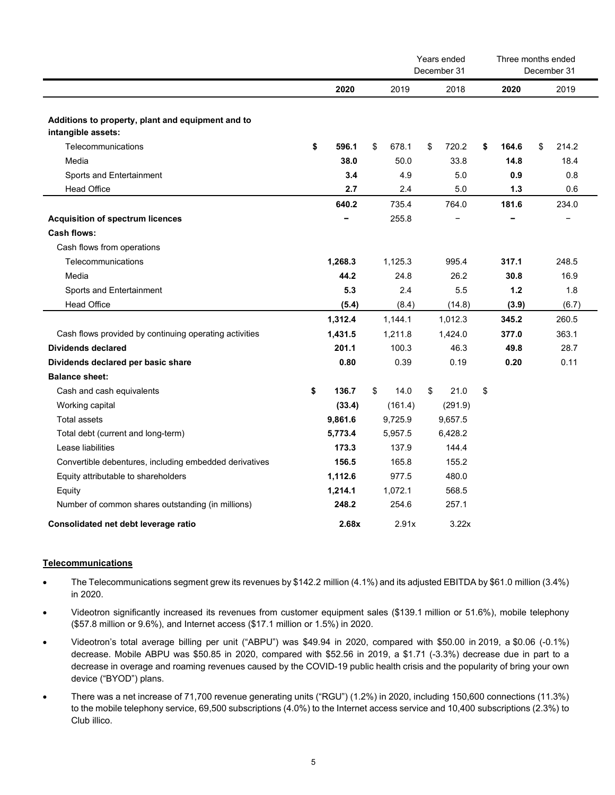|                                                                         |             | Years ended<br>December 31 |    |         | Three months ended<br>December 31 |       |    |       |
|-------------------------------------------------------------------------|-------------|----------------------------|----|---------|-----------------------------------|-------|----|-------|
|                                                                         | 2020        | 2019                       |    | 2018    |                                   | 2020  |    | 2019  |
| Additions to property, plant and equipment and to<br>intangible assets: |             |                            |    |         |                                   |       |    |       |
| Telecommunications                                                      | \$<br>596.1 | \$<br>678.1                | \$ | 720.2   | \$                                | 164.6 | \$ | 214.2 |
| Media                                                                   | 38.0        | 50.0                       |    | 33.8    |                                   | 14.8  |    | 18.4  |
| Sports and Entertainment                                                | 3.4         | 4.9                        |    | 5.0     |                                   | 0.9   |    | 0.8   |
| <b>Head Office</b>                                                      | 2.7         | 2.4                        |    | 5.0     |                                   | 1.3   |    | 0.6   |
|                                                                         | 640.2       | 735.4                      |    | 764.0   |                                   | 181.6 |    | 234.0 |
| <b>Acquisition of spectrum licences</b>                                 |             | 255.8                      |    |         |                                   |       |    |       |
| Cash flows:                                                             |             |                            |    |         |                                   |       |    |       |
| Cash flows from operations                                              |             |                            |    |         |                                   |       |    |       |
| Telecommunications                                                      | 1,268.3     | 1,125.3                    |    | 995.4   |                                   | 317.1 |    | 248.5 |
| Media                                                                   | 44.2        | 24.8                       |    | 26.2    |                                   | 30.8  |    | 16.9  |
| Sports and Entertainment                                                | 5.3         | 2.4                        |    | 5.5     |                                   | 1.2   |    | 1.8   |
| <b>Head Office</b>                                                      | (5.4)       | (8.4)                      |    | (14.8)  |                                   | (3.9) |    | (6.7) |
|                                                                         | 1,312.4     | 1,144.1                    |    | 1,012.3 |                                   | 345.2 |    | 260.5 |
| Cash flows provided by continuing operating activities                  | 1,431.5     | 1,211.8                    |    | 1,424.0 |                                   | 377.0 |    | 363.1 |
| <b>Dividends declared</b>                                               | 201.1       | 100.3                      |    | 46.3    |                                   | 49.8  |    | 28.7  |
| Dividends declared per basic share                                      | 0.80        | 0.39                       |    | 0.19    |                                   | 0.20  |    | 0.11  |
| <b>Balance sheet:</b>                                                   |             |                            |    |         |                                   |       |    |       |
| Cash and cash equivalents                                               | \$<br>136.7 | \$<br>14.0                 | \$ | 21.0    | \$                                |       |    |       |
| Working capital                                                         | (33.4)      | (161.4)                    |    | (291.9) |                                   |       |    |       |
| <b>Total assets</b>                                                     | 9,861.6     | 9,725.9                    |    | 9,657.5 |                                   |       |    |       |
| Total debt (current and long-term)                                      | 5,773.4     | 5,957.5                    |    | 6,428.2 |                                   |       |    |       |
| Lease liabilities                                                       | 173.3       | 137.9                      |    | 144.4   |                                   |       |    |       |
| Convertible debentures, including embedded derivatives                  | 156.5       | 165.8                      |    | 155.2   |                                   |       |    |       |
| Equity attributable to shareholders                                     | 1,112.6     | 977.5                      |    | 480.0   |                                   |       |    |       |
| Equity                                                                  | 1,214.1     | 1,072.1                    |    | 568.5   |                                   |       |    |       |
| Number of common shares outstanding (in millions)                       | 248.2       | 254.6                      |    | 257.1   |                                   |       |    |       |
| Consolidated net debt leverage ratio                                    | 2.68x       | 2.91x                      |    | 3.22x   |                                   |       |    |       |

# **Telecommunications**

- The Telecommunications segment grew its revenues by \$142.2 million (4.1%) and its adjusted EBITDA by \$61.0 million (3.4%) in 2020.
- Videotron significantly increased its revenues from customer equipment sales (\$139.1 million or 51.6%), mobile telephony (\$57.8 million or 9.6%), and Internet access (\$17.1 million or 1.5%) in 2020.
- Videotron's total average billing per unit ("ABPU") was \$49.94 in 2020, compared with \$50.00 in 2019, a \$0.06 (-0.1%) decrease. Mobile ABPU was \$50.85 in 2020, compared with \$52.56 in 2019, a \$1.71 (-3.3%) decrease due in part to a decrease in overage and roaming revenues caused by the COVID-19 public health crisis and the popularity of bring your own device ("BYOD") plans.
- There was a net increase of 71,700 revenue generating units ("RGU") (1.2%) in 2020, including 150,600 connections (11.3%) to the mobile telephony service, 69,500 subscriptions (4.0%) to the Internet access service and 10,400 subscriptions (2.3%) to Club illico.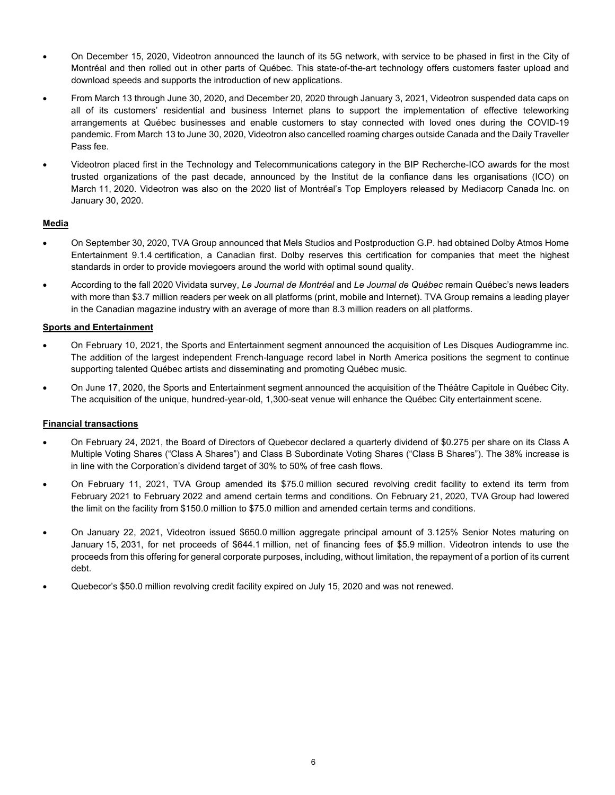- On December 15, 2020, Videotron announced the launch of its 5G network, with service to be phased in first in the City of Montréal and then rolled out in other parts of Québec. This state-of-the-art technology offers customers faster upload and download speeds and supports the introduction of new applications.
- From March 13 through June 30, 2020, and December 20, 2020 through January 3, 2021, Videotron suspended data caps on all of its customers' residential and business Internet plans to support the implementation of effective teleworking arrangements at Québec businesses and enable customers to stay connected with loved ones during the COVID-19 pandemic. From March 13 to June 30, 2020, Videotron also cancelled roaming charges outside Canada and the Daily Traveller Pass fee.
- Videotron placed first in the Technology and Telecommunications category in the BIP Recherche-ICO awards for the most trusted organizations of the past decade, announced by the Institut de la confiance dans les organisations (ICO) on March 11, 2020. Videotron was also on the 2020 list of Montréal's Top Employers released by Mediacorp Canada Inc. on January 30, 2020.

# **Media**

- On September 30, 2020, TVA Group announced that Mels Studios and Postproduction G.P. had obtained Dolby Atmos Home Entertainment 9.1.4 certification, a Canadian first. Dolby reserves this certification for companies that meet the highest standards in order to provide moviegoers around the world with optimal sound quality.
- According to the fall 2020 Vividata survey, *Le Journal de Montréal* and *Le Journal de Québec* remain Québec's news leaders with more than \$3.7 million readers per week on all platforms (print, mobile and Internet). TVA Group remains a leading player in the Canadian magazine industry with an average of more than 8.3 million readers on all platforms.

# **Sports and Entertainment**

- On February 10, 2021, the Sports and Entertainment segment announced the acquisition of Les Disques Audiogramme inc. The addition of the largest independent French-language record label in North America positions the segment to continue supporting talented Québec artists and disseminating and promoting Québec music.
- On June 17, 2020, the Sports and Entertainment segment announced the acquisition of the Théâtre Capitole in Québec City. The acquisition of the unique, hundred-year-old, 1,300-seat venue will enhance the Québec City entertainment scene.

# **Financial transactions**

- On February 24, 2021, the Board of Directors of Quebecor declared a quarterly dividend of \$0.275 per share on its Class A Multiple Voting Shares ("Class A Shares") and Class B Subordinate Voting Shares ("Class B Shares"). The 38% increase is in line with the Corporation's dividend target of 30% to 50% of free cash flows.
- On February 11, 2021, TVA Group amended its \$75.0 million secured revolving credit facility to extend its term from February 2021 to February 2022 and amend certain terms and conditions. On February 21, 2020, TVA Group had lowered the limit on the facility from \$150.0 million to \$75.0 million and amended certain terms and conditions.
- On January 22, 2021, Videotron issued \$650.0 million aggregate principal amount of 3.125% Senior Notes maturing on January 15, 2031, for net proceeds of \$644.1 million, net of financing fees of \$5.9 million. Videotron intends to use the proceeds from this offering for general corporate purposes, including, without limitation, the repayment of a portion of its current debt.
- Quebecor's \$50.0 million revolving credit facility expired on July 15, 2020 and was not renewed.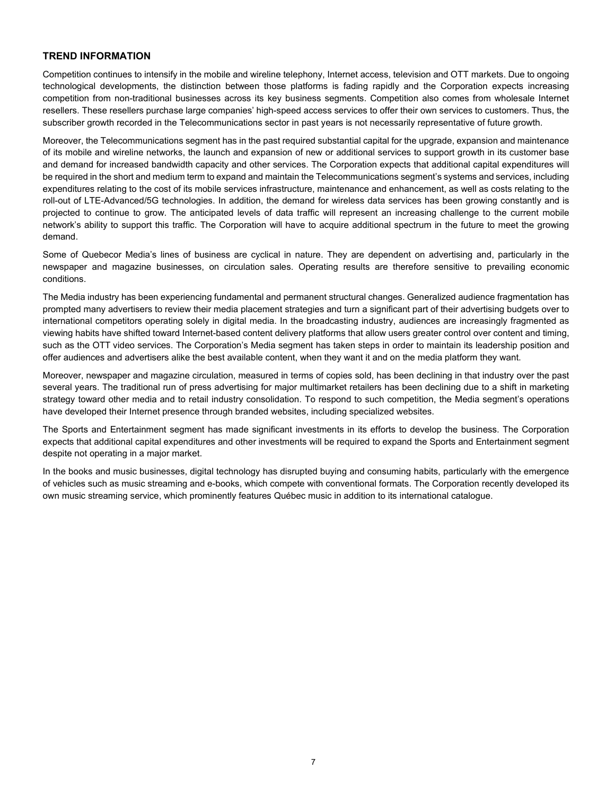# **TREND INFORMATION**

Competition continues to intensify in the mobile and wireline telephony, Internet access, television and OTT markets. Due to ongoing technological developments, the distinction between those platforms is fading rapidly and the Corporation expects increasing competition from non-traditional businesses across its key business segments. Competition also comes from wholesale Internet resellers. These resellers purchase large companies' high-speed access services to offer their own services to customers. Thus, the subscriber growth recorded in the Telecommunications sector in past years is not necessarily representative of future growth.

Moreover, the Telecommunications segment has in the past required substantial capital for the upgrade, expansion and maintenance of its mobile and wireline networks, the launch and expansion of new or additional services to support growth in its customer base and demand for increased bandwidth capacity and other services. The Corporation expects that additional capital expenditures will be required in the short and medium term to expand and maintain the Telecommunications segment's systems and services, including expenditures relating to the cost of its mobile services infrastructure, maintenance and enhancement, as well as costs relating to the roll-out of LTE-Advanced/5G technologies. In addition, the demand for wireless data services has been growing constantly and is projected to continue to grow. The anticipated levels of data traffic will represent an increasing challenge to the current mobile network's ability to support this traffic. The Corporation will have to acquire additional spectrum in the future to meet the growing demand.

Some of Quebecor Media's lines of business are cyclical in nature. They are dependent on advertising and, particularly in the newspaper and magazine businesses, on circulation sales. Operating results are therefore sensitive to prevailing economic conditions.

The Media industry has been experiencing fundamental and permanent structural changes. Generalized audience fragmentation has prompted many advertisers to review their media placement strategies and turn a significant part of their advertising budgets over to international competitors operating solely in digital media. In the broadcasting industry, audiences are increasingly fragmented as viewing habits have shifted toward Internet-based content delivery platforms that allow users greater control over content and timing, such as the OTT video services. The Corporation's Media segment has taken steps in order to maintain its leadership position and offer audiences and advertisers alike the best available content, when they want it and on the media platform they want.

Moreover, newspaper and magazine circulation, measured in terms of copies sold, has been declining in that industry over the past several years. The traditional run of press advertising for major multimarket retailers has been declining due to a shift in marketing strategy toward other media and to retail industry consolidation. To respond to such competition, the Media segment's operations have developed their Internet presence through branded websites, including specialized websites.

The Sports and Entertainment segment has made significant investments in its efforts to develop the business. The Corporation expects that additional capital expenditures and other investments will be required to expand the Sports and Entertainment segment despite not operating in a major market.

In the books and music businesses, digital technology has disrupted buying and consuming habits, particularly with the emergence of vehicles such as music streaming and e-books, which compete with conventional formats. The Corporation recently developed its own music streaming service, which prominently features Québec music in addition to its international catalogue.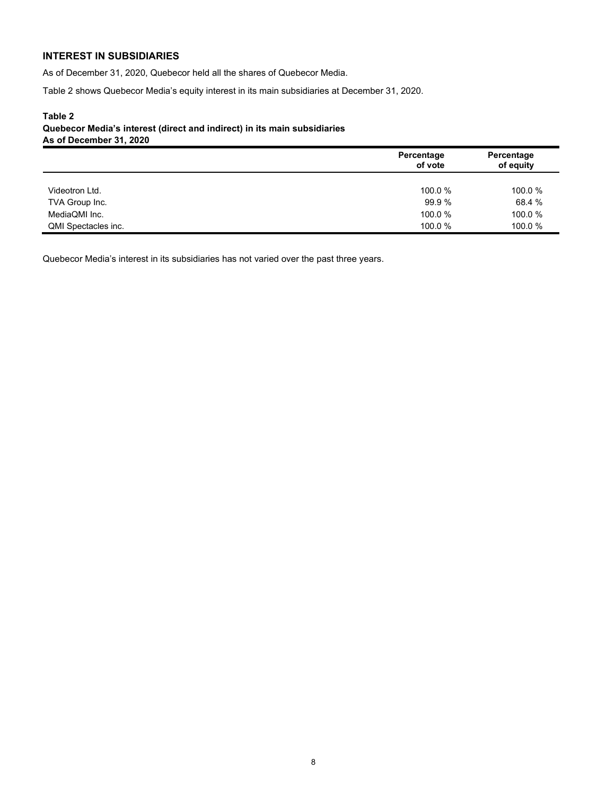# **INTEREST IN SUBSIDIARIES**

As of December 31, 2020, Quebecor held all the shares of Quebecor Media.

Table 2 shows Quebecor Media's equity interest in its main subsidiaries at December 31, 2020.

# **Table 2 Quebecor Media's interest (direct and indirect) in its main subsidiaries As of December 31, 2020**

|                     | Percentage<br>of vote | Percentage<br>of equity |
|---------------------|-----------------------|-------------------------|
|                     |                       |                         |
| Videotron Ltd.      | 100.0 %               | 100.0 %                 |
| TVA Group Inc.      | 99.9 %                | 68.4 %                  |
| MediaQMI Inc.       | 100.0 %               | 100.0 %                 |
| QMI Spectacles inc. | 100.0 %               | 100.0 %                 |

Quebecor Media's interest in its subsidiaries has not varied over the past three years.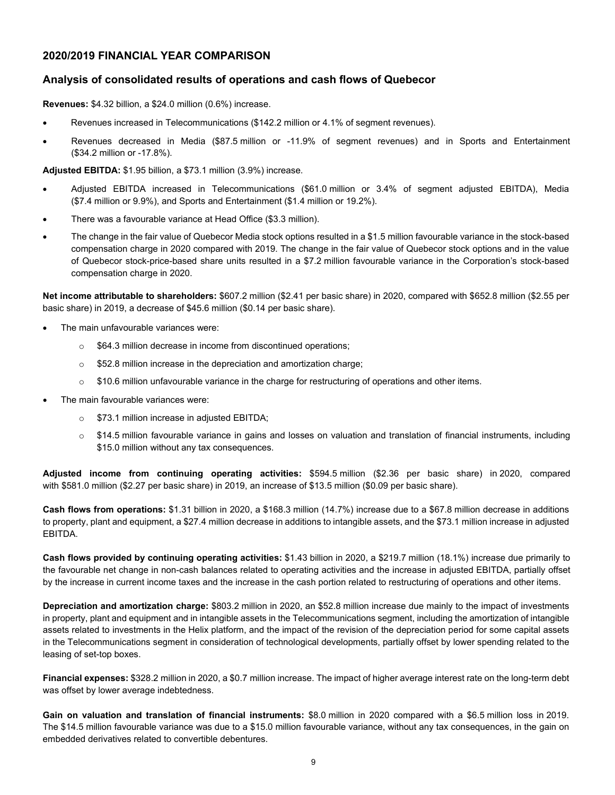# **2020/2019 FINANCIAL YEAR COMPARISON**

# **Analysis of consolidated results of operations and cash flows of Quebecor**

**Revenues:** \$4.32 billion, a \$24.0 million (0.6%) increase.

- Revenues increased in Telecommunications (\$142.2 million or 4.1% of segment revenues).
- Revenues decreased in Media (\$87.5 million or -11.9% of segment revenues) and in Sports and Entertainment (\$34.2 million or -17.8%).

**Adjusted EBITDA:** \$1.95 billion, a \$73.1 million (3.9%) increase.

- Adjusted EBITDA increased in Telecommunications (\$61.0 million or 3.4% of segment adjusted EBITDA), Media (\$7.4 million or 9.9%), and Sports and Entertainment (\$1.4 million or 19.2%).
- There was a favourable variance at Head Office (\$3.3 million).
- The change in the fair value of Quebecor Media stock options resulted in a \$1.5 million favourable variance in the stock-based compensation charge in 2020 compared with 2019. The change in the fair value of Quebecor stock options and in the value of Quebecor stock-price-based share units resulted in a \$7.2 million favourable variance in the Corporation's stock-based compensation charge in 2020.

**Net income attributable to shareholders:** \$607.2 million (\$2.41 per basic share) in 2020, compared with \$652.8 million (\$2.55 per basic share) in 2019, a decrease of \$45.6 million (\$0.14 per basic share).

- The main unfavourable variances were:
	- o \$64.3 million decrease in income from discontinued operations;
	- o \$52.8 million increase in the depreciation and amortization charge;
	- $\circ$  \$10.6 million unfavourable variance in the charge for restructuring of operations and other items.
- The main favourable variances were:
	- o \$73.1 million increase in adjusted EBITDA;
	- o \$14.5 million favourable variance in gains and losses on valuation and translation of financial instruments, including \$15.0 million without any tax consequences.

**Adjusted income from continuing operating activities:** \$594.5 million (\$2.36 per basic share) in 2020, compared with \$581.0 million (\$2.27 per basic share) in 2019, an increase of \$13.5 million (\$0.09 per basic share).

**Cash flows from operations:** \$1.31 billion in 2020, a \$168.3 million (14.7%) increase due to a \$67.8 million decrease in additions to property, plant and equipment, a \$27.4 million decrease in additions to intangible assets, and the \$73.1 million increase in adjusted EBITDA.

**Cash flows provided by continuing operating activities:** \$1.43 billion in 2020, a \$219.7 million (18.1%) increase due primarily to the favourable net change in non-cash balances related to operating activities and the increase in adjusted EBITDA, partially offset by the increase in current income taxes and the increase in the cash portion related to restructuring of operations and other items.

**Depreciation and amortization charge:** \$803.2 million in 2020, an \$52.8 million increase due mainly to the impact of investments in property, plant and equipment and in intangible assets in the Telecommunications segment, including the amortization of intangible assets related to investments in the Helix platform, and the impact of the revision of the depreciation period for some capital assets in the Telecommunications segment in consideration of technological developments, partially offset by lower spending related to the leasing of set-top boxes.

**Financial expenses:** \$328.2 million in 2020, a \$0.7 million increase. The impact of higher average interest rate on the long-term debt was offset by lower average indebtedness.

**Gain on valuation and translation of financial instruments:** \$8.0 million in 2020 compared with a \$6.5 million loss in 2019. The \$14.5 million favourable variance was due to a \$15.0 million favourable variance, without any tax consequences, in the gain on embedded derivatives related to convertible debentures.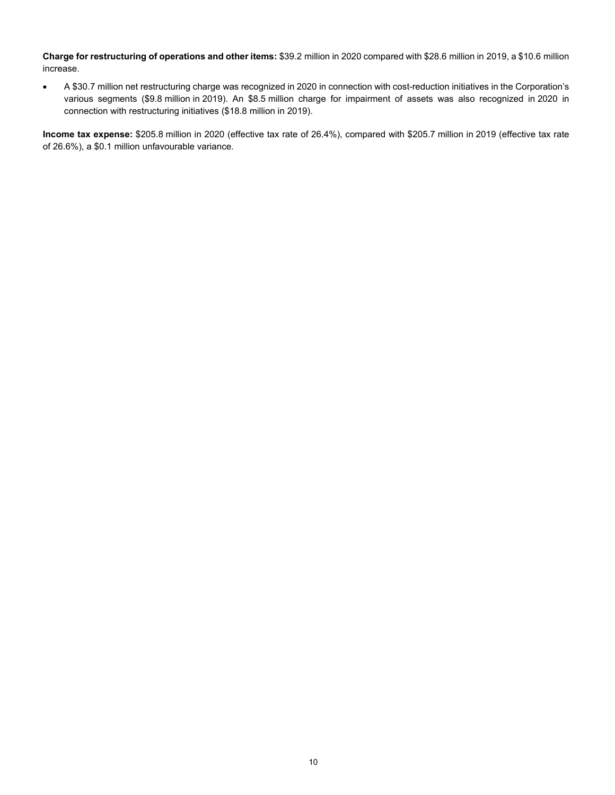**Charge for restructuring of operations and other items:** \$39.2 million in 2020 compared with \$28.6 million in 2019, a \$10.6 million increase.

• A \$30.7 million net restructuring charge was recognized in 2020 in connection with cost-reduction initiatives in the Corporation's various segments (\$9.8 million in 2019). An \$8.5 million charge for impairment of assets was also recognized in 2020 in connection with restructuring initiatives (\$18.8 million in 2019).

**Income tax expense:** \$205.8 million in 2020 (effective tax rate of 26.4%), compared with \$205.7 million in 2019 (effective tax rate of 26.6%), a \$0.1 million unfavourable variance.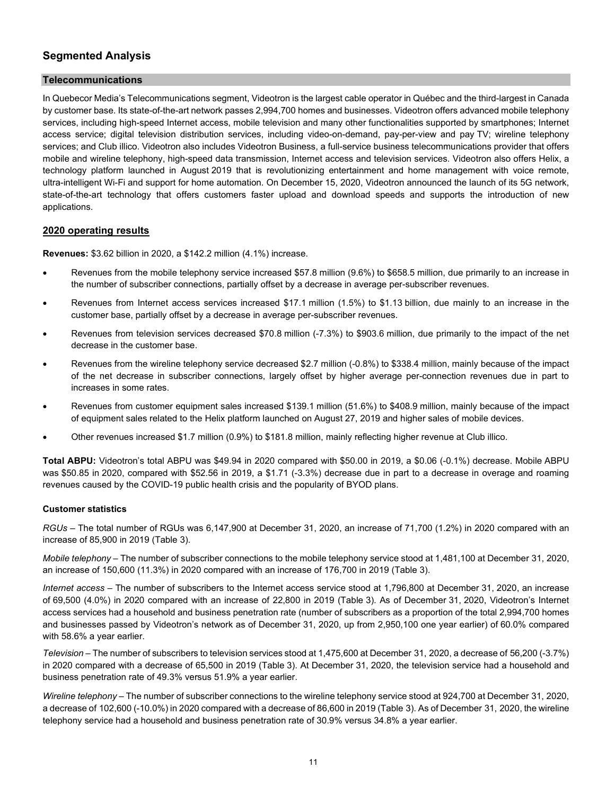# **Segmented Analysis**

# **Telecommunications**

In Quebecor Media's Telecommunications segment, Videotron is the largest cable operator in Québec and the third-largest in Canada by customer base. Its state-of-the-art network passes 2,994,700 homes and businesses. Videotron offers advanced mobile telephony services, including high-speed Internet access, mobile television and many other functionalities supported by smartphones; Internet access service; digital television distribution services, including video-on-demand, pay-per-view and pay TV; wireline telephony services; and Club illico. Videotron also includes Videotron Business, a full-service business telecommunications provider that offers mobile and wireline telephony, high-speed data transmission, Internet access and television services. Videotron also offers Helix, a technology platform launched in August 2019 that is revolutionizing entertainment and home management with voice remote, ultra-intelligent Wi-Fi and support for home automation. On December 15, 2020, Videotron announced the launch of its 5G network, state-of-the-art technology that offers customers faster upload and download speeds and supports the introduction of new applications.

# **2020 operating results**

**Revenues:** \$3.62 billion in 2020, a \$142.2 million (4.1%) increase.

- Revenues from the mobile telephony service increased \$57.8 million (9.6%) to \$658.5 million, due primarily to an increase in the number of subscriber connections, partially offset by a decrease in average per-subscriber revenues.
- Revenues from Internet access services increased \$17.1 million (1.5%) to \$1.13 billion, due mainly to an increase in the customer base, partially offset by a decrease in average per-subscriber revenues.
- Revenues from television services decreased \$70.8 million (-7.3%) to \$903.6 million, due primarily to the impact of the net decrease in the customer base.
- Revenues from the wireline telephony service decreased \$2.7 million (-0.8%) to \$338.4 million, mainly because of the impact of the net decrease in subscriber connections, largely offset by higher average per-connection revenues due in part to increases in some rates.
- Revenues from customer equipment sales increased \$139.1 million (51.6%) to \$408.9 million, mainly because of the impact of equipment sales related to the Helix platform launched on August 27, 2019 and higher sales of mobile devices.
- Other revenues increased \$1.7 million (0.9%) to \$181.8 million, mainly reflecting higher revenue at Club illico.

**Total ABPU:** Videotron's total ABPU was \$49.94 in 2020 compared with \$50.00 in 2019, a \$0.06 (-0.1%) decrease. Mobile ABPU was \$50.85 in 2020, compared with \$52.56 in 2019, a \$1.71 (-3.3%) decrease due in part to a decrease in overage and roaming revenues caused by the COVID-19 public health crisis and the popularity of BYOD plans.

#### **Customer statistics**

*RGUs –* The total number of RGUs was 6,147,900 at December 31, 2020, an increase of 71,700 (1.2%) in 2020 compared with an increase of 85,900 in 2019 (Table 3).

*Mobile telephony –* The number of subscriber connections to the mobile telephony service stood at 1,481,100 at December 31, 2020, an increase of 150,600 (11.3%) in 2020 compared with an increase of 176,700 in 2019 (Table 3).

*Internet access –* The number of subscribers to the Internet access service stood at 1,796,800 at December 31, 2020, an increase of 69,500 (4.0%) in 2020 compared with an increase of 22,800 in 2019 (Table 3). As of December 31, 2020, Videotron's Internet access services had a household and business penetration rate (number of subscribers as a proportion of the total 2,994,700 homes and businesses passed by Videotron's network as of December 31, 2020, up from 2,950,100 one year earlier) of 60.0% compared with 58.6% a year earlier.

*Television –* The number of subscribers to television services stood at 1,475,600 at December 31, 2020, a decrease of 56,200 (-3.7%) in 2020 compared with a decrease of 65,500 in 2019 (Table 3). At December 31, 2020, the television service had a household and business penetration rate of 49.3% versus 51.9% a year earlier.

*Wireline telephony –* The number of subscriber connections to the wireline telephony service stood at 924,700 at December 31, 2020, a decrease of 102,600 (-10.0%) in 2020 compared with a decrease of 86,600 in 2019 (Table 3). As of December 31, 2020, the wireline telephony service had a household and business penetration rate of 30.9% versus 34.8% a year earlier.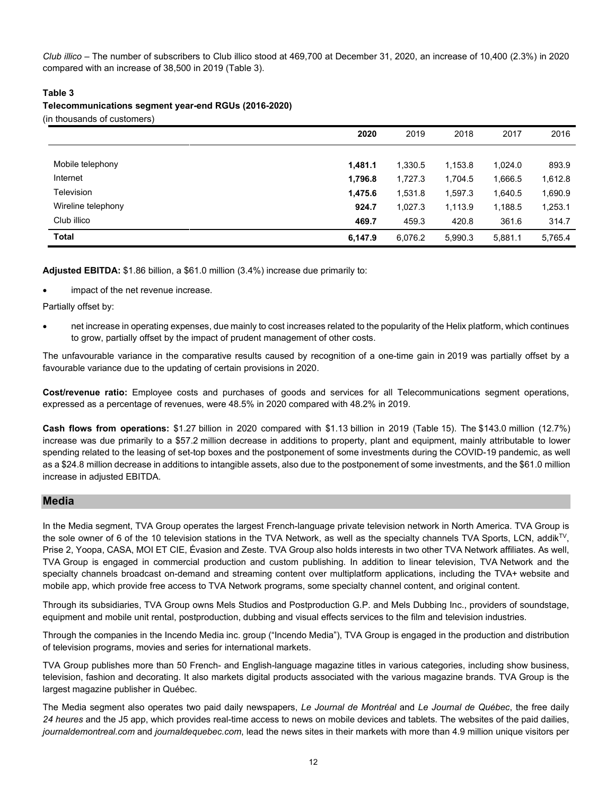*Club illico –* The number of subscribers to Club illico stood at 469,700 at December 31, 2020, an increase of 10,400 (2.3%) in 2020 compared with an increase of 38,500 in 2019 (Table 3).

# **Table 3**

### **Telecommunications segment year-end RGUs (2016-2020)**

(in thousands of customers)

|                    | 2020    | 2019    | 2018    | 2017    | 2016    |
|--------------------|---------|---------|---------|---------|---------|
|                    |         |         |         |         |         |
| Mobile telephony   | 1,481.1 | 1,330.5 | 1,153.8 | 1,024.0 | 893.9   |
| Internet           | 1,796.8 | 1,727.3 | 1,704.5 | 1,666.5 | 1,612.8 |
| <b>Television</b>  | 1,475.6 | 1,531.8 | 1,597.3 | 1,640.5 | 1,690.9 |
| Wireline telephony | 924.7   | 1,027.3 | 1,113.9 | 1,188.5 | 1,253.1 |
| Club illico        | 469.7   | 459.3   | 420.8   | 361.6   | 314.7   |
| <b>Total</b>       | 6,147.9 | 6,076.2 | 5,990.3 | 5,881.1 | 5,765.4 |

**Adjusted EBITDA:** \$1.86 billion, a \$61.0 million (3.4%) increase due primarily to:

impact of the net revenue increase.

Partially offset by:

• net increase in operating expenses, due mainly to cost increases related to the popularity of the Helix platform, which continues to grow, partially offset by the impact of prudent management of other costs.

The unfavourable variance in the comparative results caused by recognition of a one-time gain in 2019 was partially offset by a favourable variance due to the updating of certain provisions in 2020.

**Cost/revenue ratio:** Employee costs and purchases of goods and services for all Telecommunications segment operations, expressed as a percentage of revenues, were 48.5% in 2020 compared with 48.2% in 2019.

**Cash flows from operations:** \$1.27 billion in 2020 compared with \$1.13 billion in 2019 (Table 15). The \$143.0 million (12.7%) increase was due primarily to a \$57.2 million decrease in additions to property, plant and equipment, mainly attributable to lower spending related to the leasing of set-top boxes and the postponement of some investments during the COVID-19 pandemic, as well as a \$24.8 million decrease in additions to intangible assets, also due to the postponement of some investments, and the \$61.0 million increase in adjusted EBITDA.

#### **Media**

In the Media segment, TVA Group operates the largest French-language private television network in North America. TVA Group is the sole owner of 6 of the 10 television stations in the TVA Network, as well as the specialty channels TVA Sports, LCN, addik<sup>TV</sup>, Prise 2, Yoopa, CASA, MOI ET CIE, Évasion and Zeste. TVA Group also holds interests in two other TVA Network affiliates. As well, TVA Group is engaged in commercial production and custom publishing. In addition to linear television, TVA Network and the specialty channels broadcast on-demand and streaming content over multiplatform applications, including the TVA+ website and mobile app, which provide free access to TVA Network programs, some specialty channel content, and original content.

Through its subsidiaries, TVA Group owns Mels Studios and Postproduction G.P. and Mels Dubbing Inc., providers of soundstage, equipment and mobile unit rental, postproduction, dubbing and visual effects services to the film and television industries.

Through the companies in the Incendo Media inc. group ("Incendo Media"), TVA Group is engaged in the production and distribution of television programs, movies and series for international markets.

TVA Group publishes more than 50 French- and English-language magazine titles in various categories, including show business, television, fashion and decorating. It also markets digital products associated with the various magazine brands. TVA Group is the largest magazine publisher in Québec.

The Media segment also operates two paid daily newspapers, *Le Journal de Montréal* and *Le Journal de Québec*, the free daily *24 heures* and the J5 app, which provides real-time access to news on mobile devices and tablets. The websites of the paid dailies, *journaldemontreal.com* and *journaldequebec.com*, lead the news sites in their markets with more than 4.9 million unique visitors per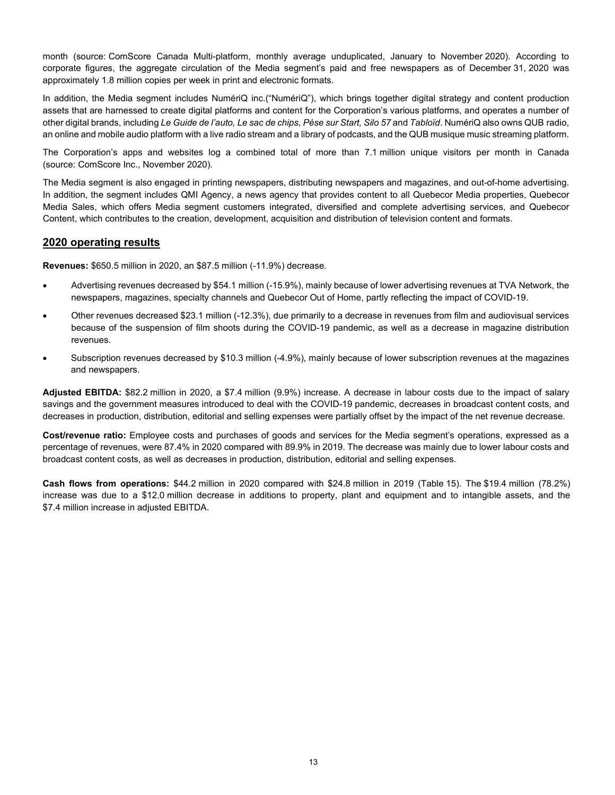month (source: ComScore Canada Multi-platform, monthly average unduplicated, January to November 2020). According to corporate figures, the aggregate circulation of the Media segment's paid and free newspapers as of December 31, 2020 was approximately 1.8 million copies per week in print and electronic formats.

In addition, the Media segment includes NumériQ inc.("NumériQ"), which brings together digital strategy and content production assets that are harnessed to create digital platforms and content for the Corporation's various platforms, and operates a number of other digital brands, including *Le Guide de l'auto, Le sac de chips, Pèse sur Start, Silo 57* and *Tabloïd*. NumériQ also owns QUB radio, an online and mobile audio platform with a live radio stream and a library of podcasts, and the QUB musique music streaming platform.

The Corporation's apps and websites log a combined total of more than 7.1 million unique visitors per month in Canada (source: ComScore Inc., November 2020).

The Media segment is also engaged in printing newspapers, distributing newspapers and magazines, and out-of-home advertising. In addition, the segment includes QMI Agency, a news agency that provides content to all Quebecor Media properties, Quebecor Media Sales, which offers Media segment customers integrated, diversified and complete advertising services, and Quebecor Content, which contributes to the creation, development, acquisition and distribution of television content and formats.

# **2020 operating results**

**Revenues:** \$650.5 million in 2020, an \$87.5 million (-11.9%) decrease.

- Advertising revenues decreased by \$54.1 million (-15.9%), mainly because of lower advertising revenues at TVA Network, the newspapers, magazines, specialty channels and Quebecor Out of Home, partly reflecting the impact of COVID-19.
- Other revenues decreased \$23.1 million (-12.3%), due primarily to a decrease in revenues from film and audiovisual services because of the suspension of film shoots during the COVID-19 pandemic, as well as a decrease in magazine distribution revenues.
- Subscription revenues decreased by \$10.3 million (-4.9%), mainly because of lower subscription revenues at the magazines and newspapers.

**Adjusted EBITDA:** \$82.2 million in 2020, a \$7.4 million (9.9%) increase. A decrease in labour costs due to the impact of salary savings and the government measures introduced to deal with the COVID-19 pandemic, decreases in broadcast content costs, and decreases in production, distribution, editorial and selling expenses were partially offset by the impact of the net revenue decrease.

**Cost/revenue ratio:** Employee costs and purchases of goods and services for the Media segment's operations, expressed as a percentage of revenues, were 87.4% in 2020 compared with 89.9% in 2019. The decrease was mainly due to lower labour costs and broadcast content costs, as well as decreases in production, distribution, editorial and selling expenses.

**Cash flows from operations:** \$44.2 million in 2020 compared with \$24.8 million in 2019 (Table 15). The \$19.4 million (78.2%) increase was due to a \$12.0 million decrease in additions to property, plant and equipment and to intangible assets, and the \$7.4 million increase in adjusted EBITDA.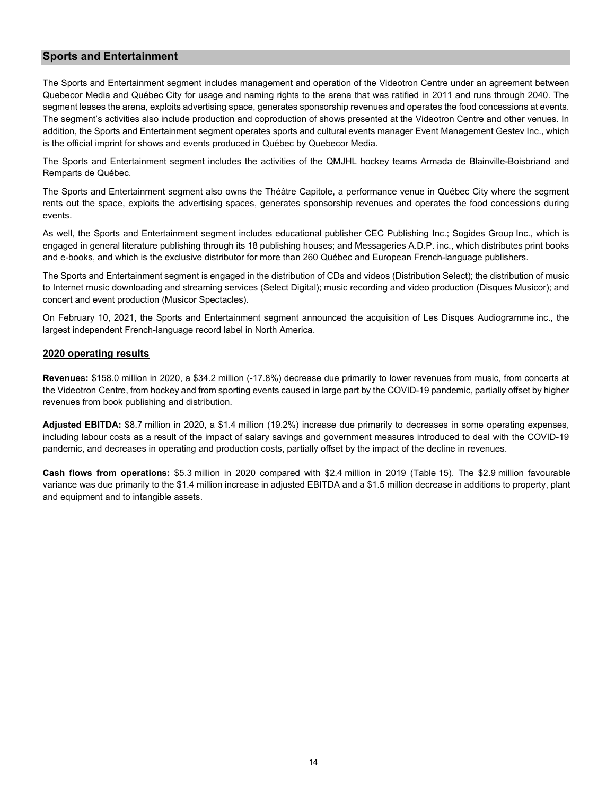# **Sports and Entertainment**

The Sports and Entertainment segment includes management and operation of the Videotron Centre under an agreement between Quebecor Media and Québec City for usage and naming rights to the arena that was ratified in 2011 and runs through 2040. The segment leases the arena, exploits advertising space, generates sponsorship revenues and operates the food concessions at events. The segment's activities also include production and coproduction of shows presented at the Videotron Centre and other venues. In addition, the Sports and Entertainment segment operates sports and cultural events manager Event Management Gestev Inc., which is the official imprint for shows and events produced in Québec by Quebecor Media.

The Sports and Entertainment segment includes the activities of the QMJHL hockey teams Armada de Blainville-Boisbriand and Remparts de Québec.

The Sports and Entertainment segment also owns the Théâtre Capitole, a performance venue in Québec City where the segment rents out the space, exploits the advertising spaces, generates sponsorship revenues and operates the food concessions during events.

As well, the Sports and Entertainment segment includes educational publisher CEC Publishing Inc.; Sogides Group Inc., which is engaged in general literature publishing through its 18 publishing houses; and Messageries A.D.P. inc., which distributes print books and e-books, and which is the exclusive distributor for more than 260 Québec and European French-language publishers.

The Sports and Entertainment segment is engaged in the distribution of CDs and videos (Distribution Select); the distribution of music to Internet music downloading and streaming services (Select Digital); music recording and video production (Disques Musicor); and concert and event production (Musicor Spectacles).

On February 10, 2021, the Sports and Entertainment segment announced the acquisition of Les Disques Audiogramme inc., the largest independent French-language record label in North America.

#### **2020 operating results**

**Revenues:** \$158.0 million in 2020, a \$34.2 million (-17.8%) decrease due primarily to lower revenues from music, from concerts at the Videotron Centre, from hockey and from sporting events caused in large part by the COVID-19 pandemic, partially offset by higher revenues from book publishing and distribution.

**Adjusted EBITDA:** \$8.7 million in 2020, a \$1.4 million (19.2%) increase due primarily to decreases in some operating expenses, including labour costs as a result of the impact of salary savings and government measures introduced to deal with the COVID-19 pandemic, and decreases in operating and production costs, partially offset by the impact of the decline in revenues.

**Cash flows from operations:** \$5.3 million in 2020 compared with \$2.4 million in 2019 (Table 15). The \$2.9 million favourable variance was due primarily to the \$1.4 million increase in adjusted EBITDA and a \$1.5 million decrease in additions to property, plant and equipment and to intangible assets.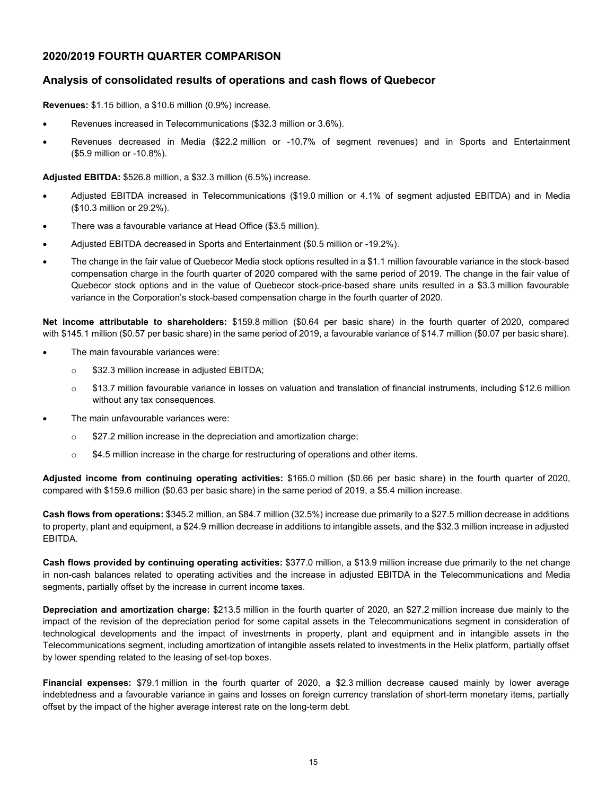# **2020/2019 FOURTH QUARTER COMPARISON**

# **Analysis of consolidated results of operations and cash flows of Quebecor**

**Revenues:** \$1.15 billion, a \$10.6 million (0.9%) increase.

- Revenues increased in Telecommunications (\$32.3 million or 3.6%).
- Revenues decreased in Media (\$22.2 million or -10.7% of segment revenues) and in Sports and Entertainment (\$5.9 million or -10.8%).

**Adjusted EBITDA:** \$526.8 million, a \$32.3 million (6.5%) increase.

- Adjusted EBITDA increased in Telecommunications (\$19.0 million or 4.1% of segment adjusted EBITDA) and in Media (\$10.3 million or 29.2%).
- There was a favourable variance at Head Office (\$3.5 million).
- Adjusted EBITDA decreased in Sports and Entertainment (\$0.5 million or -19.2%).
- The change in the fair value of Quebecor Media stock options resulted in a \$1.1 million favourable variance in the stock-based compensation charge in the fourth quarter of 2020 compared with the same period of 2019. The change in the fair value of Quebecor stock options and in the value of Quebecor stock-price-based share units resulted in a \$3.3 million favourable variance in the Corporation's stock-based compensation charge in the fourth quarter of 2020.

**Net income attributable to shareholders:** \$159.8 million (\$0.64 per basic share) in the fourth quarter of 2020, compared with \$145.1 million (\$0.57 per basic share) in the same period of 2019, a favourable variance of \$14.7 million (\$0.07 per basic share).

- The main favourable variances were:
	- o \$32.3 million increase in adjusted EBITDA;
	- $\circ$  \$13.7 million favourable variance in losses on valuation and translation of financial instruments, including \$12.6 million without any tax consequences.
- The main unfavourable variances were:
	- o \$27.2 million increase in the depreciation and amortization charge;
	- $\circ$  \$4.5 million increase in the charge for restructuring of operations and other items.

**Adjusted income from continuing operating activities:** \$165.0 million (\$0.66 per basic share) in the fourth quarter of 2020, compared with \$159.6 million (\$0.63 per basic share) in the same period of 2019, a \$5.4 million increase.

**Cash flows from operations:** \$345.2 million, an \$84.7 million (32.5%) increase due primarily to a \$27.5 million decrease in additions to property, plant and equipment, a \$24.9 million decrease in additions to intangible assets, and the \$32.3 million increase in adjusted EBITDA.

**Cash flows provided by continuing operating activities:** \$377.0 million, a \$13.9 million increase due primarily to the net change in non-cash balances related to operating activities and the increase in adjusted EBITDA in the Telecommunications and Media segments, partially offset by the increase in current income taxes.

**Depreciation and amortization charge:** \$213.5 million in the fourth quarter of 2020, an \$27.2 million increase due mainly to the impact of the revision of the depreciation period for some capital assets in the Telecommunications segment in consideration of technological developments and the impact of investments in property, plant and equipment and in intangible assets in the Telecommunications segment, including amortization of intangible assets related to investments in the Helix platform, partially offset by lower spending related to the leasing of set-top boxes.

**Financial expenses:** \$79.1 million in the fourth quarter of 2020, a \$2.3 million decrease caused mainly by lower average indebtedness and a favourable variance in gains and losses on foreign currency translation of short-term monetary items, partially offset by the impact of the higher average interest rate on the long-term debt.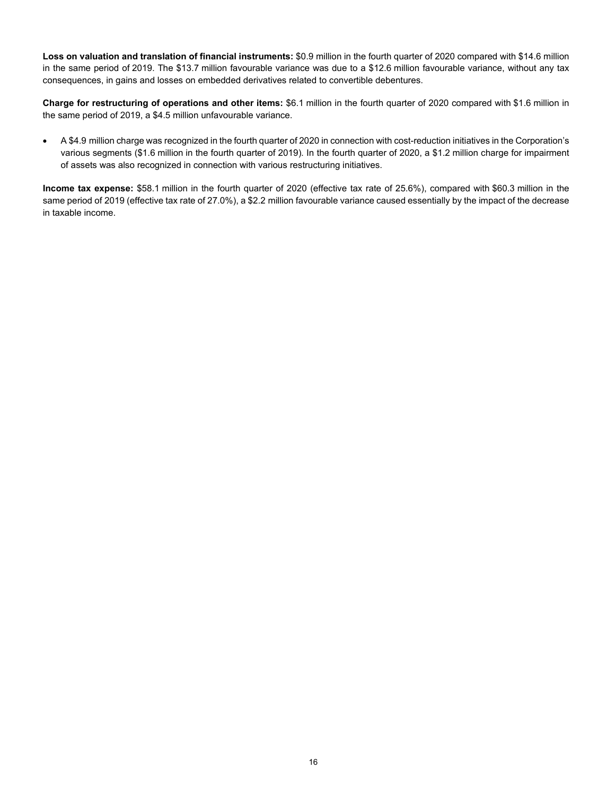**Loss on valuation and translation of financial instruments:** \$0.9 million in the fourth quarter of 2020 compared with \$14.6 million in the same period of 2019. The \$13.7 million favourable variance was due to a \$12.6 million favourable variance, without any tax consequences, in gains and losses on embedded derivatives related to convertible debentures.

**Charge for restructuring of operations and other items:** \$6.1 million in the fourth quarter of 2020 compared with \$1.6 million in the same period of 2019, a \$4.5 million unfavourable variance.

• A \$4.9 million charge was recognized in the fourth quarter of 2020 in connection with cost-reduction initiatives in the Corporation's various segments (\$1.6 million in the fourth quarter of 2019). In the fourth quarter of 2020, a \$1.2 million charge for impairment of assets was also recognized in connection with various restructuring initiatives.

**Income tax expense:** \$58.1 million in the fourth quarter of 2020 (effective tax rate of 25.6%), compared with \$60.3 million in the same period of 2019 (effective tax rate of 27.0%), a \$2.2 million favourable variance caused essentially by the impact of the decrease in taxable income.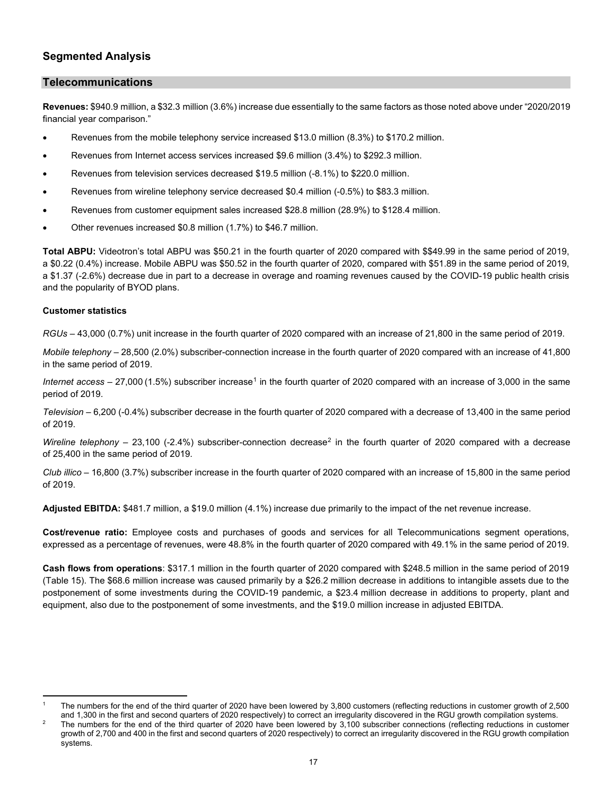# **Segmented Analysis**

# **Telecommunications**

**Revenues:** \$940.9 million, a \$32.3 million (3.6%) increase due essentially to the same factors as those noted above under "2020/2019 financial year comparison."

- Revenues from the mobile telephony service increased \$13.0 million (8.3%) to \$170.2 million.
- Revenues from Internet access services increased \$9.6 million (3.4%) to \$292.3 million.
- Revenues from television services decreased \$19.5 million (-8.1%) to \$220.0 million.
- Revenues from wireline telephony service decreased \$0.4 million (-0.5%) to \$83.3 million.
- Revenues from customer equipment sales increased \$28.8 million (28.9%) to \$128.4 million.
- Other revenues increased \$0.8 million (1.7%) to \$46.7 million.

**Total ABPU:** Videotron's total ABPU was \$50.21 in the fourth quarter of 2020 compared with \$\$49.99 in the same period of 2019, a \$0.22 (0.4%) increase. Mobile ABPU was \$50.52 in the fourth quarter of 2020, compared with \$51.89 in the same period of 2019, a \$1.37 (-2.6%) decrease due in part to a decrease in overage and roaming revenues caused by the COVID-19 public health crisis and the popularity of BYOD plans.

#### **Customer statistics**

*RGUs –* 43,000 (0.7%) unit increase in the fourth quarter of 2020 compared with an increase of 21,800 in the same period of 2019.

*Mobile telephony –* 28,500 (2.0%) subscriber-connection increase in the fourth quarter of 2020 compared with an increase of 41,800 in the same period of 2019.

*Internet access –* 27,000 ([1](#page-16-0).5%) subscriber increase<sup>1</sup> in the fourth quarter of 2020 compared with an increase of 3,000 in the same period of 2019.

*Television –* 6,200 (-0.4%) subscriber decrease in the fourth quarter of 2020 compared with a decrease of 13,400 in the same period of 2019.

*Wireline telephony –* [2](#page-16-1)3,100 (-2.4%) subscriber-connection decrease<sup>2</sup> in the fourth quarter of 2020 compared with a decrease of 25,400 in the same period of 2019.

*Club illico –* 16,800 (3.7%) subscriber increase in the fourth quarter of 2020 compared with an increase of 15,800 in the same period of 2019.

**Adjusted EBITDA:** \$481.7 million, a \$19.0 million (4.1%) increase due primarily to the impact of the net revenue increase.

**Cost/revenue ratio:** Employee costs and purchases of goods and services for all Telecommunications segment operations, expressed as a percentage of revenues, were 48.8% in the fourth quarter of 2020 compared with 49.1% in the same period of 2019.

**Cash flows from operations**: \$317.1 million in the fourth quarter of 2020 compared with \$248.5 million in the same period of 2019 (Table 15). The \$68.6 million increase was caused primarily by a \$26.2 million decrease in additions to intangible assets due to the postponement of some investments during the COVID-19 pandemic, a \$23.4 million decrease in additions to property, plant and equipment, also due to the postponement of some investments, and the \$19.0 million increase in adjusted EBITDA.

<span id="page-16-0"></span><sup>1</sup> The numbers for the end of the third quarter of 2020 have been lowered by 3,800 customers (reflecting reductions in customer growth of 2,500 and 1,300 in the first and second quarters of 2020 respectively) to correct an irregularity discovered in the RGU growth compilation systems.

<span id="page-16-1"></span><sup>&</sup>lt;sup>2</sup> The numbers for the end of the third quarter of 2020 have been lowered by 3,100 subscriber connections (reflecting reductions in customer growth of 2,700 and 400 in the first and second quarters of 2020 respectively) to correct an irregularity discovered in the RGU growth compilation systems.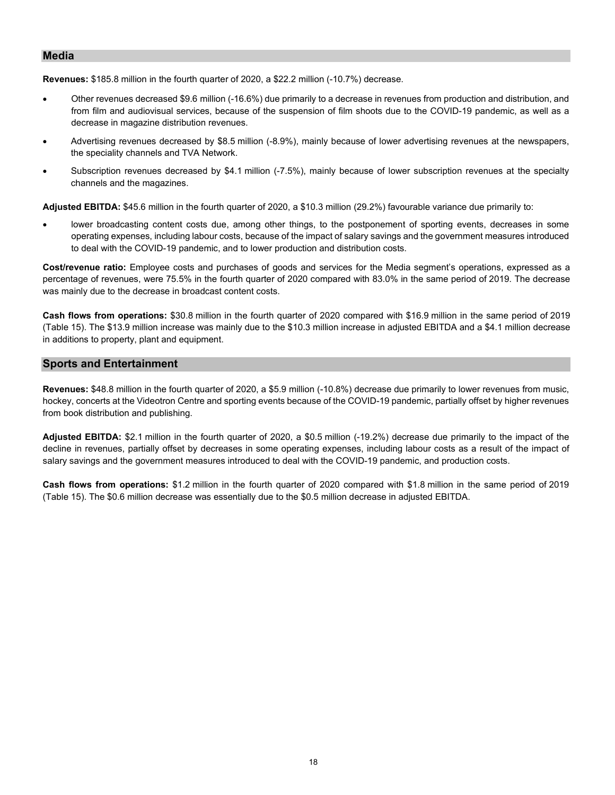# **Media**

**Revenues:** \$185.8 million in the fourth quarter of 2020, a \$22.2 million (-10.7%) decrease.

- Other revenues decreased \$9.6 million (-16.6%) due primarily to a decrease in revenues from production and distribution, and from film and audiovisual services, because of the suspension of film shoots due to the COVID-19 pandemic, as well as a decrease in magazine distribution revenues.
- Advertising revenues decreased by \$8.5 million (-8.9%), mainly because of lower advertising revenues at the newspapers, the speciality channels and TVA Network.
- Subscription revenues decreased by \$4.1 million (-7.5%), mainly because of lower subscription revenues at the specialty channels and the magazines.

**Adjusted EBITDA:** \$45.6 million in the fourth quarter of 2020, a \$10.3 million (29.2%) favourable variance due primarily to:

lower broadcasting content costs due, among other things, to the postponement of sporting events, decreases in some operating expenses, including labour costs, because of the impact of salary savings and the government measures introduced to deal with the COVID-19 pandemic, and to lower production and distribution costs.

**Cost/revenue ratio:** Employee costs and purchases of goods and services for the Media segment's operations, expressed as a percentage of revenues, were 75.5% in the fourth quarter of 2020 compared with 83.0% in the same period of 2019. The decrease was mainly due to the decrease in broadcast content costs.

**Cash flows from operations:** \$30.8 million in the fourth quarter of 2020 compared with \$16.9 million in the same period of 2019 (Table 15). The \$13.9 million increase was mainly due to the \$10.3 million increase in adjusted EBITDA and a \$4.1 million decrease in additions to property, plant and equipment.

#### **Sports and Entertainment**

**Revenues:** \$48.8 million in the fourth quarter of 2020, a \$5.9 million (-10.8%) decrease due primarily to lower revenues from music, hockey, concerts at the Videotron Centre and sporting events because of the COVID-19 pandemic, partially offset by higher revenues from book distribution and publishing.

**Adjusted EBITDA:** \$2.1 million in the fourth quarter of 2020, a \$0.5 million (-19.2%) decrease due primarily to the impact of the decline in revenues, partially offset by decreases in some operating expenses, including labour costs as a result of the impact of salary savings and the government measures introduced to deal with the COVID-19 pandemic, and production costs.

**Cash flows from operations:** \$1.2 million in the fourth quarter of 2020 compared with \$1.8 million in the same period of 2019 (Table 15). The \$0.6 million decrease was essentially due to the \$0.5 million decrease in adjusted EBITDA.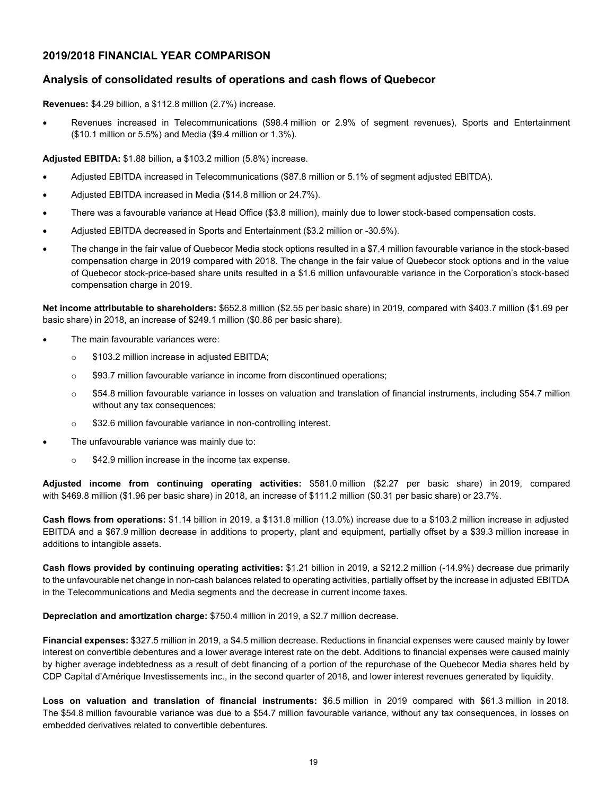# **2019/2018 FINANCIAL YEAR COMPARISON**

# **Analysis of consolidated results of operations and cash flows of Quebecor**

**Revenues:** \$4.29 billion, a \$112.8 million (2.7%) increase.

• Revenues increased in Telecommunications (\$98.4 million or 2.9% of segment revenues), Sports and Entertainment (\$10.1 million or 5.5%) and Media (\$9.4 million or 1.3%).

**Adjusted EBITDA:** \$1.88 billion, a \$103.2 million (5.8%) increase.

- Adjusted EBITDA increased in Telecommunications (\$87.8 million or 5.1% of segment adjusted EBITDA).
- Adjusted EBITDA increased in Media (\$14.8 million or 24.7%).
- There was a favourable variance at Head Office (\$3.8 million), mainly due to lower stock-based compensation costs.
- Adjusted EBITDA decreased in Sports and Entertainment (\$3.2 million or -30.5%).
- The change in the fair value of Quebecor Media stock options resulted in a \$7.4 million favourable variance in the stock-based compensation charge in 2019 compared with 2018. The change in the fair value of Quebecor stock options and in the value of Quebecor stock-price-based share units resulted in a \$1.6 million unfavourable variance in the Corporation's stock-based compensation charge in 2019.

**Net income attributable to shareholders:** \$652.8 million (\$2.55 per basic share) in 2019, compared with \$403.7 million (\$1.69 per basic share) in 2018, an increase of \$249.1 million (\$0.86 per basic share).

- The main favourable variances were:
	- o \$103.2 million increase in adjusted EBITDA;
	- o \$93.7 million favourable variance in income from discontinued operations;
	- $\circ$  \$54.8 million favourable variance in losses on valuation and translation of financial instruments, including \$54.7 million without any tax consequences;
	- **S32.6 million favourable variance in non-controlling interest.**
- The unfavourable variance was mainly due to:
	- **S42.9 million increase in the income tax expense.**

**Adjusted income from continuing operating activities:** \$581.0 million (\$2.27 per basic share) in 2019, compared with \$469.8 million (\$1.96 per basic share) in 2018, an increase of \$111.2 million (\$0.31 per basic share) or 23.7%.

**Cash flows from operations:** \$1.14 billion in 2019, a \$131.8 million (13.0%) increase due to a \$103.2 million increase in adjusted EBITDA and a \$67.9 million decrease in additions to property, plant and equipment, partially offset by a \$39.3 million increase in additions to intangible assets.

**Cash flows provided by continuing operating activities:** \$1.21 billion in 2019, a \$212.2 million (-14.9%) decrease due primarily to the unfavourable net change in non-cash balances related to operating activities, partially offset by the increase in adjusted EBITDA in the Telecommunications and Media segments and the decrease in current income taxes.

**Depreciation and amortization charge:** \$750.4 million in 2019, a \$2.7 million decrease.

**Financial expenses:** \$327.5 million in 2019, a \$4.5 million decrease. Reductions in financial expenses were caused mainly by lower interest on convertible debentures and a lower average interest rate on the debt. Additions to financial expenses were caused mainly by higher average indebtedness as a result of debt financing of a portion of the repurchase of the Quebecor Media shares held by CDP Capital d'Amérique Investissements inc., in the second quarter of 2018, and lower interest revenues generated by liquidity.

**Loss on valuation and translation of financial instruments:** \$6.5 million in 2019 compared with \$61.3 million in 2018. The \$54.8 million favourable variance was due to a \$54.7 million favourable variance, without any tax consequences, in losses on embedded derivatives related to convertible debentures.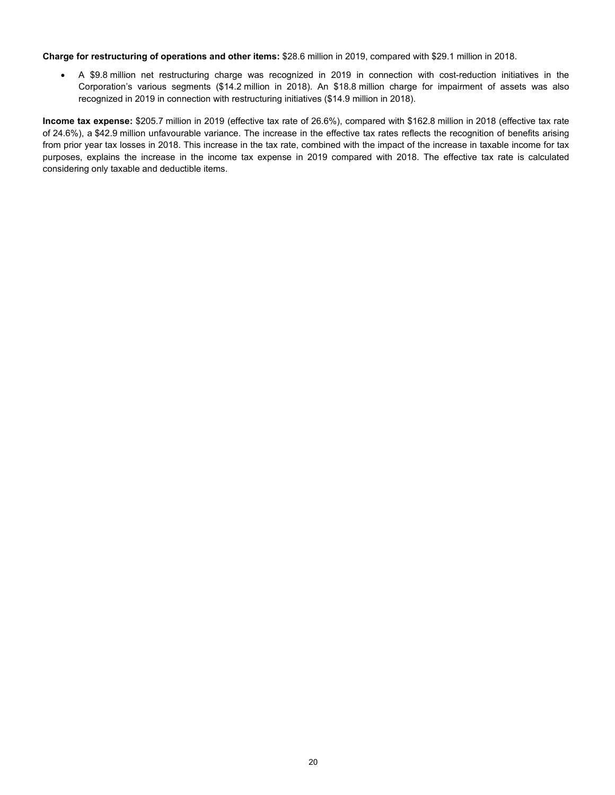**Charge for restructuring of operations and other items:** \$28.6 million in 2019, compared with \$29.1 million in 2018.

• A \$9.8 million net restructuring charge was recognized in 2019 in connection with cost-reduction initiatives in the Corporation's various segments (\$14.2 million in 2018). An \$18.8 million charge for impairment of assets was also recognized in 2019 in connection with restructuring initiatives (\$14.9 million in 2018).

**Income tax expense:** \$205.7 million in 2019 (effective tax rate of 26.6%), compared with \$162.8 million in 2018 (effective tax rate of 24.6%), a \$42.9 million unfavourable variance. The increase in the effective tax rates reflects the recognition of benefits arising from prior year tax losses in 2018. This increase in the tax rate, combined with the impact of the increase in taxable income for tax purposes, explains the increase in the income tax expense in 2019 compared with 2018. The effective tax rate is calculated considering only taxable and deductible items.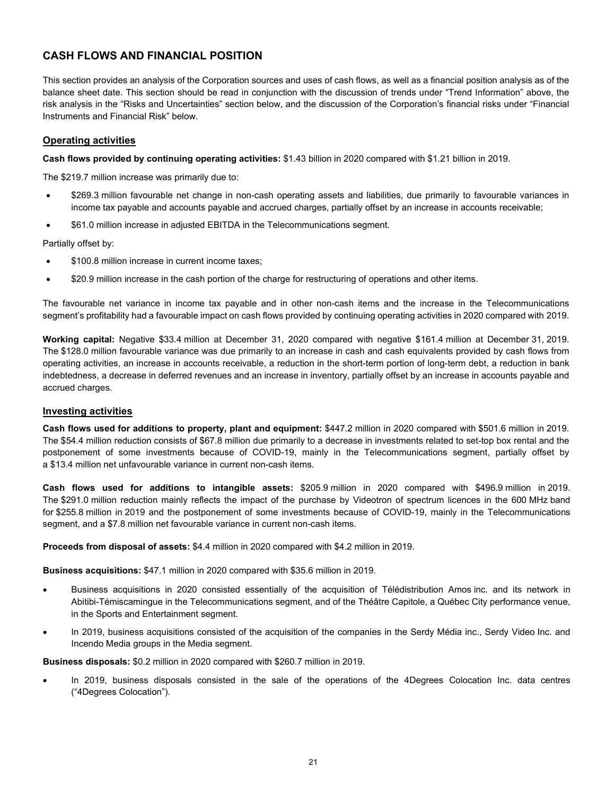# **CASH FLOWS AND FINANCIAL POSITION**

This section provides an analysis of the Corporation sources and uses of cash flows, as well as a financial position analysis as of the balance sheet date. This section should be read in conjunction with the discussion of trends under "Trend Information" above, the risk analysis in the "Risks and Uncertainties" section below, and the discussion of the Corporation's financial risks under "Financial Instruments and Financial Risk" below.

### **Operating activities**

**Cash flows provided by continuing operating activities:** \$1.43 billion in 2020 compared with \$1.21 billion in 2019.

The \$219.7 million increase was primarily due to:

- \$269.3 million favourable net change in non-cash operating assets and liabilities, due primarily to favourable variances in income tax payable and accounts payable and accrued charges, partially offset by an increase in accounts receivable;
- \$61.0 million increase in adjusted EBITDA in the Telecommunications segment.

Partially offset by:

- \$100.8 million increase in current income taxes;
- \$20.9 million increase in the cash portion of the charge for restructuring of operations and other items.

The favourable net variance in income tax payable and in other non-cash items and the increase in the Telecommunications segment's profitability had a favourable impact on cash flows provided by continuing operating activities in 2020 compared with 2019.

**Working capital:** Negative \$33.4 million at December 31, 2020 compared with negative \$161.4 million at December 31, 2019. The \$128.0 million favourable variance was due primarily to an increase in cash and cash equivalents provided by cash flows from operating activities, an increase in accounts receivable, a reduction in the short-term portion of long-term debt, a reduction in bank indebtedness, a decrease in deferred revenues and an increase in inventory, partially offset by an increase in accounts payable and accrued charges.

# **Investing activities**

**Cash flows used for additions to property, plant and equipment:** \$447.2 million in 2020 compared with \$501.6 million in 2019. The \$54.4 million reduction consists of \$67.8 million due primarily to a decrease in investments related to set-top box rental and the postponement of some investments because of COVID-19, mainly in the Telecommunications segment, partially offset by a \$13.4 million net unfavourable variance in current non-cash items.

**Cash flows used for additions to intangible assets:** \$205.9 million in 2020 compared with \$496.9 million in 2019. The \$291.0 million reduction mainly reflects the impact of the purchase by Videotron of spectrum licences in the 600 MHz band for \$255.8 million in 2019 and the postponement of some investments because of COVID-19, mainly in the Telecommunications segment, and a \$7.8 million net favourable variance in current non-cash items.

**Proceeds from disposal of assets:** \$4.4 million in 2020 compared with \$4.2 million in 2019.

**Business acquisitions:** \$47.1 million in 2020 compared with \$35.6 million in 2019.

- Business acquisitions in 2020 consisted essentially of the acquisition of Télédistribution Amos inc. and its network in Abitibi-Témiscamingue in the Telecommunications segment, and of the Théâtre Capitole, a Québec City performance venue, in the Sports and Entertainment segment.
- In 2019, business acquisitions consisted of the acquisition of the companies in the Serdy Média inc., Serdy Video Inc. and Incendo Media groups in the Media segment.

**Business disposals:** \$0.2 million in 2020 compared with \$260.7 million in 2019.

In 2019, business disposals consisted in the sale of the operations of the 4Degrees Colocation Inc. data centres ("4Degrees Colocation").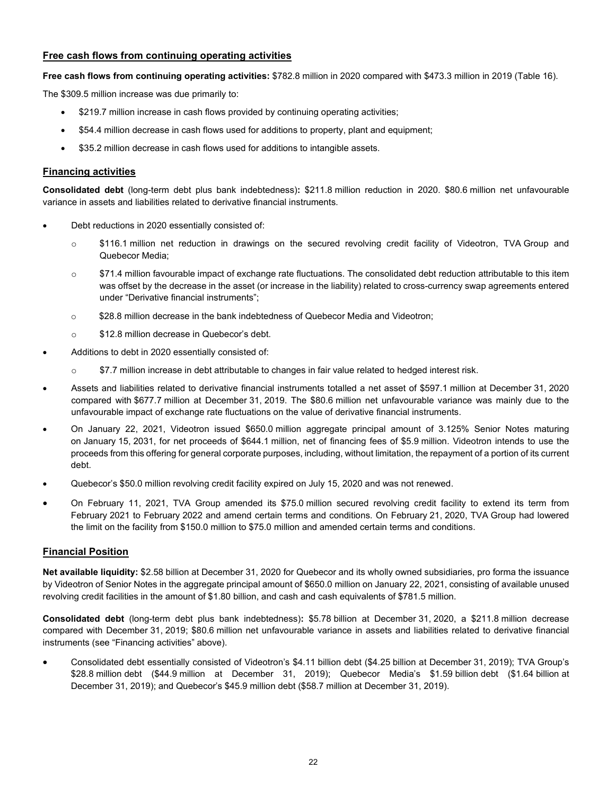# **Free cash flows from continuing operating activities**

**Free cash flows from continuing operating activities:** \$782.8 million in 2020 compared with \$473.3 million in 2019 (Table 16).

The \$309.5 million increase was due primarily to:

- \$219.7 million increase in cash flows provided by continuing operating activities;
- \$54.4 million decrease in cash flows used for additions to property, plant and equipment;
- \$35.2 million decrease in cash flows used for additions to intangible assets.

# **Financing activities**

**Consolidated debt** (long-term debt plus bank indebtedness)**:** \$211.8 million reduction in 2020. \$80.6 million net unfavourable variance in assets and liabilities related to derivative financial instruments.

- Debt reductions in 2020 essentially consisted of:
	- o \$116.1 million net reduction in drawings on the secured revolving credit facility of Videotron, TVA Group and Quebecor Media;
	- o \$71.4 million favourable impact of exchange rate fluctuations. The consolidated debt reduction attributable to this item was offset by the decrease in the asset (or increase in the liability) related to cross-currency swap agreements entered under "Derivative financial instruments";
	- o \$28.8 million decrease in the bank indebtedness of Quebecor Media and Videotron;
	- o \$12.8 million decrease in Quebecor's debt.
- Additions to debt in 2020 essentially consisted of:
	- o \$7.7 million increase in debt attributable to changes in fair value related to hedged interest risk.
- Assets and liabilities related to derivative financial instruments totalled a net asset of \$597.1 million at December 31, 2020 compared with \$677.7 million at December 31, 2019. The \$80.6 million net unfavourable variance was mainly due to the unfavourable impact of exchange rate fluctuations on the value of derivative financial instruments.
- On January 22, 2021, Videotron issued \$650.0 million aggregate principal amount of 3.125% Senior Notes maturing on January 15, 2031, for net proceeds of \$644.1 million, net of financing fees of \$5.9 million. Videotron intends to use the proceeds from this offering for general corporate purposes, including, without limitation, the repayment of a portion of its current debt.
- Quebecor's \$50.0 million revolving credit facility expired on July 15, 2020 and was not renewed.
- On February 11, 2021, TVA Group amended its \$75.0 million secured revolving credit facility to extend its term from February 2021 to February 2022 and amend certain terms and conditions. On February 21, 2020, TVA Group had lowered the limit on the facility from \$150.0 million to \$75.0 million and amended certain terms and conditions.

# **Financial Position**

**Net available liquidity:** \$2.58 billion at December 31, 2020 for Quebecor and its wholly owned subsidiaries, pro forma the issuance by Videotron of Senior Notes in the aggregate principal amount of \$650.0 million on January 22, 2021, consisting of available unused revolving credit facilities in the amount of \$1.80 billion, and cash and cash equivalents of \$781.5 million.

**Consolidated debt** (long-term debt plus bank indebtedness)**:** \$5.78 billion at December 31, 2020, a \$211.8 million decrease compared with December 31, 2019; \$80.6 million net unfavourable variance in assets and liabilities related to derivative financial instruments (see "Financing activities" above).

• Consolidated debt essentially consisted of Videotron's \$4.11 billion debt (\$4.25 billion at December 31, 2019); TVA Group's \$28.8 million debt (\$44.9 million at December 31, 2019); Quebecor Media's \$1.59 billion debt (\$1.64 billion at December 31, 2019); and Quebecor's \$45.9 million debt (\$58.7 million at December 31, 2019).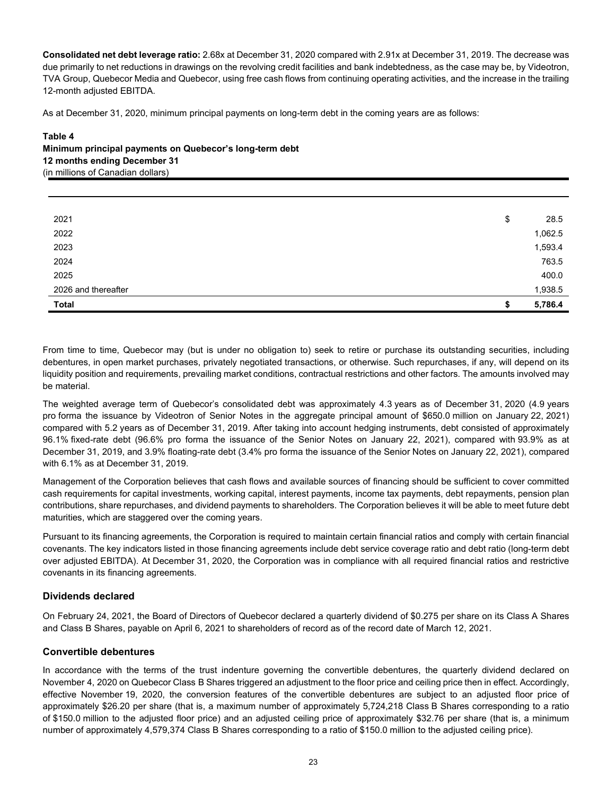**Consolidated net debt leverage ratio:** 2.68x at December 31, 2020 compared with 2.91x at December 31, 2019. The decrease was due primarily to net reductions in drawings on the revolving credit facilities and bank indebtedness, as the case may be, by Videotron, TVA Group, Quebecor Media and Quebecor, using free cash flows from continuing operating activities, and the increase in the trailing 12-month adjusted EBITDA.

As at December 31, 2020, minimum principal payments on long-term debt in the coming years are as follows:

# **Table 4 Minimum principal payments on Quebecor's long-term debt 12 months ending December 31**  (in millions of Canadian dollars)

| 2021                | \$<br>28.5    |
|---------------------|---------------|
| 2022                | 1,062.5       |
| 2023                | 1,593.4       |
| 2024                | 763.5         |
| 2025                | 400.0         |
| 2026 and thereafter | 1,938.5       |
| <b>Total</b>        | \$<br>5,786.4 |

From time to time, Quebecor may (but is under no obligation to) seek to retire or purchase its outstanding securities, including debentures, in open market purchases, privately negotiated transactions, or otherwise. Such repurchases, if any, will depend on its liquidity position and requirements, prevailing market conditions, contractual restrictions and other factors. The amounts involved may be material.

The weighted average term of Quebecor's consolidated debt was approximately 4.3 years as of December 31, 2020 (4.9 years pro forma the issuance by Videotron of Senior Notes in the aggregate principal amount of \$650.0 million on January 22, 2021) compared with 5.2 years as of December 31, 2019. After taking into account hedging instruments, debt consisted of approximately 96.1% fixed-rate debt (96.6% pro forma the issuance of the Senior Notes on January 22, 2021), compared with 93.9% as at December 31, 2019, and 3.9% floating-rate debt (3.4% pro forma the issuance of the Senior Notes on January 22, 2021), compared with 6.1% as at December 31, 2019.

Management of the Corporation believes that cash flows and available sources of financing should be sufficient to cover committed cash requirements for capital investments, working capital, interest payments, income tax payments, debt repayments, pension plan contributions, share repurchases, and dividend payments to shareholders. The Corporation believes it will be able to meet future debt maturities, which are staggered over the coming years.

Pursuant to its financing agreements, the Corporation is required to maintain certain financial ratios and comply with certain financial covenants. The key indicators listed in those financing agreements include debt service coverage ratio and debt ratio (long-term debt over adjusted EBITDA). At December 31, 2020, the Corporation was in compliance with all required financial ratios and restrictive covenants in its financing agreements.

# **Dividends declared**

On February 24, 2021, the Board of Directors of Quebecor declared a quarterly dividend of \$0.275 per share on its Class A Shares and Class B Shares, payable on April 6, 2021 to shareholders of record as of the record date of March 12, 2021.

# **Convertible debentures**

In accordance with the terms of the trust indenture governing the convertible debentures, the quarterly dividend declared on November 4, 2020 on Quebecor Class B Shares triggered an adjustment to the floor price and ceiling price then in effect. Accordingly, effective November 19, 2020, the conversion features of the convertible debentures are subject to an adjusted floor price of approximately \$26.20 per share (that is, a maximum number of approximately 5,724,218 Class B Shares corresponding to a ratio of \$150.0 million to the adjusted floor price) and an adjusted ceiling price of approximately \$32.76 per share (that is, a minimum number of approximately 4,579,374 Class B Shares corresponding to a ratio of \$150.0 million to the adjusted ceiling price).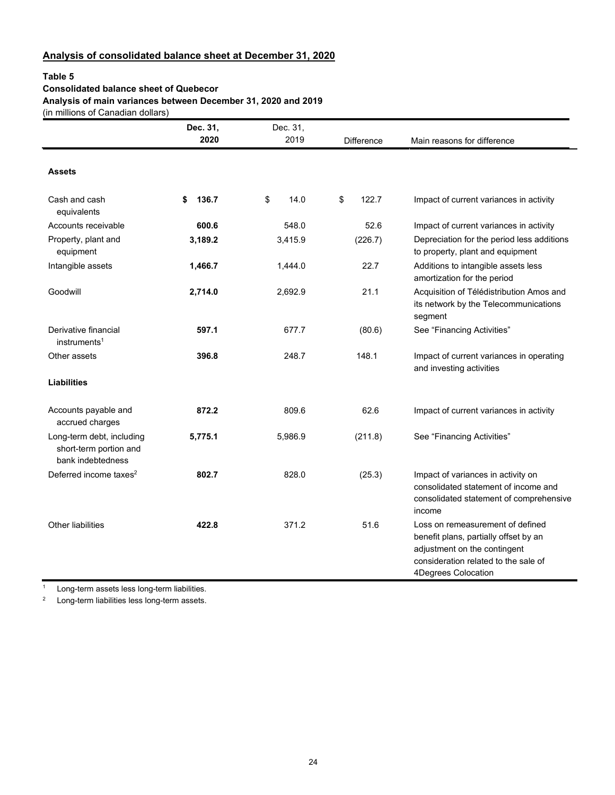# **Analysis of consolidated balance sheet at December 31, 2020**

# **Table 5**

# **Consolidated balance sheet of Quebecor**

**Analysis of main variances between December 31, 2020 and 2019**

(in millions of Canadian dollars)

|                                                                          | Dec. 31,    | Dec. 31,   |                   |                                                                                                                                                                          |
|--------------------------------------------------------------------------|-------------|------------|-------------------|--------------------------------------------------------------------------------------------------------------------------------------------------------------------------|
|                                                                          | 2020        | 2019       | <b>Difference</b> | Main reasons for difference                                                                                                                                              |
| <b>Assets</b>                                                            |             |            |                   |                                                                                                                                                                          |
| Cash and cash<br>equivalents                                             | 136.7<br>\$ | \$<br>14.0 | \$<br>122.7       | Impact of current variances in activity                                                                                                                                  |
| Accounts receivable                                                      | 600.6       | 548.0      | 52.6              | Impact of current variances in activity                                                                                                                                  |
| Property, plant and<br>equipment                                         | 3,189.2     | 3,415.9    | (226.7)           | Depreciation for the period less additions<br>to property, plant and equipment                                                                                           |
| Intangible assets                                                        | 1,466.7     | 1,444.0    | 22.7              | Additions to intangible assets less<br>amortization for the period                                                                                                       |
| Goodwill                                                                 | 2,714.0     | 2,692.9    | 21.1              | Acquisition of Télédistribution Amos and<br>its network by the Telecommunications<br>segment                                                                             |
| Derivative financial<br>instruments <sup>1</sup>                         | 597.1       | 677.7      | (80.6)            | See "Financing Activities"                                                                                                                                               |
| Other assets                                                             | 396.8       | 248.7      | 148.1             | Impact of current variances in operating<br>and investing activities                                                                                                     |
| <b>Liabilities</b>                                                       |             |            |                   |                                                                                                                                                                          |
| Accounts payable and<br>accrued charges                                  | 872.2       | 809.6      | 62.6              | Impact of current variances in activity                                                                                                                                  |
| Long-term debt, including<br>short-term portion and<br>bank indebtedness | 5,775.1     | 5,986.9    | (211.8)           | See "Financing Activities"                                                                                                                                               |
| Deferred income taxes <sup>2</sup>                                       | 802.7       | 828.0      | (25.3)            | Impact of variances in activity on<br>consolidated statement of income and<br>consolidated statement of comprehensive<br>income                                          |
| <b>Other liabilities</b>                                                 | 422.8       | 371.2      | 51.6              | Loss on remeasurement of defined<br>benefit plans, partially offset by an<br>adjustment on the contingent<br>consideration related to the sale of<br>4Degrees Colocation |

<sup>1</sup> Long-term assets less long-term liabilities.

<sup>2</sup> Long-term liabilities less long-term assets.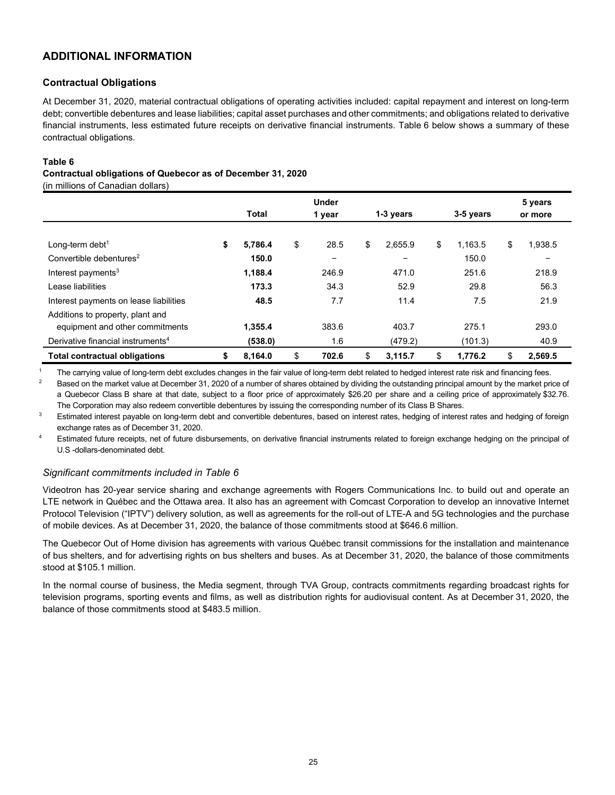# **ADDITIONAL INFORMATION**

# **Contractual Obligations**

At December 31, 2020, material contractual obligations of operating activities included: capital repayment and interest on long-term debt; convertible debentures and lease liabilities; capital asset purchases and other commitments; and obligations related to derivative financial instruments, less estimated future receipts on derivative financial instruments. Table 6 below shows a summary of these contractual obligations.

#### **Table 6**

#### **Contractual obligations of Quebecor as of December 31, 2020**

(in millions of Canadian dollars)

|                                               | <b>Under</b><br>Total<br>1-3 years<br>3-5 years<br>1 year |    |       |    |         | 5 years<br>or more |    |         |
|-----------------------------------------------|-----------------------------------------------------------|----|-------|----|---------|--------------------|----|---------|
|                                               |                                                           |    |       |    |         |                    |    |         |
| Long-term debt <sup>1</sup>                   | \$<br>5.786.4                                             | \$ | 28.5  | \$ | 2.655.9 | \$<br>1.163.5      | \$ | 1,938.5 |
| Convertible debentures <sup>2</sup>           | 150.0                                                     |    | -     |    | -       | 150.0              |    | -       |
| Interest payments <sup>3</sup>                | 1,188.4                                                   |    | 246.9 |    | 471.0   | 251.6              |    | 218.9   |
| Lease liabilities                             | 173.3                                                     |    | 34.3  |    | 52.9    | 29.8               |    | 56.3    |
| Interest payments on lease liabilities        | 48.5                                                      |    | 7.7   |    | 11.4    | 7.5                |    | 21.9    |
| Additions to property, plant and              |                                                           |    |       |    |         |                    |    |         |
| equipment and other commitments               | 1.355.4                                                   |    | 383.6 |    | 403.7   | 275.1              |    | 293.0   |
| Derivative financial instruments <sup>4</sup> | (538.0)                                                   |    | 1.6   |    | (479.2) | (101.3)            |    | 40.9    |
| <b>Total contractual obligations</b>          | 8,164.0                                                   | \$ | 702.6 | S  | 3,115.7 | \$<br>1,776.2      | \$ | 2,569.5 |

<sup>1</sup> The carrying value of long-term debt excludes changes in the fair value of long-term debt related to hedged interest rate risk and financing fees.<br><sup>2</sup> Based on the market value at December 31, 2020 of a number of charg

Based on the market value at December 31, 2020 of a number of shares obtained by dividing the outstanding principal amount by the market price of a Quebecor Class B share at that date, subject to a floor price of approximately \$26.20 per share and a ceiling price of approximately \$32.76. The Corporation may also redeem convertible debentures by issuing the corresponding number of its Class B Shares.

<sup>3</sup> Estimated interest payable on long-term debt and convertible debentures, based on interest rates, hedging of interest rates and hedging of foreign exchange rates as of December 31, 2020.

Estimated future receipts, net of future disbursements, on derivative financial instruments related to foreign exchange hedging on the principal of U.S -dollars-denominated debt*.*

# *Significant commitments included in Table 6*

Videotron has 20-year service sharing and exchange agreements with Rogers Communications Inc. to build out and operate an LTE network in Québec and the Ottawa area. It also has an agreement with Comcast Corporation to develop an innovative Internet Protocol Television ("IPTV") delivery solution, as well as agreements for the roll-out of LTE-A and 5G technologies and the purchase of mobile devices. As at December 31, 2020, the balance of those commitments stood at \$646.6 million.

The Quebecor Out of Home division has agreements with various Québec transit commissions for the installation and maintenance of bus shelters, and for advertising rights on bus shelters and buses. As at December 31, 2020, the balance of those commitments stood at \$105.1 million.

In the normal course of business, the Media segment, through TVA Group, contracts commitments regarding broadcast rights for television programs, sporting events and films, as well as distribution rights for audiovisual content. As at December 31, 2020, the balance of those commitments stood at \$483.5 million.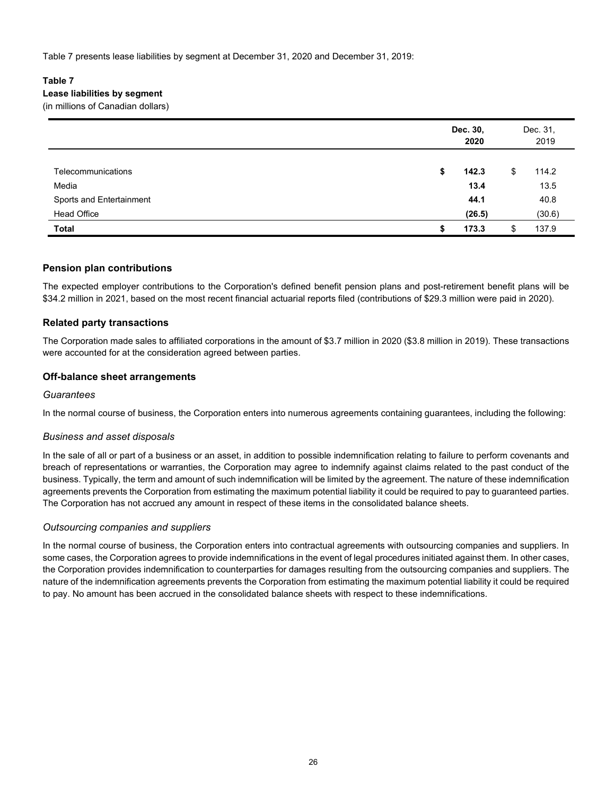Table 7 presents lease liabilities by segment at December 31, 2020 and December 31, 2019:

# **Table 7**

# **Lease liabilities by segment**

(in millions of Canadian dollars)

|                          | Dec. 30,<br>2020 |    |        |
|--------------------------|------------------|----|--------|
| Telecommunications       | \$<br>142.3      | \$ | 114.2  |
| Media                    | 13.4             |    | 13.5   |
| Sports and Entertainment | 44.1             |    | 40.8   |
| <b>Head Office</b>       | (26.5)           |    | (30.6) |
| <b>Total</b>             | \$<br>173.3      | \$ | 137.9  |

# **Pension plan contributions**

The expected employer contributions to the Corporation's defined benefit pension plans and post-retirement benefit plans will be \$34.2 million in 2021, based on the most recent financial actuarial reports filed (contributions of \$29.3 million were paid in 2020).

# **Related party transactions**

The Corporation made sales to affiliated corporations in the amount of \$3.7 million in 2020 (\$3.8 million in 2019). These transactions were accounted for at the consideration agreed between parties.

# **Off-balance sheet arrangements**

#### *Guarantees*

In the normal course of business, the Corporation enters into numerous agreements containing guarantees, including the following:

#### *Business and asset disposals*

In the sale of all or part of a business or an asset, in addition to possible indemnification relating to failure to perform covenants and breach of representations or warranties, the Corporation may agree to indemnify against claims related to the past conduct of the business. Typically, the term and amount of such indemnification will be limited by the agreement. The nature of these indemnification agreements prevents the Corporation from estimating the maximum potential liability it could be required to pay to guaranteed parties. The Corporation has not accrued any amount in respect of these items in the consolidated balance sheets.

# *Outsourcing companies and suppliers*

In the normal course of business, the Corporation enters into contractual agreements with outsourcing companies and suppliers. In some cases, the Corporation agrees to provide indemnifications in the event of legal procedures initiated against them. In other cases, the Corporation provides indemnification to counterparties for damages resulting from the outsourcing companies and suppliers. The nature of the indemnification agreements prevents the Corporation from estimating the maximum potential liability it could be required to pay. No amount has been accrued in the consolidated balance sheets with respect to these indemnifications.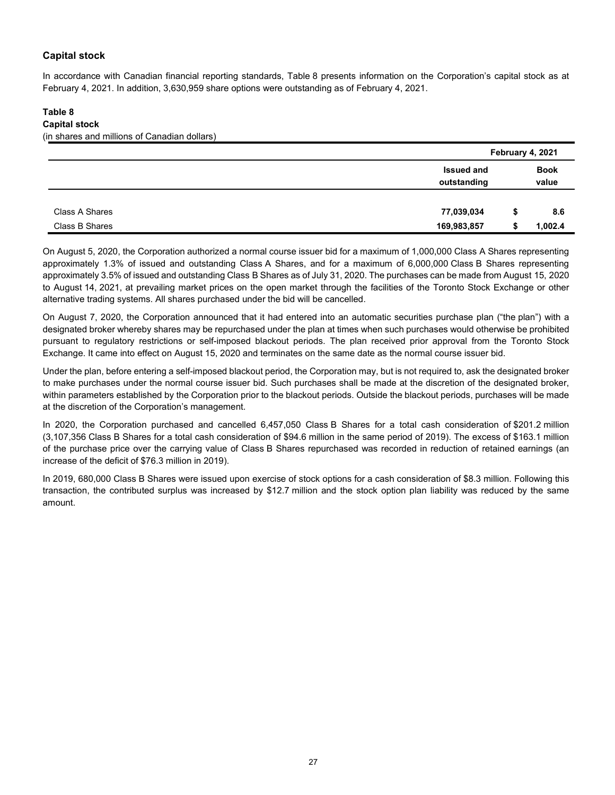# **Capital stock**

In accordance with Canadian financial reporting standards, Table 8 presents information on the Corporation's capital stock as at February 4, 2021. In addition, 3,630,959 share options were outstanding as of February 4, 2021.

## **Table 8**

## **Capital stock**

(in shares and millions of Canadian dollars)

|                |                   | February 4, 2021 |
|----------------|-------------------|------------------|
|                | <b>Issued and</b> | <b>Book</b>      |
|                | outstanding       | value            |
|                |                   |                  |
| Class A Shares | 77,039,034        | 8.6<br>\$        |
| Class B Shares | 169,983,857       | 1,002.4          |

On August 5, 2020, the Corporation authorized a normal course issuer bid for a maximum of 1,000,000 Class A Shares representing approximately 1.3% of issued and outstanding Class A Shares, and for a maximum of 6,000,000 Class B Shares representing approximately 3.5% of issued and outstanding Class B Shares as of July 31, 2020. The purchases can be made from August 15, 2020 to August 14, 2021, at prevailing market prices on the open market through the facilities of the Toronto Stock Exchange or other alternative trading systems. All shares purchased under the bid will be cancelled.

On August 7, 2020, the Corporation announced that it had entered into an automatic securities purchase plan ("the plan") with a designated broker whereby shares may be repurchased under the plan at times when such purchases would otherwise be prohibited pursuant to regulatory restrictions or self-imposed blackout periods. The plan received prior approval from the Toronto Stock Exchange. It came into effect on August 15, 2020 and terminates on the same date as the normal course issuer bid.

Under the plan, before entering a self-imposed blackout period, the Corporation may, but is not required to, ask the designated broker to make purchases under the normal course issuer bid. Such purchases shall be made at the discretion of the designated broker, within parameters established by the Corporation prior to the blackout periods. Outside the blackout periods, purchases will be made at the discretion of the Corporation's management.

In 2020, the Corporation purchased and cancelled 6,457,050 Class B Shares for a total cash consideration of \$201.2 million (3,107,356 Class B Shares for a total cash consideration of \$94.6 million in the same period of 2019). The excess of \$163.1 million of the purchase price over the carrying value of Class B Shares repurchased was recorded in reduction of retained earnings (an increase of the deficit of \$76.3 million in 2019).

In 2019, 680,000 Class B Shares were issued upon exercise of stock options for a cash consideration of \$8.3 million. Following this transaction, the contributed surplus was increased by \$12.7 million and the stock option plan liability was reduced by the same amount.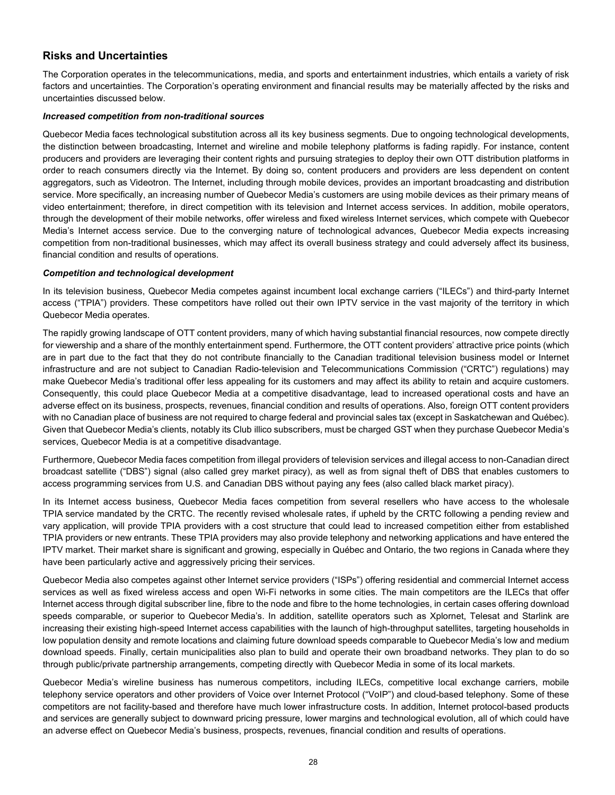# **Risks and Uncertainties**

The Corporation operates in the telecommunications, media, and sports and entertainment industries, which entails a variety of risk factors and uncertainties. The Corporation's operating environment and financial results may be materially affected by the risks and uncertainties discussed below.

#### *Increased competition from non-traditional sources*

Quebecor Media faces technological substitution across all its key business segments. Due to ongoing technological developments, the distinction between broadcasting, Internet and wireline and mobile telephony platforms is fading rapidly. For instance, content producers and providers are leveraging their content rights and pursuing strategies to deploy their own OTT distribution platforms in order to reach consumers directly via the Internet. By doing so, content producers and providers are less dependent on content aggregators, such as Videotron. The Internet, including through mobile devices, provides an important broadcasting and distribution service. More specifically, an increasing number of Quebecor Media's customers are using mobile devices as their primary means of video entertainment; therefore, in direct competition with its television and Internet access services. In addition, mobile operators, through the development of their mobile networks, offer wireless and fixed wireless Internet services, which compete with Quebecor Media's Internet access service. Due to the converging nature of technological advances, Quebecor Media expects increasing competition from non-traditional businesses, which may affect its overall business strategy and could adversely affect its business, financial condition and results of operations.

#### *Competition and technological development*

In its television business, Quebecor Media competes against incumbent local exchange carriers ("ILECs") and third-party Internet access ("TPIA") providers. These competitors have rolled out their own IPTV service in the vast majority of the territory in which Quebecor Media operates.

The rapidly growing landscape of OTT content providers, many of which having substantial financial resources, now compete directly for viewership and a share of the monthly entertainment spend. Furthermore, the OTT content providers' attractive price points (which are in part due to the fact that they do not contribute financially to the Canadian traditional television business model or Internet infrastructure and are not subject to Canadian Radio-television and Telecommunications Commission ("CRTC") regulations) may make Quebecor Media's traditional offer less appealing for its customers and may affect its ability to retain and acquire customers. Consequently, this could place Quebecor Media at a competitive disadvantage, lead to increased operational costs and have an adverse effect on its business, prospects, revenues, financial condition and results of operations. Also, foreign OTT content providers with no Canadian place of business are not required to charge federal and provincial sales tax (except in Saskatchewan and Québec). Given that Quebecor Media's clients, notably its Club illico subscribers, must be charged GST when they purchase Quebecor Media's services, Quebecor Media is at a competitive disadvantage.

Furthermore, Quebecor Media faces competition from illegal providers of television services and illegal access to non-Canadian direct broadcast satellite ("DBS") signal (also called grey market piracy), as well as from signal theft of DBS that enables customers to access programming services from U.S. and Canadian DBS without paying any fees (also called black market piracy).

In its Internet access business, Quebecor Media faces competition from several resellers who have access to the wholesale TPIA service mandated by the CRTC. The recently revised wholesale rates, if upheld by the CRTC following a pending review and vary application, will provide TPIA providers with a cost structure that could lead to increased competition either from established TPIA providers or new entrants. These TPIA providers may also provide telephony and networking applications and have entered the IPTV market. Their market share is significant and growing, especially in Québec and Ontario, the two regions in Canada where they have been particularly active and aggressively pricing their services.

Quebecor Media also competes against other Internet service providers ("ISPs") offering residential and commercial Internet access services as well as fixed wireless access and open Wi-Fi networks in some cities. The main competitors are the ILECs that offer Internet access through digital subscriber line, fibre to the node and fibre to the home technologies, in certain cases offering download speeds comparable, or superior to Quebecor Media's. In addition, satellite operators such as Xplornet, Telesat and Starlink are increasing their existing high-speed Internet access capabilities with the launch of high-throughput satellites, targeting households in low population density and remote locations and claiming future download speeds comparable to Quebecor Media's low and medium download speeds. Finally, certain municipalities also plan to build and operate their own broadband networks. They plan to do so through public/private partnership arrangements, competing directly with Quebecor Media in some of its local markets.

Quebecor Media's wireline business has numerous competitors, including ILECs, competitive local exchange carriers, mobile telephony service operators and other providers of Voice over Internet Protocol ("VoIP") and cloud-based telephony. Some of these competitors are not facility-based and therefore have much lower infrastructure costs. In addition, Internet protocol-based products and services are generally subject to downward pricing pressure, lower margins and technological evolution, all of which could have an adverse effect on Quebecor Media's business, prospects, revenues, financial condition and results of operations.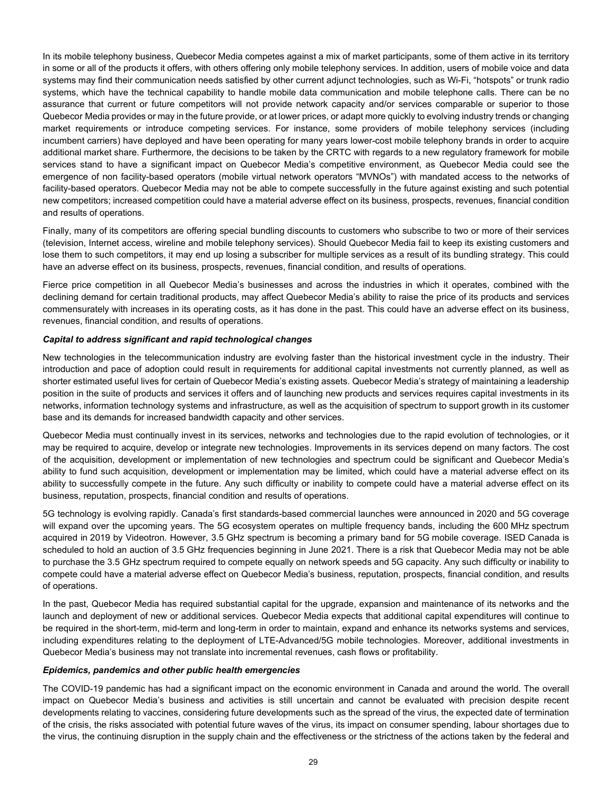In its mobile telephony business, Quebecor Media competes against a mix of market participants, some of them active in its territory in some or all of the products it offers, with others offering only mobile telephony services. In addition, users of mobile voice and data systems may find their communication needs satisfied by other current adjunct technologies, such as Wi-Fi, "hotspots" or trunk radio systems, which have the technical capability to handle mobile data communication and mobile telephone calls. There can be no assurance that current or future competitors will not provide network capacity and/or services comparable or superior to those Quebecor Media provides or may in the future provide, or at lower prices, or adapt more quickly to evolving industry trends or changing market requirements or introduce competing services. For instance, some providers of mobile telephony services (including incumbent carriers) have deployed and have been operating for many years lower-cost mobile telephony brands in order to acquire additional market share. Furthermore, the decisions to be taken by the CRTC with regards to a new regulatory framework for mobile services stand to have a significant impact on Quebecor Media's competitive environment, as Quebecor Media could see the emergence of non facility-based operators (mobile virtual network operators "MVNOs") with mandated access to the networks of facility-based operators. Quebecor Media may not be able to compete successfully in the future against existing and such potential new competitors; increased competition could have a material adverse effect on its business, prospects, revenues, financial condition and results of operations.

Finally, many of its competitors are offering special bundling discounts to customers who subscribe to two or more of their services (television, Internet access, wireline and mobile telephony services). Should Quebecor Media fail to keep its existing customers and lose them to such competitors, it may end up losing a subscriber for multiple services as a result of its bundling strategy. This could have an adverse effect on its business, prospects, revenues, financial condition, and results of operations.

Fierce price competition in all Quebecor Media's businesses and across the industries in which it operates, combined with the declining demand for certain traditional products, may affect Quebecor Media's ability to raise the price of its products and services commensurately with increases in its operating costs, as it has done in the past. This could have an adverse effect on its business, revenues, financial condition, and results of operations.

#### *Capital to address significant and rapid technological changes*

New technologies in the telecommunication industry are evolving faster than the historical investment cycle in the industry. Their introduction and pace of adoption could result in requirements for additional capital investments not currently planned, as well as shorter estimated useful lives for certain of Quebecor Media's existing assets. Quebecor Media's strategy of maintaining a leadership position in the suite of products and services it offers and of launching new products and services requires capital investments in its networks, information technology systems and infrastructure, as well as the acquisition of spectrum to support growth in its customer base and its demands for increased bandwidth capacity and other services.

Quebecor Media must continually invest in its services, networks and technologies due to the rapid evolution of technologies, or it may be required to acquire, develop or integrate new technologies. Improvements in its services depend on many factors. The cost of the acquisition, development or implementation of new technologies and spectrum could be significant and Quebecor Media's ability to fund such acquisition, development or implementation may be limited, which could have a material adverse effect on its ability to successfully compete in the future. Any such difficulty or inability to compete could have a material adverse effect on its business, reputation, prospects, financial condition and results of operations.

5G technology is evolving rapidly. Canada's first standards-based commercial launches were announced in 2020 and 5G coverage will expand over the upcoming years. The 5G ecosystem operates on multiple frequency bands, including the 600 MHz spectrum acquired in 2019 by Videotron. However, 3.5 GHz spectrum is becoming a primary band for 5G mobile coverage. ISED Canada is scheduled to hold an auction of 3.5 GHz frequencies beginning in June 2021. There is a risk that Quebecor Media may not be able to purchase the 3.5 GHz spectrum required to compete equally on network speeds and 5G capacity. Any such difficulty or inability to compete could have a material adverse effect on Quebecor Media's business, reputation, prospects, financial condition, and results of operations.

In the past, Quebecor Media has required substantial capital for the upgrade, expansion and maintenance of its networks and the launch and deployment of new or additional services. Quebecor Media expects that additional capital expenditures will continue to be required in the short-term, mid-term and long-term in order to maintain, expand and enhance its networks systems and services, including expenditures relating to the deployment of LTE-Advanced/5G mobile technologies. Moreover, additional investments in Quebecor Media's business may not translate into incremental revenues, cash flows or profitability.

#### *Epidemics, pandemics and other public health emergencies*

The COVID-19 pandemic has had a significant impact on the economic environment in Canada and around the world. The overall impact on Quebecor Media's business and activities is still uncertain and cannot be evaluated with precision despite recent developments relating to vaccines, considering future developments such as the spread of the virus, the expected date of termination of the crisis, the risks associated with potential future waves of the virus, its impact on consumer spending, labour shortages due to the virus, the continuing disruption in the supply chain and the effectiveness or the strictness of the actions taken by the federal and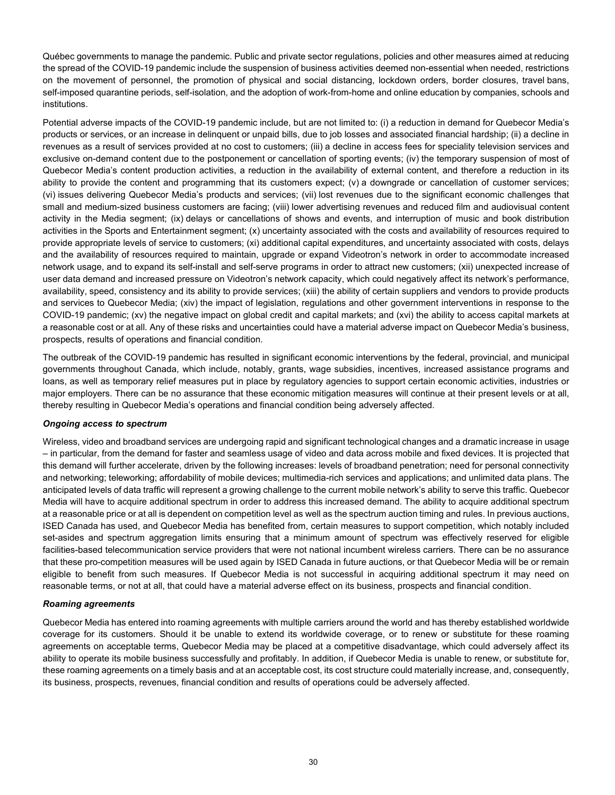Québec governments to manage the pandemic. Public and private sector regulations, policies and other measures aimed at reducing the spread of the COVID-19 pandemic include the suspension of business activities deemed non-essential when needed, restrictions on the movement of personnel, the promotion of physical and social distancing, lockdown orders, border closures, travel bans, self-imposed quarantine periods, self-isolation, and the adoption of work-from-home and online education by companies, schools and institutions.

Potential adverse impacts of the COVID-19 pandemic include, but are not limited to: (i) a reduction in demand for Quebecor Media's products or services, or an increase in delinquent or unpaid bills, due to job losses and associated financial hardship; (ii) a decline in revenues as a result of services provided at no cost to customers; (iii) a decline in access fees for speciality television services and exclusive on-demand content due to the postponement or cancellation of sporting events; (iv) the temporary suspension of most of Quebecor Media's content production activities, a reduction in the availability of external content, and therefore a reduction in its ability to provide the content and programming that its customers expect; (v) a downgrade or cancellation of customer services; (vi) issues delivering Quebecor Media's products and services; (vii) lost revenues due to the significant economic challenges that small and medium-sized business customers are facing; (viii) lower advertising revenues and reduced film and audiovisual content activity in the Media segment; (ix) delays or cancellations of shows and events, and interruption of music and book distribution activities in the Sports and Entertainment segment; (x) uncertainty associated with the costs and availability of resources required to provide appropriate levels of service to customers; (xi) additional capital expenditures, and uncertainty associated with costs, delays and the availability of resources required to maintain, upgrade or expand Videotron's network in order to accommodate increased network usage, and to expand its self-install and self-serve programs in order to attract new customers; (xii) unexpected increase of user data demand and increased pressure on Videotron's network capacity, which could negatively affect its network's performance, availability, speed, consistency and its ability to provide services; (xiii) the ability of certain suppliers and vendors to provide products and services to Quebecor Media; (xiv) the impact of legislation, regulations and other government interventions in response to the COVID-19 pandemic; (xv) the negative impact on global credit and capital markets; and (xvi) the ability to access capital markets at a reasonable cost or at all. Any of these risks and uncertainties could have a material adverse impact on Quebecor Media's business, prospects, results of operations and financial condition.

The outbreak of the COVID-19 pandemic has resulted in significant economic interventions by the federal, provincial, and municipal governments throughout Canada, which include, notably, grants, wage subsidies, incentives, increased assistance programs and loans, as well as temporary relief measures put in place by regulatory agencies to support certain economic activities, industries or major employers. There can be no assurance that these economic mitigation measures will continue at their present levels or at all, thereby resulting in Quebecor Media's operations and financial condition being adversely affected.

#### *Ongoing access to spectrum*

Wireless, video and broadband services are undergoing rapid and significant technological changes and a dramatic increase in usage – in particular, from the demand for faster and seamless usage of video and data across mobile and fixed devices. It is projected that this demand will further accelerate, driven by the following increases: levels of broadband penetration; need for personal connectivity and networking; teleworking; affordability of mobile devices; multimedia-rich services and applications; and unlimited data plans. The anticipated levels of data traffic will represent a growing challenge to the current mobile network's ability to serve this traffic. Quebecor Media will have to acquire additional spectrum in order to address this increased demand. The ability to acquire additional spectrum at a reasonable price or at all is dependent on competition level as well as the spectrum auction timing and rules. In previous auctions, ISED Canada has used, and Quebecor Media has benefited from, certain measures to support competition, which notably included set-asides and spectrum aggregation limits ensuring that a minimum amount of spectrum was effectively reserved for eligible facilities-based telecommunication service providers that were not national incumbent wireless carriers. There can be no assurance that these pro-competition measures will be used again by ISED Canada in future auctions, or that Quebecor Media will be or remain eligible to benefit from such measures. If Quebecor Media is not successful in acquiring additional spectrum it may need on reasonable terms, or not at all, that could have a material adverse effect on its business, prospects and financial condition.

#### *Roaming agreements*

Quebecor Media has entered into roaming agreements with multiple carriers around the world and has thereby established worldwide coverage for its customers. Should it be unable to extend its worldwide coverage, or to renew or substitute for these roaming agreements on acceptable terms, Quebecor Media may be placed at a competitive disadvantage, which could adversely affect its ability to operate its mobile business successfully and profitably. In addition, if Quebecor Media is unable to renew, or substitute for, these roaming agreements on a timely basis and at an acceptable cost, its cost structure could materially increase, and, consequently, its business, prospects, revenues, financial condition and results of operations could be adversely affected.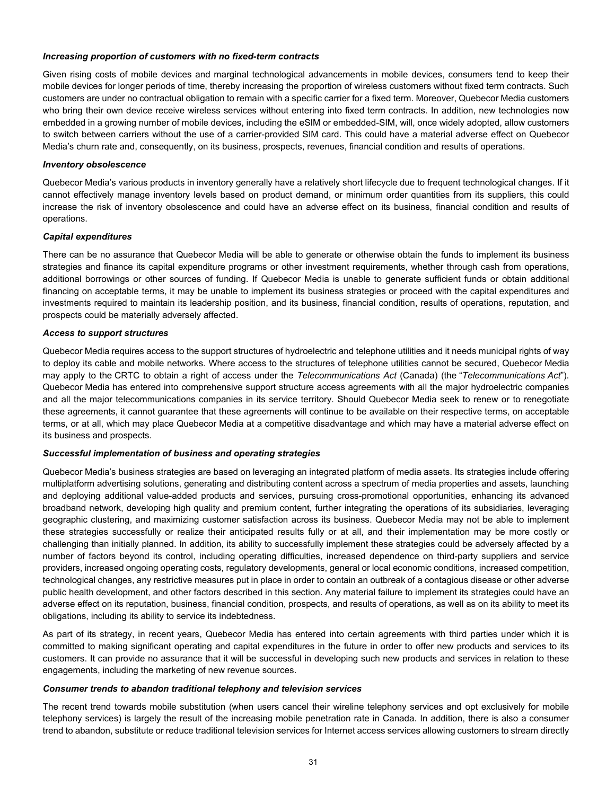#### *Increasing proportion of customers with no fixed-term contracts*

Given rising costs of mobile devices and marginal technological advancements in mobile devices, consumers tend to keep their mobile devices for longer periods of time, thereby increasing the proportion of wireless customers without fixed term contracts. Such customers are under no contractual obligation to remain with a specific carrier for a fixed term. Moreover, Quebecor Media customers who bring their own device receive wireless services without entering into fixed term contracts. In addition, new technologies now embedded in a growing number of mobile devices, including the eSIM or embedded-SIM, will, once widely adopted, allow customers to switch between carriers without the use of a carrier-provided SIM card. This could have a material adverse effect on Quebecor Media's churn rate and, consequently, on its business, prospects, revenues, financial condition and results of operations.

#### *Inventory obsolescence*

Quebecor Media's various products in inventory generally have a relatively short lifecycle due to frequent technological changes. If it cannot effectively manage inventory levels based on product demand, or minimum order quantities from its suppliers, this could increase the risk of inventory obsolescence and could have an adverse effect on its business, financial condition and results of operations.

#### *Capital expenditures*

There can be no assurance that Quebecor Media will be able to generate or otherwise obtain the funds to implement its business strategies and finance its capital expenditure programs or other investment requirements, whether through cash from operations, additional borrowings or other sources of funding. If Quebecor Media is unable to generate sufficient funds or obtain additional financing on acceptable terms, it may be unable to implement its business strategies or proceed with the capital expenditures and investments required to maintain its leadership position, and its business, financial condition, results of operations, reputation, and prospects could be materially adversely affected.

#### *Access to support structures*

Quebecor Media requires access to the support structures of hydroelectric and telephone utilities and it needs municipal rights of way to deploy its cable and mobile networks. Where access to the structures of telephone utilities cannot be secured, Quebecor Media may apply to the CRTC to obtain a right of access under the *Telecommunications Act* (Canada) (the "*Telecommunications Act*"). Quebecor Media has entered into comprehensive support structure access agreements with all the major hydroelectric companies and all the major telecommunications companies in its service territory. Should Quebecor Media seek to renew or to renegotiate these agreements, it cannot guarantee that these agreements will continue to be available on their respective terms, on acceptable terms, or at all, which may place Quebecor Media at a competitive disadvantage and which may have a material adverse effect on its business and prospects.

#### *Successful implementation of business and operating strategies*

Quebecor Media's business strategies are based on leveraging an integrated platform of media assets. Its strategies include offering multiplatform advertising solutions, generating and distributing content across a spectrum of media properties and assets, launching and deploying additional value-added products and services, pursuing cross-promotional opportunities, enhancing its advanced broadband network, developing high quality and premium content, further integrating the operations of its subsidiaries, leveraging geographic clustering, and maximizing customer satisfaction across its business. Quebecor Media may not be able to implement these strategies successfully or realize their anticipated results fully or at all, and their implementation may be more costly or challenging than initially planned. In addition, its ability to successfully implement these strategies could be adversely affected by a number of factors beyond its control, including operating difficulties, increased dependence on third-party suppliers and service providers, increased ongoing operating costs, regulatory developments, general or local economic conditions, increased competition, technological changes, any restrictive measures put in place in order to contain an outbreak of a contagious disease or other adverse public health development, and other factors described in this section. Any material failure to implement its strategies could have an adverse effect on its reputation, business, financial condition, prospects, and results of operations, as well as on its ability to meet its obligations, including its ability to service its indebtedness.

As part of its strategy, in recent years, Quebecor Media has entered into certain agreements with third parties under which it is committed to making significant operating and capital expenditures in the future in order to offer new products and services to its customers. It can provide no assurance that it will be successful in developing such new products and services in relation to these engagements, including the marketing of new revenue sources.

#### *Consumer trends to abandon traditional telephony and television services*

The recent trend towards mobile substitution (when users cancel their wireline telephony services and opt exclusively for mobile telephony services) is largely the result of the increasing mobile penetration rate in Canada. In addition, there is also a consumer trend to abandon, substitute or reduce traditional television services for Internet access services allowing customers to stream directly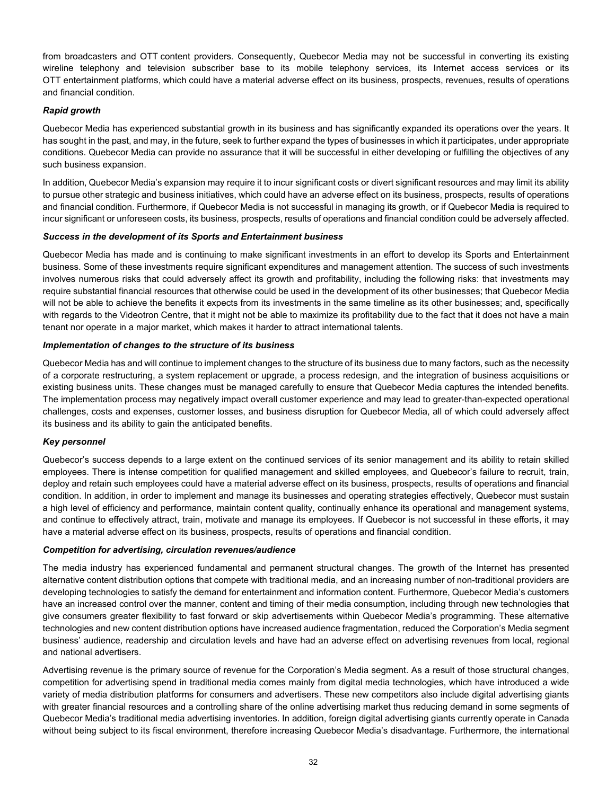from broadcasters and OTT content providers. Consequently, Quebecor Media may not be successful in converting its existing wireline telephony and television subscriber base to its mobile telephony services, its Internet access services or its OTT entertainment platforms, which could have a material adverse effect on its business, prospects, revenues, results of operations and financial condition.

#### *Rapid growth*

Quebecor Media has experienced substantial growth in its business and has significantly expanded its operations over the years. It has sought in the past, and may, in the future, seek to further expand the types of businesses in which it participates, under appropriate conditions. Quebecor Media can provide no assurance that it will be successful in either developing or fulfilling the objectives of any such business expansion.

In addition, Quebecor Media's expansion may require it to incur significant costs or divert significant resources and may limit its ability to pursue other strategic and business initiatives, which could have an adverse effect on its business, prospects, results of operations and financial condition. Furthermore, if Quebecor Media is not successful in managing its growth, or if Quebecor Media is required to incur significant or unforeseen costs, its business, prospects, results of operations and financial condition could be adversely affected.

#### *Success in the development of its Sports and Entertainment business*

Quebecor Media has made and is continuing to make significant investments in an effort to develop its Sports and Entertainment business. Some of these investments require significant expenditures and management attention. The success of such investments involves numerous risks that could adversely affect its growth and profitability, including the following risks: that investments may require substantial financial resources that otherwise could be used in the development of its other businesses; that Quebecor Media will not be able to achieve the benefits it expects from its investments in the same timeline as its other businesses; and, specifically with regards to the Videotron Centre, that it might not be able to maximize its profitability due to the fact that it does not have a main tenant nor operate in a major market, which makes it harder to attract international talents.

#### *Implementation of changes to the structure of its business*

Quebecor Media has and will continue to implement changes to the structure of its business due to many factors, such as the necessity of a corporate restructuring, a system replacement or upgrade, a process redesign, and the integration of business acquisitions or existing business units. These changes must be managed carefully to ensure that Quebecor Media captures the intended benefits. The implementation process may negatively impact overall customer experience and may lead to greater-than-expected operational challenges, costs and expenses, customer losses, and business disruption for Quebecor Media, all of which could adversely affect its business and its ability to gain the anticipated benefits.

#### *Key personnel*

Quebecor's success depends to a large extent on the continued services of its senior management and its ability to retain skilled employees. There is intense competition for qualified management and skilled employees, and Quebecor's failure to recruit, train, deploy and retain such employees could have a material adverse effect on its business, prospects, results of operations and financial condition. In addition, in order to implement and manage its businesses and operating strategies effectively, Quebecor must sustain a high level of efficiency and performance, maintain content quality, continually enhance its operational and management systems, and continue to effectively attract, train, motivate and manage its employees. If Quebecor is not successful in these efforts, it may have a material adverse effect on its business, prospects, results of operations and financial condition.

#### *Competition for advertising, circulation revenues/audience*

The media industry has experienced fundamental and permanent structural changes. The growth of the Internet has presented alternative content distribution options that compete with traditional media, and an increasing number of non-traditional providers are developing technologies to satisfy the demand for entertainment and information content. Furthermore, Quebecor Media's customers have an increased control over the manner, content and timing of their media consumption, including through new technologies that give consumers greater flexibility to fast forward or skip advertisements within Quebecor Media's programming. These alternative technologies and new content distribution options have increased audience fragmentation, reduced the Corporation's Media segment business' audience, readership and circulation levels and have had an adverse effect on advertising revenues from local, regional and national advertisers.

Advertising revenue is the primary source of revenue for the Corporation's Media segment. As a result of those structural changes, competition for advertising spend in traditional media comes mainly from digital media technologies, which have introduced a wide variety of media distribution platforms for consumers and advertisers. These new competitors also include digital advertising giants with greater financial resources and a controlling share of the online advertising market thus reducing demand in some segments of Quebecor Media's traditional media advertising inventories. In addition, foreign digital advertising giants currently operate in Canada without being subject to its fiscal environment, therefore increasing Quebecor Media's disadvantage. Furthermore, the international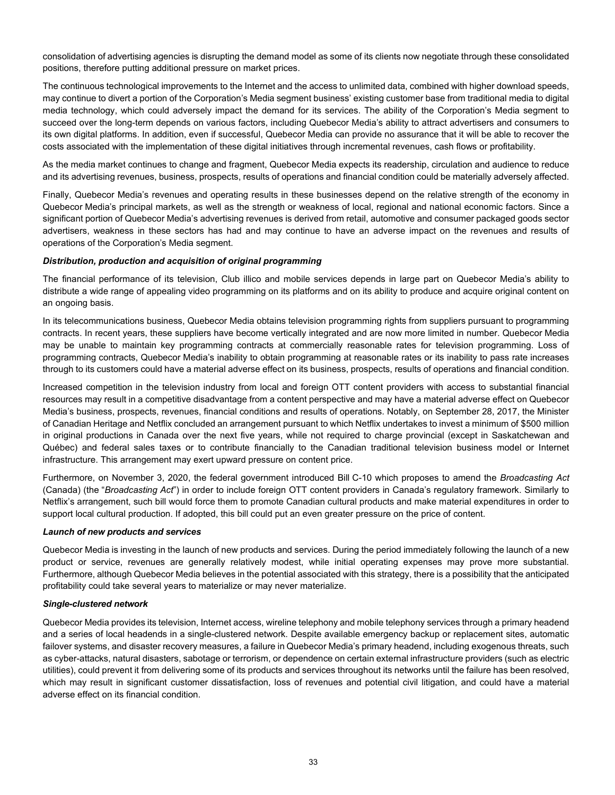consolidation of advertising agencies is disrupting the demand model as some of its clients now negotiate through these consolidated positions, therefore putting additional pressure on market prices.

The continuous technological improvements to the Internet and the access to unlimited data, combined with higher download speeds, may continue to divert a portion of the Corporation's Media segment business' existing customer base from traditional media to digital media technology, which could adversely impact the demand for its services. The ability of the Corporation's Media segment to succeed over the long-term depends on various factors, including Quebecor Media's ability to attract advertisers and consumers to its own digital platforms. In addition, even if successful, Quebecor Media can provide no assurance that it will be able to recover the costs associated with the implementation of these digital initiatives through incremental revenues, cash flows or profitability.

As the media market continues to change and fragment, Quebecor Media expects its readership, circulation and audience to reduce and its advertising revenues, business, prospects, results of operations and financial condition could be materially adversely affected.

Finally, Quebecor Media's revenues and operating results in these businesses depend on the relative strength of the economy in Quebecor Media's principal markets, as well as the strength or weakness of local, regional and national economic factors. Since a significant portion of Quebecor Media's advertising revenues is derived from retail, automotive and consumer packaged goods sector advertisers, weakness in these sectors has had and may continue to have an adverse impact on the revenues and results of operations of the Corporation's Media segment.

#### *Distribution, production and acquisition of original programming*

The financial performance of its television, Club illico and mobile services depends in large part on Quebecor Media's ability to distribute a wide range of appealing video programming on its platforms and on its ability to produce and acquire original content on an ongoing basis.

In its telecommunications business, Quebecor Media obtains television programming rights from suppliers pursuant to programming contracts. In recent years, these suppliers have become vertically integrated and are now more limited in number. Quebecor Media may be unable to maintain key programming contracts at commercially reasonable rates for television programming. Loss of programming contracts, Quebecor Media's inability to obtain programming at reasonable rates or its inability to pass rate increases through to its customers could have a material adverse effect on its business, prospects, results of operations and financial condition.

Increased competition in the television industry from local and foreign OTT content providers with access to substantial financial resources may result in a competitive disadvantage from a content perspective and may have a material adverse effect on Quebecor Media's business, prospects, revenues, financial conditions and results of operations. Notably, on September 28, 2017, the Minister of Canadian Heritage and Netflix concluded an arrangement pursuant to which Netflix undertakes to invest a minimum of \$500 million in original productions in Canada over the next five years, while not required to charge provincial (except in Saskatchewan and Québec) and federal sales taxes or to contribute financially to the Canadian traditional television business model or Internet infrastructure. This arrangement may exert upward pressure on content price.

Furthermore, on November 3, 2020, the federal government introduced Bill C-10 which proposes to amend the *Broadcasting Act* (Canada) (the "*Broadcasting Act*") in order to include foreign OTT content providers in Canada's regulatory framework. Similarly to Netflix's arrangement, such bill would force them to promote Canadian cultural products and make material expenditures in order to support local cultural production. If adopted, this bill could put an even greater pressure on the price of content.

#### *Launch of new products and services*

Quebecor Media is investing in the launch of new products and services. During the period immediately following the launch of a new product or service, revenues are generally relatively modest, while initial operating expenses may prove more substantial. Furthermore, although Quebecor Media believes in the potential associated with this strategy, there is a possibility that the anticipated profitability could take several years to materialize or may never materialize.

#### *Single-clustered network*

Quebecor Media provides its television, Internet access, wireline telephony and mobile telephony services through a primary headend and a series of local headends in a single-clustered network. Despite available emergency backup or replacement sites, automatic failover systems, and disaster recovery measures, a failure in Quebecor Media's primary headend, including exogenous threats, such as cyber-attacks, natural disasters, sabotage or terrorism, or dependence on certain external infrastructure providers (such as electric utilities), could prevent it from delivering some of its products and services throughout its networks until the failure has been resolved, which may result in significant customer dissatisfaction, loss of revenues and potential civil litigation, and could have a material adverse effect on its financial condition.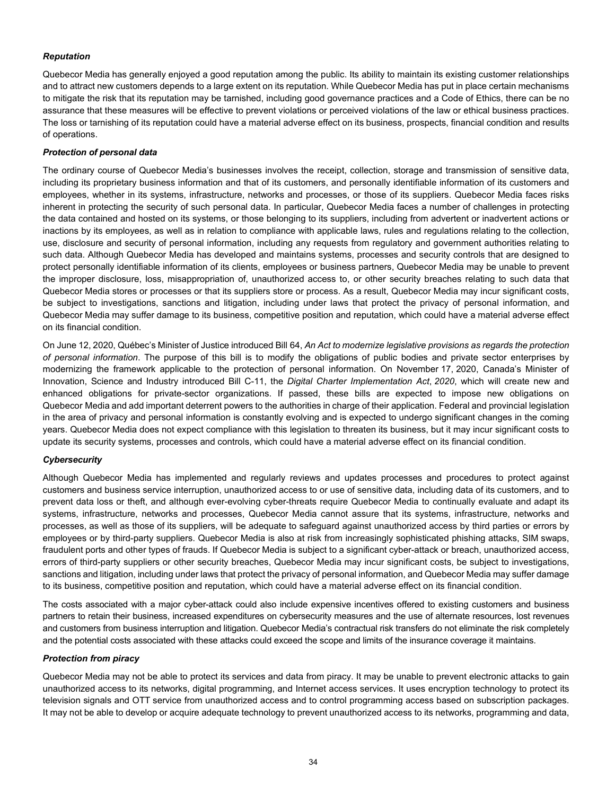# *Reputation*

Quebecor Media has generally enjoyed a good reputation among the public. Its ability to maintain its existing customer relationships and to attract new customers depends to a large extent on its reputation. While Quebecor Media has put in place certain mechanisms to mitigate the risk that its reputation may be tarnished, including good governance practices and a Code of Ethics, there can be no assurance that these measures will be effective to prevent violations or perceived violations of the law or ethical business practices. The loss or tarnishing of its reputation could have a material adverse effect on its business, prospects, financial condition and results of operations.

#### *Protection of personal data*

The ordinary course of Quebecor Media's businesses involves the receipt, collection, storage and transmission of sensitive data, including its proprietary business information and that of its customers, and personally identifiable information of its customers and employees, whether in its systems, infrastructure, networks and processes, or those of its suppliers. Quebecor Media faces risks inherent in protecting the security of such personal data. In particular, Quebecor Media faces a number of challenges in protecting the data contained and hosted on its systems, or those belonging to its suppliers, including from advertent or inadvertent actions or inactions by its employees, as well as in relation to compliance with applicable laws, rules and regulations relating to the collection, use, disclosure and security of personal information, including any requests from regulatory and government authorities relating to such data. Although Quebecor Media has developed and maintains systems, processes and security controls that are designed to protect personally identifiable information of its clients, employees or business partners, Quebecor Media may be unable to prevent the improper disclosure, loss, misappropriation of, unauthorized access to, or other security breaches relating to such data that Quebecor Media stores or processes or that its suppliers store or process. As a result, Quebecor Media may incur significant costs, be subject to investigations, sanctions and litigation, including under laws that protect the privacy of personal information, and Quebecor Media may suffer damage to its business, competitive position and reputation, which could have a material adverse effect on its financial condition.

On June 12, 2020, Québec's Minister of Justice introduced Bill 64, *An Act to modernize legislative provisions as regards the protection of personal information*. The purpose of this bill is to modify the obligations of public bodies and private sector enterprises by modernizing the framework applicable to the protection of personal information. On November 17, 2020, Canada's Minister of Innovation, Science and Industry introduced Bill C-11, the *Digital Charter Implementation Act*, *2020*, which will create new and enhanced obligations for private-sector organizations. If passed, these bills are expected to impose new obligations on Quebecor Media and add important deterrent powers to the authorities in charge of their application. Federal and provincial legislation in the area of privacy and personal information is constantly evolving and is expected to undergo significant changes in the coming years. Quebecor Media does not expect compliance with this legislation to threaten its business, but it may incur significant costs to update its security systems, processes and controls, which could have a material adverse effect on its financial condition.

#### *Cybersecurity*

Although Quebecor Media has implemented and regularly reviews and updates processes and procedures to protect against customers and business service interruption, unauthorized access to or use of sensitive data, including data of its customers, and to prevent data loss or theft, and although ever-evolving cyber-threats require Quebecor Media to continually evaluate and adapt its systems, infrastructure, networks and processes, Quebecor Media cannot assure that its systems, infrastructure, networks and processes, as well as those of its suppliers, will be adequate to safeguard against unauthorized access by third parties or errors by employees or by third-party suppliers. Quebecor Media is also at risk from increasingly sophisticated phishing attacks, SIM swaps, fraudulent ports and other types of frauds. If Quebecor Media is subject to a significant cyber-attack or breach, unauthorized access, errors of third-party suppliers or other security breaches, Quebecor Media may incur significant costs, be subject to investigations, sanctions and litigation, including under laws that protect the privacy of personal information, and Quebecor Media may suffer damage to its business, competitive position and reputation, which could have a material adverse effect on its financial condition.

The costs associated with a major cyber-attack could also include expensive incentives offered to existing customers and business partners to retain their business, increased expenditures on cybersecurity measures and the use of alternate resources, lost revenues and customers from business interruption and litigation. Quebecor Media's contractual risk transfers do not eliminate the risk completely and the potential costs associated with these attacks could exceed the scope and limits of the insurance coverage it maintains.

#### *Protection from piracy*

Quebecor Media may not be able to protect its services and data from piracy. It may be unable to prevent electronic attacks to gain unauthorized access to its networks, digital programming, and Internet access services. It uses encryption technology to protect its television signals and OTT service from unauthorized access and to control programming access based on subscription packages. It may not be able to develop or acquire adequate technology to prevent unauthorized access to its networks, programming and data,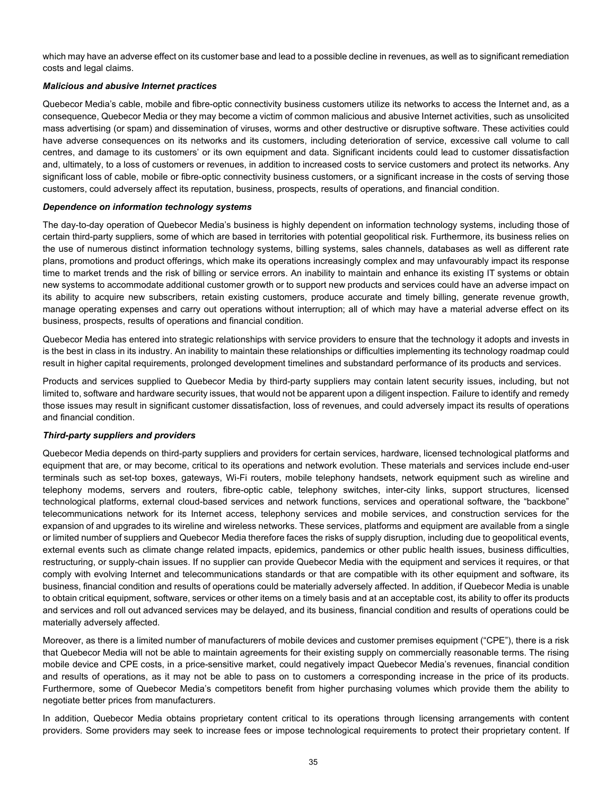which may have an adverse effect on its customer base and lead to a possible decline in revenues, as well as to significant remediation costs and legal claims.

#### *Malicious and abusive Internet practices*

Quebecor Media's cable, mobile and fibre-optic connectivity business customers utilize its networks to access the Internet and, as a consequence, Quebecor Media or they may become a victim of common malicious and abusive Internet activities, such as unsolicited mass advertising (or spam) and dissemination of viruses, worms and other destructive or disruptive software. These activities could have adverse consequences on its networks and its customers, including deterioration of service, excessive call volume to call centres, and damage to its customers' or its own equipment and data. Significant incidents could lead to customer dissatisfaction and, ultimately, to a loss of customers or revenues, in addition to increased costs to service customers and protect its networks. Any significant loss of cable, mobile or fibre-optic connectivity business customers, or a significant increase in the costs of serving those customers, could adversely affect its reputation, business, prospects, results of operations, and financial condition.

#### *Dependence on information technology systems*

The day-to-day operation of Quebecor Media's business is highly dependent on information technology systems, including those of certain third-party suppliers, some of which are based in territories with potential geopolitical risk. Furthermore, its business relies on the use of numerous distinct information technology systems, billing systems, sales channels, databases as well as different rate plans, promotions and product offerings, which make its operations increasingly complex and may unfavourably impact its response time to market trends and the risk of billing or service errors. An inability to maintain and enhance its existing IT systems or obtain new systems to accommodate additional customer growth or to support new products and services could have an adverse impact on its ability to acquire new subscribers, retain existing customers, produce accurate and timely billing, generate revenue growth, manage operating expenses and carry out operations without interruption; all of which may have a material adverse effect on its business, prospects, results of operations and financial condition.

Quebecor Media has entered into strategic relationships with service providers to ensure that the technology it adopts and invests in is the best in class in its industry. An inability to maintain these relationships or difficulties implementing its technology roadmap could result in higher capital requirements, prolonged development timelines and substandard performance of its products and services.

Products and services supplied to Quebecor Media by third-party suppliers may contain latent security issues, including, but not limited to, software and hardware security issues, that would not be apparent upon a diligent inspection. Failure to identify and remedy those issues may result in significant customer dissatisfaction, loss of revenues, and could adversely impact its results of operations and financial condition.

#### *Third-party suppliers and providers*

Quebecor Media depends on third-party suppliers and providers for certain services, hardware, licensed technological platforms and equipment that are, or may become, critical to its operations and network evolution. These materials and services include end-user terminals such as set-top boxes, gateways, Wi-Fi routers, mobile telephony handsets, network equipment such as wireline and telephony modems, servers and routers, fibre-optic cable, telephony switches, inter-city links, support structures, licensed technological platforms, external cloud-based services and network functions, services and operational software, the "backbone" telecommunications network for its Internet access, telephony services and mobile services, and construction services for the expansion of and upgrades to its wireline and wireless networks. These services, platforms and equipment are available from a single or limited number of suppliers and Quebecor Media therefore faces the risks of supply disruption, including due to geopolitical events, external events such as climate change related impacts, epidemics, pandemics or other public health issues, business difficulties, restructuring, or supply-chain issues. If no supplier can provide Quebecor Media with the equipment and services it requires, or that comply with evolving Internet and telecommunications standards or that are compatible with its other equipment and software, its business, financial condition and results of operations could be materially adversely affected. In addition, if Quebecor Media is unable to obtain critical equipment, software, services or other items on a timely basis and at an acceptable cost, its ability to offer its products and services and roll out advanced services may be delayed, and its business, financial condition and results of operations could be materially adversely affected.

Moreover, as there is a limited number of manufacturers of mobile devices and customer premises equipment ("CPE"), there is a risk that Quebecor Media will not be able to maintain agreements for their existing supply on commercially reasonable terms. The rising mobile device and CPE costs, in a price-sensitive market, could negatively impact Quebecor Media's revenues, financial condition and results of operations, as it may not be able to pass on to customers a corresponding increase in the price of its products. Furthermore, some of Quebecor Media's competitors benefit from higher purchasing volumes which provide them the ability to negotiate better prices from manufacturers.

In addition, Quebecor Media obtains proprietary content critical to its operations through licensing arrangements with content providers. Some providers may seek to increase fees or impose technological requirements to protect their proprietary content. If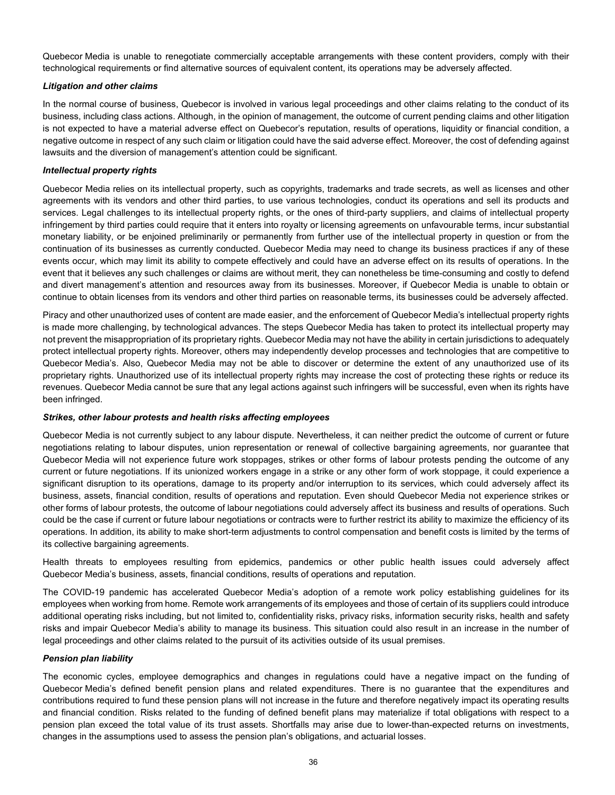Quebecor Media is unable to renegotiate commercially acceptable arrangements with these content providers, comply with their technological requirements or find alternative sources of equivalent content, its operations may be adversely affected.

#### *Litigation and other claims*

In the normal course of business, Quebecor is involved in various legal proceedings and other claims relating to the conduct of its business, including class actions. Although, in the opinion of management, the outcome of current pending claims and other litigation is not expected to have a material adverse effect on Quebecor's reputation, results of operations, liquidity or financial condition, a negative outcome in respect of any such claim or litigation could have the said adverse effect. Moreover, the cost of defending against lawsuits and the diversion of management's attention could be significant.

#### *Intellectual property rights*

Quebecor Media relies on its intellectual property, such as copyrights, trademarks and trade secrets, as well as licenses and other agreements with its vendors and other third parties, to use various technologies, conduct its operations and sell its products and services. Legal challenges to its intellectual property rights, or the ones of third-party suppliers, and claims of intellectual property infringement by third parties could require that it enters into royalty or licensing agreements on unfavourable terms, incur substantial monetary liability, or be enjoined preliminarily or permanently from further use of the intellectual property in question or from the continuation of its businesses as currently conducted. Quebecor Media may need to change its business practices if any of these events occur, which may limit its ability to compete effectively and could have an adverse effect on its results of operations. In the event that it believes any such challenges or claims are without merit, they can nonetheless be time-consuming and costly to defend and divert management's attention and resources away from its businesses. Moreover, if Quebecor Media is unable to obtain or continue to obtain licenses from its vendors and other third parties on reasonable terms, its businesses could be adversely affected.

Piracy and other unauthorized uses of content are made easier, and the enforcement of Quebecor Media's intellectual property rights is made more challenging, by technological advances. The steps Quebecor Media has taken to protect its intellectual property may not prevent the misappropriation of its proprietary rights. Quebecor Media may not have the ability in certain jurisdictions to adequately protect intellectual property rights. Moreover, others may independently develop processes and technologies that are competitive to Quebecor Media's. Also, Quebecor Media may not be able to discover or determine the extent of any unauthorized use of its proprietary rights. Unauthorized use of its intellectual property rights may increase the cost of protecting these rights or reduce its revenues. Quebecor Media cannot be sure that any legal actions against such infringers will be successful, even when its rights have been infringed.

#### *Strikes, other labour protests and health risks affecting employees*

Quebecor Media is not currently subject to any labour dispute. Nevertheless, it can neither predict the outcome of current or future negotiations relating to labour disputes, union representation or renewal of collective bargaining agreements, nor guarantee that Quebecor Media will not experience future work stoppages, strikes or other forms of labour protests pending the outcome of any current or future negotiations. If its unionized workers engage in a strike or any other form of work stoppage, it could experience a significant disruption to its operations, damage to its property and/or interruption to its services, which could adversely affect its business, assets, financial condition, results of operations and reputation. Even should Quebecor Media not experience strikes or other forms of labour protests, the outcome of labour negotiations could adversely affect its business and results of operations. Such could be the case if current or future labour negotiations or contracts were to further restrict its ability to maximize the efficiency of its operations. In addition, its ability to make short-term adjustments to control compensation and benefit costs is limited by the terms of its collective bargaining agreements.

Health threats to employees resulting from epidemics, pandemics or other public health issues could adversely affect Quebecor Media's business, assets, financial conditions, results of operations and reputation.

The COVID-19 pandemic has accelerated Quebecor Media's adoption of a remote work policy establishing guidelines for its employees when working from home. Remote work arrangements of its employees and those of certain of its suppliers could introduce additional operating risks including, but not limited to, confidentiality risks, privacy risks, information security risks, health and safety risks and impair Quebecor Media's ability to manage its business. This situation could also result in an increase in the number of legal proceedings and other claims related to the pursuit of its activities outside of its usual premises.

#### *Pension plan liability*

The economic cycles, employee demographics and changes in regulations could have a negative impact on the funding of Quebecor Media's defined benefit pension plans and related expenditures. There is no guarantee that the expenditures and contributions required to fund these pension plans will not increase in the future and therefore negatively impact its operating results and financial condition. Risks related to the funding of defined benefit plans may materialize if total obligations with respect to a pension plan exceed the total value of its trust assets. Shortfalls may arise due to lower-than-expected returns on investments, changes in the assumptions used to assess the pension plan's obligations, and actuarial losses.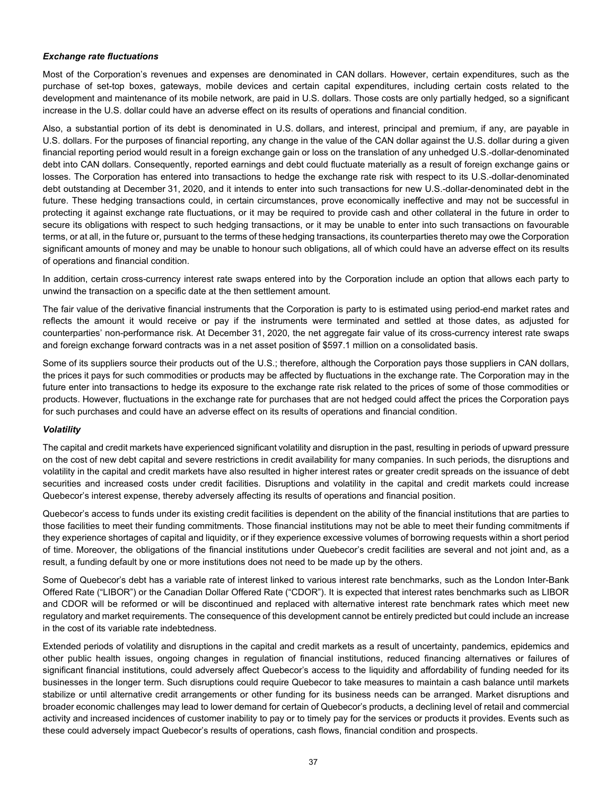#### *Exchange rate fluctuations*

Most of the Corporation's revenues and expenses are denominated in CAN dollars. However, certain expenditures, such as the purchase of set-top boxes, gateways, mobile devices and certain capital expenditures, including certain costs related to the development and maintenance of its mobile network, are paid in U.S. dollars. Those costs are only partially hedged, so a significant increase in the U.S. dollar could have an adverse effect on its results of operations and financial condition.

Also, a substantial portion of its debt is denominated in U.S. dollars, and interest, principal and premium, if any, are payable in U.S. dollars. For the purposes of financial reporting, any change in the value of the CAN dollar against the U.S. dollar during a given financial reporting period would result in a foreign exchange gain or loss on the translation of any unhedged U.S.-dollar-denominated debt into CAN dollars. Consequently, reported earnings and debt could fluctuate materially as a result of foreign exchange gains or losses. The Corporation has entered into transactions to hedge the exchange rate risk with respect to its U.S.-dollar-denominated debt outstanding at December 31, 2020, and it intends to enter into such transactions for new U.S.-dollar-denominated debt in the future. These hedging transactions could, in certain circumstances, prove economically ineffective and may not be successful in protecting it against exchange rate fluctuations, or it may be required to provide cash and other collateral in the future in order to secure its obligations with respect to such hedging transactions, or it may be unable to enter into such transactions on favourable terms, or at all, in the future or, pursuant to the terms of these hedging transactions, its counterparties thereto may owe the Corporation significant amounts of money and may be unable to honour such obligations, all of which could have an adverse effect on its results of operations and financial condition.

In addition, certain cross-currency interest rate swaps entered into by the Corporation include an option that allows each party to unwind the transaction on a specific date at the then settlement amount.

The fair value of the derivative financial instruments that the Corporation is party to is estimated using period-end market rates and reflects the amount it would receive or pay if the instruments were terminated and settled at those dates, as adjusted for counterparties' non-performance risk. At December 31, 2020, the net aggregate fair value of its cross-currency interest rate swaps and foreign exchange forward contracts was in a net asset position of \$597.1 million on a consolidated basis.

Some of its suppliers source their products out of the U.S.; therefore, although the Corporation pays those suppliers in CAN dollars, the prices it pays for such commodities or products may be affected by fluctuations in the exchange rate. The Corporation may in the future enter into transactions to hedge its exposure to the exchange rate risk related to the prices of some of those commodities or products. However, fluctuations in the exchange rate for purchases that are not hedged could affect the prices the Corporation pays for such purchases and could have an adverse effect on its results of operations and financial condition.

#### *Volatility*

The capital and credit markets have experienced significant volatility and disruption in the past, resulting in periods of upward pressure on the cost of new debt capital and severe restrictions in credit availability for many companies. In such periods, the disruptions and volatility in the capital and credit markets have also resulted in higher interest rates or greater credit spreads on the issuance of debt securities and increased costs under credit facilities. Disruptions and volatility in the capital and credit markets could increase Quebecor's interest expense, thereby adversely affecting its results of operations and financial position.

Quebecor's access to funds under its existing credit facilities is dependent on the ability of the financial institutions that are parties to those facilities to meet their funding commitments. Those financial institutions may not be able to meet their funding commitments if they experience shortages of capital and liquidity, or if they experience excessive volumes of borrowing requests within a short period of time. Moreover, the obligations of the financial institutions under Quebecor's credit facilities are several and not joint and, as a result, a funding default by one or more institutions does not need to be made up by the others.

Some of Quebecor's debt has a variable rate of interest linked to various interest rate benchmarks, such as the London Inter-Bank Offered Rate ("LIBOR") or the Canadian Dollar Offered Rate ("CDOR"). It is expected that interest rates benchmarks such as LIBOR and CDOR will be reformed or will be discontinued and replaced with alternative interest rate benchmark rates which meet new regulatory and market requirements. The consequence of this development cannot be entirely predicted but could include an increase in the cost of its variable rate indebtedness.

Extended periods of volatility and disruptions in the capital and credit markets as a result of uncertainty, pandemics, epidemics and other public health issues, ongoing changes in regulation of financial institutions, reduced financing alternatives or failures of significant financial institutions, could adversely affect Quebecor's access to the liquidity and affordability of funding needed for its businesses in the longer term. Such disruptions could require Quebecor to take measures to maintain a cash balance until markets stabilize or until alternative credit arrangements or other funding for its business needs can be arranged. Market disruptions and broader economic challenges may lead to lower demand for certain of Quebecor's products, a declining level of retail and commercial activity and increased incidences of customer inability to pay or to timely pay for the services or products it provides. Events such as these could adversely impact Quebecor's results of operations, cash flows, financial condition and prospects.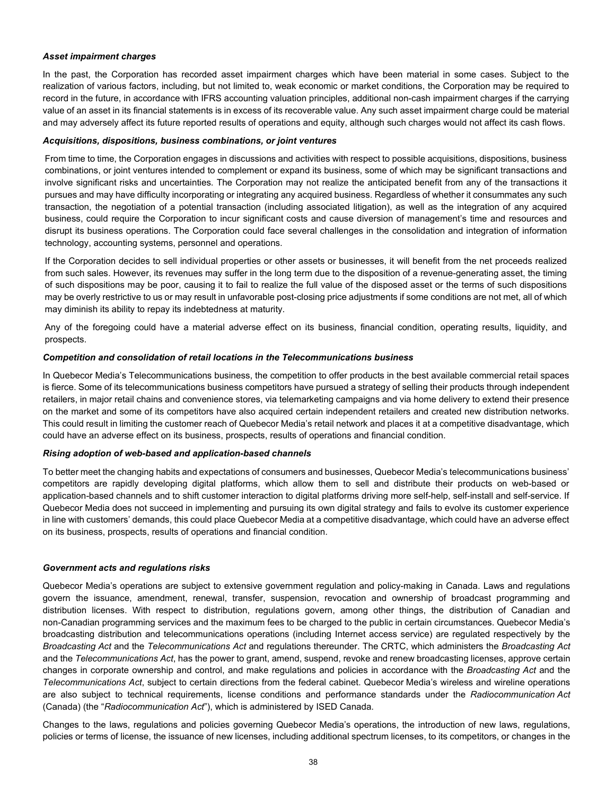#### *Asset impairment charges*

In the past, the Corporation has recorded asset impairment charges which have been material in some cases. Subject to the realization of various factors, including, but not limited to, weak economic or market conditions, the Corporation may be required to record in the future, in accordance with IFRS accounting valuation principles, additional non-cash impairment charges if the carrying value of an asset in its financial statements is in excess of its recoverable value. Any such asset impairment charge could be material and may adversely affect its future reported results of operations and equity, although such charges would not affect its cash flows.

#### *Acquisitions, dispositions, business combinations, or joint ventures*

From time to time, the Corporation engages in discussions and activities with respect to possible acquisitions, dispositions, business combinations, or joint ventures intended to complement or expand its business, some of which may be significant transactions and involve significant risks and uncertainties. The Corporation may not realize the anticipated benefit from any of the transactions it pursues and may have difficulty incorporating or integrating any acquired business. Regardless of whether it consummates any such transaction, the negotiation of a potential transaction (including associated litigation), as well as the integration of any acquired business, could require the Corporation to incur significant costs and cause diversion of management's time and resources and disrupt its business operations. The Corporation could face several challenges in the consolidation and integration of information technology, accounting systems, personnel and operations.

If the Corporation decides to sell individual properties or other assets or businesses, it will benefit from the net proceeds realized from such sales. However, its revenues may suffer in the long term due to the disposition of a revenue-generating asset, the timing of such dispositions may be poor, causing it to fail to realize the full value of the disposed asset or the terms of such dispositions may be overly restrictive to us or may result in unfavorable post-closing price adjustments if some conditions are not met, all of which may diminish its ability to repay its indebtedness at maturity.

Any of the foregoing could have a material adverse effect on its business, financial condition, operating results, liquidity, and prospects.

#### *Competition and consolidation of retail locations in the Telecommunications business*

In Quebecor Media's Telecommunications business, the competition to offer products in the best available commercial retail spaces is fierce. Some of its telecommunications business competitors have pursued a strategy of selling their products through independent retailers, in major retail chains and convenience stores, via telemarketing campaigns and via home delivery to extend their presence on the market and some of its competitors have also acquired certain independent retailers and created new distribution networks. This could result in limiting the customer reach of Quebecor Media's retail network and places it at a competitive disadvantage, which could have an adverse effect on its business, prospects, results of operations and financial condition.

#### *Rising adoption of web-based and application-based channels*

To better meet the changing habits and expectations of consumers and businesses, Quebecor Media's telecommunications business' competitors are rapidly developing digital platforms, which allow them to sell and distribute their products on web-based or application-based channels and to shift customer interaction to digital platforms driving more self-help, self-install and self-service. If Quebecor Media does not succeed in implementing and pursuing its own digital strategy and fails to evolve its customer experience in line with customers' demands, this could place Quebecor Media at a competitive disadvantage, which could have an adverse effect on its business, prospects, results of operations and financial condition.

#### *Government acts and regulations risks*

Quebecor Media's operations are subject to extensive government regulation and policy-making in Canada. Laws and regulations govern the issuance, amendment, renewal, transfer, suspension, revocation and ownership of broadcast programming and distribution licenses. With respect to distribution, regulations govern, among other things, the distribution of Canadian and non-Canadian programming services and the maximum fees to be charged to the public in certain circumstances. Quebecor Media's broadcasting distribution and telecommunications operations (including Internet access service) are regulated respectively by the *Broadcasting Act* and the *Telecommunications Act* and regulations thereunder. The CRTC, which administers the *Broadcasting Act* and the *Telecommunications Act*, has the power to grant, amend, suspend, revoke and renew broadcasting licenses, approve certain changes in corporate ownership and control, and make regulations and policies in accordance with the *Broadcasting Act* and the *Telecommunications Act*, subject to certain directions from the federal cabinet. Quebecor Media's wireless and wireline operations are also subject to technical requirements, license conditions and performance standards under the *Radiocommunication Act*  (Canada) (the "*Radiocommunication Act*"), which is administered by ISED Canada.

Changes to the laws, regulations and policies governing Quebecor Media's operations, the introduction of new laws, regulations, policies or terms of license, the issuance of new licenses, including additional spectrum licenses, to its competitors, or changes in the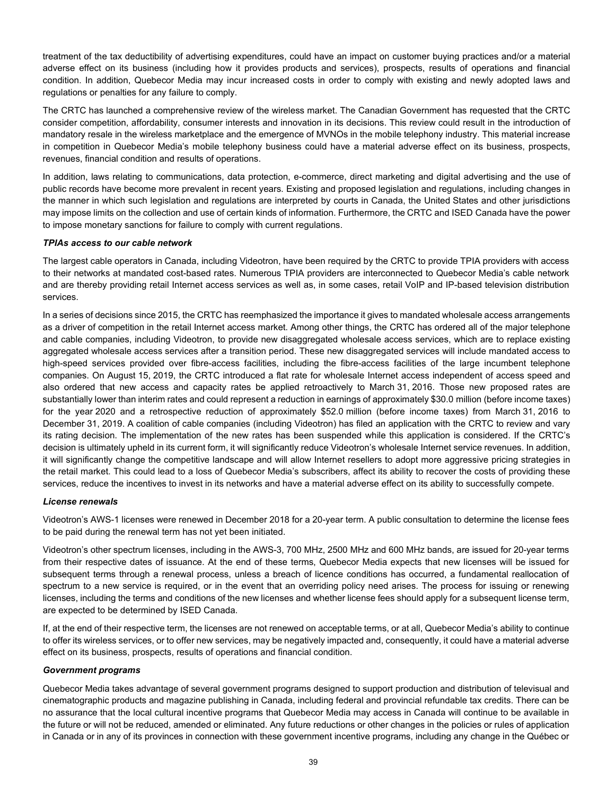treatment of the tax deductibility of advertising expenditures, could have an impact on customer buying practices and/or a material adverse effect on its business (including how it provides products and services), prospects, results of operations and financial condition. In addition, Quebecor Media may incur increased costs in order to comply with existing and newly adopted laws and regulations or penalties for any failure to comply.

The CRTC has launched a comprehensive review of the wireless market. The Canadian Government has requested that the CRTC consider competition, affordability, consumer interests and innovation in its decisions. This review could result in the introduction of mandatory resale in the wireless marketplace and the emergence of MVNOs in the mobile telephony industry. This material increase in competition in Quebecor Media's mobile telephony business could have a material adverse effect on its business, prospects, revenues, financial condition and results of operations.

In addition, laws relating to communications, data protection, e-commerce, direct marketing and digital advertising and the use of public records have become more prevalent in recent years. Existing and proposed legislation and regulations, including changes in the manner in which such legislation and regulations are interpreted by courts in Canada, the United States and other jurisdictions may impose limits on the collection and use of certain kinds of information. Furthermore, the CRTC and ISED Canada have the power to impose monetary sanctions for failure to comply with current regulations.

#### *TPIAs access to our cable network*

The largest cable operators in Canada, including Videotron, have been required by the CRTC to provide TPIA providers with access to their networks at mandated cost-based rates. Numerous TPIA providers are interconnected to Quebecor Media's cable network and are thereby providing retail Internet access services as well as, in some cases, retail VoIP and IP-based television distribution services.

In a series of decisions since 2015, the CRTC has reemphasized the importance it gives to mandated wholesale access arrangements as a driver of competition in the retail Internet access market. Among other things, the CRTC has ordered all of the major telephone and cable companies, including Videotron, to provide new disaggregated wholesale access services, which are to replace existing aggregated wholesale access services after a transition period. These new disaggregated services will include mandated access to high-speed services provided over fibre-access facilities, including the fibre-access facilities of the large incumbent telephone companies. On August 15, 2019, the CRTC introduced a flat rate for wholesale Internet access independent of access speed and also ordered that new access and capacity rates be applied retroactively to March 31, 2016. Those new proposed rates are substantially lower than interim rates and could represent a reduction in earnings of approximately \$30.0 million (before income taxes) for the year 2020 and a retrospective reduction of approximately \$52.0 million (before income taxes) from March 31, 2016 to December 31, 2019. A coalition of cable companies (including Videotron) has filed an application with the CRTC to review and vary its rating decision. The implementation of the new rates has been suspended while this application is considered. If the CRTC's decision is ultimately upheld in its current form, it will significantly reduce Videotron's wholesale Internet service revenues. In addition, it will significantly change the competitive landscape and will allow Internet resellers to adopt more aggressive pricing strategies in the retail market. This could lead to a loss of Quebecor Media's subscribers, affect its ability to recover the costs of providing these services, reduce the incentives to invest in its networks and have a material adverse effect on its ability to successfully compete.

#### *License renewals*

Videotron's AWS-1 licenses were renewed in December 2018 for a 20-year term. A public consultation to determine the license fees to be paid during the renewal term has not yet been initiated.

Videotron's other spectrum licenses, including in the AWS-3, 700 MHz, 2500 MHz and 600 MHz bands, are issued for 20-year terms from their respective dates of issuance. At the end of these terms, Quebecor Media expects that new licenses will be issued for subsequent terms through a renewal process, unless a breach of licence conditions has occurred, a fundamental reallocation of spectrum to a new service is required, or in the event that an overriding policy need arises. The process for issuing or renewing licenses, including the terms and conditions of the new licenses and whether license fees should apply for a subsequent license term, are expected to be determined by ISED Canada.

If, at the end of their respective term, the licenses are not renewed on acceptable terms, or at all, Quebecor Media's ability to continue to offer its wireless services, or to offer new services, may be negatively impacted and, consequently, it could have a material adverse effect on its business, prospects, results of operations and financial condition.

#### *Government programs*

Quebecor Media takes advantage of several government programs designed to support production and distribution of televisual and cinematographic products and magazine publishing in Canada, including federal and provincial refundable tax credits. There can be no assurance that the local cultural incentive programs that Quebecor Media may access in Canada will continue to be available in the future or will not be reduced, amended or eliminated. Any future reductions or other changes in the policies or rules of application in Canada or in any of its provinces in connection with these government incentive programs, including any change in the Québec or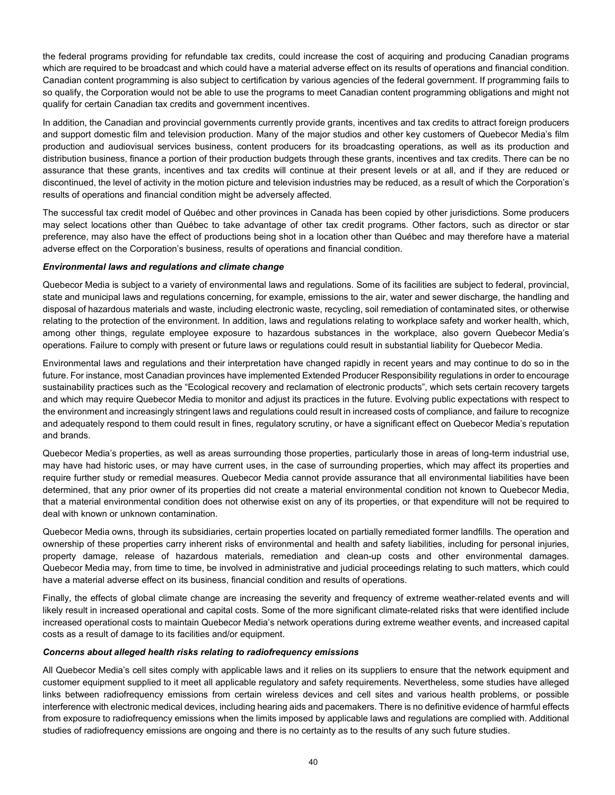the federal programs providing for refundable tax credits, could increase the cost of acquiring and producing Canadian programs which are required to be broadcast and which could have a material adverse effect on its results of operations and financial condition. Canadian content programming is also subject to certification by various agencies of the federal government. If programming fails to so qualify, the Corporation would not be able to use the programs to meet Canadian content programming obligations and might not qualify for certain Canadian tax credits and government incentives.

In addition, the Canadian and provincial governments currently provide grants, incentives and tax credits to attract foreign producers and support domestic film and television production. Many of the major studios and other key customers of Quebecor Media's film production and audiovisual services business, content producers for its broadcasting operations, as well as its production and distribution business, finance a portion of their production budgets through these grants, incentives and tax credits. There can be no assurance that these grants, incentives and tax credits will continue at their present levels or at all, and if they are reduced or discontinued, the level of activity in the motion picture and television industries may be reduced, as a result of which the Corporation's results of operations and financial condition might be adversely affected.

The successful tax credit model of Québec and other provinces in Canada has been copied by other jurisdictions. Some producers may select locations other than Québec to take advantage of other tax credit programs. Other factors, such as director or star preference, may also have the effect of productions being shot in a location other than Québec and may therefore have a material adverse effect on the Corporation's business, results of operations and financial condition.

#### *Environmental laws and regulations and climate change*

Quebecor Media is subject to a variety of environmental laws and regulations. Some of its facilities are subject to federal, provincial, state and municipal laws and regulations concerning, for example, emissions to the air, water and sewer discharge, the handling and disposal of hazardous materials and waste, including electronic waste, recycling, soil remediation of contaminated sites, or otherwise relating to the protection of the environment. In addition, laws and regulations relating to workplace safety and worker health, which, among other things, regulate employee exposure to hazardous substances in the workplace, also govern Quebecor Media's operations. Failure to comply with present or future laws or regulations could result in substantial liability for Quebecor Media.

Environmental laws and regulations and their interpretation have changed rapidly in recent years and may continue to do so in the future. For instance, most Canadian provinces have implemented Extended Producer Responsibility regulations in order to encourage sustainability practices such as the "Ecological recovery and reclamation of electronic products", which sets certain recovery targets and which may require Quebecor Media to monitor and adjust its practices in the future. Evolving public expectations with respect to the environment and increasingly stringent laws and regulations could result in increased costs of compliance, and failure to recognize and adequately respond to them could result in fines, regulatory scrutiny, or have a significant effect on Quebecor Media's reputation and brands.

Quebecor Media's properties, as well as areas surrounding those properties, particularly those in areas of long-term industrial use, may have had historic uses, or may have current uses, in the case of surrounding properties, which may affect its properties and require further study or remedial measures. Quebecor Media cannot provide assurance that all environmental liabilities have been determined, that any prior owner of its properties did not create a material environmental condition not known to Quebecor Media, that a material environmental condition does not otherwise exist on any of its properties, or that expenditure will not be required to deal with known or unknown contamination.

Quebecor Media owns, through its subsidiaries, certain properties located on partially remediated former landfills. The operation and ownership of these properties carry inherent risks of environmental and health and safety liabilities, including for personal injuries, property damage, release of hazardous materials, remediation and clean-up costs and other environmental damages. Quebecor Media may, from time to time, be involved in administrative and judicial proceedings relating to such matters, which could have a material adverse effect on its business, financial condition and results of operations.

Finally, the effects of global climate change are increasing the severity and frequency of extreme weather-related events and will likely result in increased operational and capital costs. Some of the more significant climate-related risks that were identified include increased operational costs to maintain Quebecor Media's network operations during extreme weather events, and increased capital costs as a result of damage to its facilities and/or equipment.

#### *Concerns about alleged health risks relating to radiofrequency emissions*

All Quebecor Media's cell sites comply with applicable laws and it relies on its suppliers to ensure that the network equipment and customer equipment supplied to it meet all applicable regulatory and safety requirements. Nevertheless, some studies have alleged links between radiofrequency emissions from certain wireless devices and cell sites and various health problems, or possible interference with electronic medical devices, including hearing aids and pacemakers. There is no definitive evidence of harmful effects from exposure to radiofrequency emissions when the limits imposed by applicable laws and regulations are complied with. Additional studies of radiofrequency emissions are ongoing and there is no certainty as to the results of any such future studies.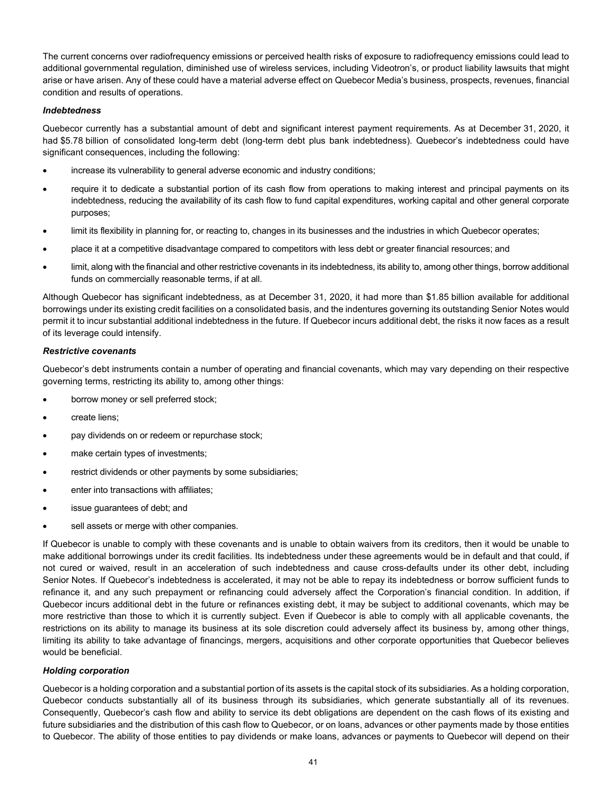The current concerns over radiofrequency emissions or perceived health risks of exposure to radiofrequency emissions could lead to additional governmental regulation, diminished use of wireless services, including Videotron's, or product liability lawsuits that might arise or have arisen. Any of these could have a material adverse effect on Quebecor Media's business, prospects, revenues, financial condition and results of operations.

#### *Indebtedness*

Quebecor currently has a substantial amount of debt and significant interest payment requirements. As at December 31, 2020, it had \$5.78 billion of consolidated long-term debt (long-term debt plus bank indebtedness). Quebecor's indebtedness could have significant consequences, including the following:

- increase its vulnerability to general adverse economic and industry conditions;
- require it to dedicate a substantial portion of its cash flow from operations to making interest and principal payments on its indebtedness, reducing the availability of its cash flow to fund capital expenditures, working capital and other general corporate purposes;
- limit its flexibility in planning for, or reacting to, changes in its businesses and the industries in which Quebecor operates;
- place it at a competitive disadvantage compared to competitors with less debt or greater financial resources; and
- limit, along with the financial and other restrictive covenants in its indebtedness, its ability to, among other things, borrow additional funds on commercially reasonable terms, if at all.

Although Quebecor has significant indebtedness, as at December 31, 2020, it had more than \$1.85 billion available for additional borrowings under its existing credit facilities on a consolidated basis, and the indentures governing its outstanding Senior Notes would permit it to incur substantial additional indebtedness in the future. If Quebecor incurs additional debt, the risks it now faces as a result of its leverage could intensify.

#### *Restrictive covenants*

Quebecor's debt instruments contain a number of operating and financial covenants, which may vary depending on their respective governing terms, restricting its ability to, among other things:

- borrow money or sell preferred stock;
- create liens;
- pay dividends on or redeem or repurchase stock;
- make certain types of investments;
- restrict dividends or other payments by some subsidiaries;
- enter into transactions with affiliates;
- issue guarantees of debt; and
- sell assets or merge with other companies.

If Quebecor is unable to comply with these covenants and is unable to obtain waivers from its creditors, then it would be unable to make additional borrowings under its credit facilities. Its indebtedness under these agreements would be in default and that could, if not cured or waived, result in an acceleration of such indebtedness and cause cross-defaults under its other debt, including Senior Notes. If Quebecor's indebtedness is accelerated, it may not be able to repay its indebtedness or borrow sufficient funds to refinance it, and any such prepayment or refinancing could adversely affect the Corporation's financial condition. In addition, if Quebecor incurs additional debt in the future or refinances existing debt, it may be subject to additional covenants, which may be more restrictive than those to which it is currently subject. Even if Quebecor is able to comply with all applicable covenants, the restrictions on its ability to manage its business at its sole discretion could adversely affect its business by, among other things, limiting its ability to take advantage of financings, mergers, acquisitions and other corporate opportunities that Quebecor believes would be beneficial.

#### *Holding corporation*

Quebecor is a holding corporation and a substantial portion of its assets is the capital stock of its subsidiaries. As a holding corporation, Quebecor conducts substantially all of its business through its subsidiaries, which generate substantially all of its revenues. Consequently, Quebecor's cash flow and ability to service its debt obligations are dependent on the cash flows of its existing and future subsidiaries and the distribution of this cash flow to Quebecor, or on loans, advances or other payments made by those entities to Quebecor. The ability of those entities to pay dividends or make loans, advances or payments to Quebecor will depend on their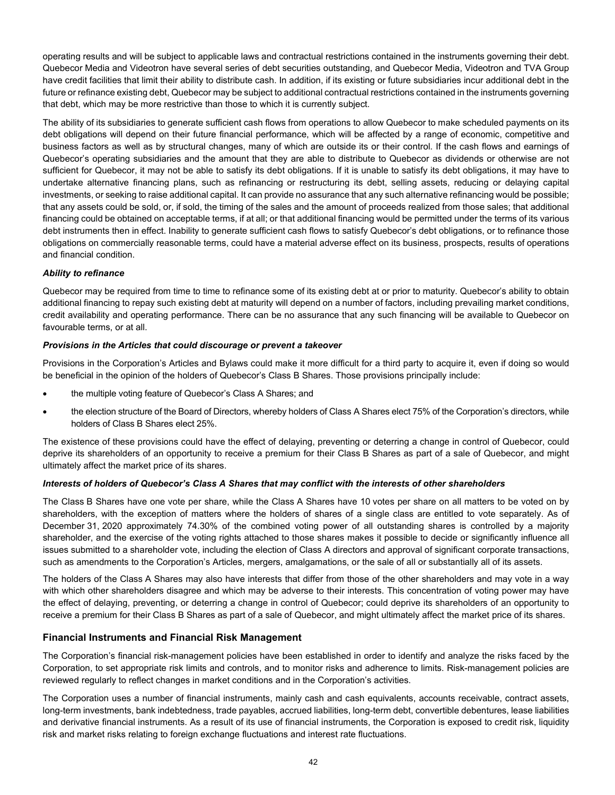operating results and will be subject to applicable laws and contractual restrictions contained in the instruments governing their debt. Quebecor Media and Videotron have several series of debt securities outstanding, and Quebecor Media, Videotron and TVA Group have credit facilities that limit their ability to distribute cash. In addition, if its existing or future subsidiaries incur additional debt in the future or refinance existing debt, Quebecor may be subject to additional contractual restrictions contained in the instruments governing that debt, which may be more restrictive than those to which it is currently subject.

The ability of its subsidiaries to generate sufficient cash flows from operations to allow Quebecor to make scheduled payments on its debt obligations will depend on their future financial performance, which will be affected by a range of economic, competitive and business factors as well as by structural changes, many of which are outside its or their control. If the cash flows and earnings of Quebecor's operating subsidiaries and the amount that they are able to distribute to Quebecor as dividends or otherwise are not sufficient for Quebecor, it may not be able to satisfy its debt obligations. If it is unable to satisfy its debt obligations, it may have to undertake alternative financing plans, such as refinancing or restructuring its debt, selling assets, reducing or delaying capital investments, or seeking to raise additional capital. It can provide no assurance that any such alternative refinancing would be possible; that any assets could be sold, or, if sold, the timing of the sales and the amount of proceeds realized from those sales; that additional financing could be obtained on acceptable terms, if at all; or that additional financing would be permitted under the terms of its various debt instruments then in effect. Inability to generate sufficient cash flows to satisfy Quebecor's debt obligations, or to refinance those obligations on commercially reasonable terms, could have a material adverse effect on its business, prospects, results of operations and financial condition.

#### *Ability to refinance*

Quebecor may be required from time to time to refinance some of its existing debt at or prior to maturity. Quebecor's ability to obtain additional financing to repay such existing debt at maturity will depend on a number of factors, including prevailing market conditions, credit availability and operating performance. There can be no assurance that any such financing will be available to Quebecor on favourable terms, or at all.

#### *Provisions in the Articles that could discourage or prevent a takeover*

Provisions in the Corporation's Articles and Bylaws could make it more difficult for a third party to acquire it, even if doing so would be beneficial in the opinion of the holders of Quebecor's Class B Shares. Those provisions principally include:

- the multiple voting feature of Quebecor's Class A Shares; and
- the election structure of the Board of Directors, whereby holders of Class A Shares elect 75% of the Corporation's directors, while holders of Class B Shares elect 25%.

The existence of these provisions could have the effect of delaying, preventing or deterring a change in control of Quebecor, could deprive its shareholders of an opportunity to receive a premium for their Class B Shares as part of a sale of Quebecor, and might ultimately affect the market price of its shares.

#### *Interests of holders of Quebecor's Class A Shares that may conflict with the interests of other shareholders*

The Class B Shares have one vote per share, while the Class A Shares have 10 votes per share on all matters to be voted on by shareholders, with the exception of matters where the holders of shares of a single class are entitled to vote separately. As of December 31, 2020 approximately 74.30% of the combined voting power of all outstanding shares is controlled by a majority shareholder, and the exercise of the voting rights attached to those shares makes it possible to decide or significantly influence all issues submitted to a shareholder vote, including the election of Class A directors and approval of significant corporate transactions, such as amendments to the Corporation's Articles, mergers, amalgamations, or the sale of all or substantially all of its assets.

The holders of the Class A Shares may also have interests that differ from those of the other shareholders and may vote in a way with which other shareholders disagree and which may be adverse to their interests. This concentration of voting power may have the effect of delaying, preventing, or deterring a change in control of Quebecor; could deprive its shareholders of an opportunity to receive a premium for their Class B Shares as part of a sale of Quebecor, and might ultimately affect the market price of its shares.

# **Financial Instruments and Financial Risk Management**

The Corporation's financial risk-management policies have been established in order to identify and analyze the risks faced by the Corporation, to set appropriate risk limits and controls, and to monitor risks and adherence to limits. Risk-management policies are reviewed regularly to reflect changes in market conditions and in the Corporation's activities.

The Corporation uses a number of financial instruments, mainly cash and cash equivalents, accounts receivable, contract assets, long-term investments, bank indebtedness, trade payables, accrued liabilities, long-term debt, convertible debentures, lease liabilities and derivative financial instruments. As a result of its use of financial instruments, the Corporation is exposed to credit risk, liquidity risk and market risks relating to foreign exchange fluctuations and interest rate fluctuations.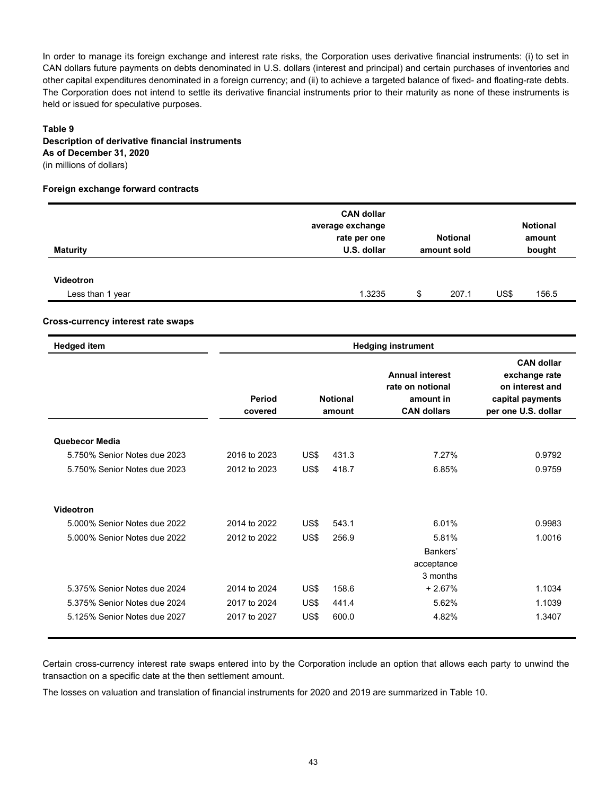In order to manage its foreign exchange and interest rate risks, the Corporation uses derivative financial instruments: (i) to set in CAN dollars future payments on debts denominated in U.S. dollars (interest and principal) and certain purchases of inventories and other capital expenditures denominated in a foreign currency; and (ii) to achieve a targeted balance of fixed- and floating-rate debts. The Corporation does not intend to settle its derivative financial instruments prior to their maturity as none of these instruments is held or issued for speculative purposes.

#### **Table 9**

#### **Description of derivative financial instruments As of December 31, 2020**

(in millions of dollars)

# **Foreign exchange forward contracts**

| <b>Maturity</b>                      | <b>CAN dollar</b><br>average exchange<br>rate per one<br>U.S. dollar | <b>Notional</b><br>amount sold |      | <b>Notional</b><br>amount<br>bought |
|--------------------------------------|----------------------------------------------------------------------|--------------------------------|------|-------------------------------------|
| <b>Videotron</b><br>Less than 1 year | 1.3235                                                               | \$<br>207.1                    | US\$ | 156.5                               |

#### **Cross-currency interest rate swaps**

| <b>Hedged item</b>           | <b>Hedging instrument</b> |      |                           |                                                                               |                                                                                                  |  |
|------------------------------|---------------------------|------|---------------------------|-------------------------------------------------------------------------------|--------------------------------------------------------------------------------------------------|--|
|                              | Period<br>covered         |      | <b>Notional</b><br>amount | <b>Annual interest</b><br>rate on notional<br>amount in<br><b>CAN dollars</b> | <b>CAN dollar</b><br>exchange rate<br>on interest and<br>capital payments<br>per one U.S. dollar |  |
|                              |                           |      |                           |                                                                               |                                                                                                  |  |
| Quebecor Media               |                           |      |                           |                                                                               |                                                                                                  |  |
| 5.750% Senior Notes due 2023 | 2016 to 2023              | US\$ | 431.3                     | 7.27%                                                                         | 0.9792                                                                                           |  |
| 5.750% Senior Notes due 2023 | 2012 to 2023              | US\$ | 418.7                     | 6.85%                                                                         | 0.9759                                                                                           |  |
| Videotron                    |                           |      |                           |                                                                               |                                                                                                  |  |
| 5.000% Senior Notes due 2022 | 2014 to 2022              | US\$ | 543.1                     | 6.01%                                                                         | 0.9983                                                                                           |  |
| 5.000% Senior Notes due 2022 | 2012 to 2022              | US\$ | 256.9                     | 5.81%                                                                         | 1.0016                                                                                           |  |
|                              |                           |      |                           | Bankers'                                                                      |                                                                                                  |  |
|                              |                           |      |                           | acceptance                                                                    |                                                                                                  |  |
|                              |                           |      |                           | 3 months                                                                      |                                                                                                  |  |
| 5.375% Senior Notes due 2024 | 2014 to 2024              | US\$ | 158.6                     | $+2.67%$                                                                      | 1.1034                                                                                           |  |
| 5.375% Senior Notes due 2024 | 2017 to 2024              | US\$ | 441.4                     | 5.62%                                                                         | 1.1039                                                                                           |  |
| 5.125% Senior Notes due 2027 | 2017 to 2027              | US\$ | 600.0                     | 4.82%                                                                         | 1.3407                                                                                           |  |

Certain cross-currency interest rate swaps entered into by the Corporation include an option that allows each party to unwind the transaction on a specific date at the then settlement amount.

The losses on valuation and translation of financial instruments for 2020 and 2019 are summarized in Table 10.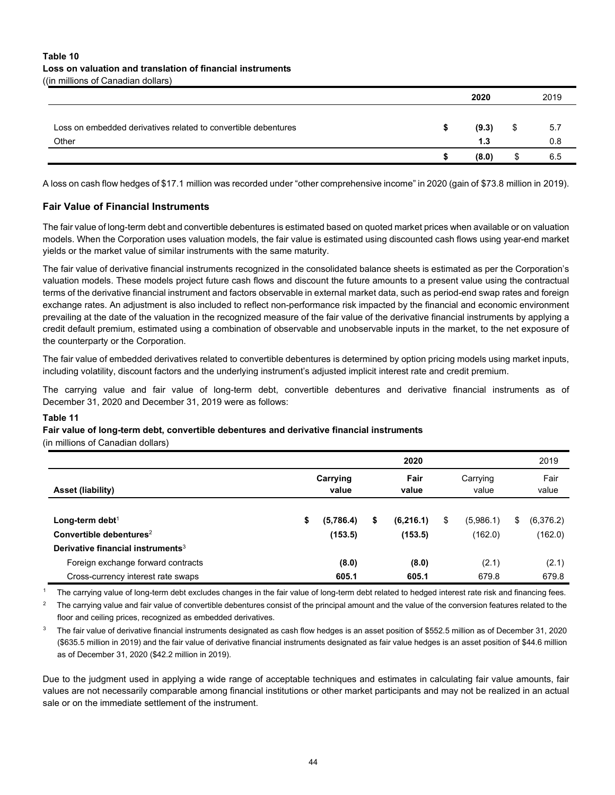#### **Table 10 Loss on valuation and translation of financial instruments** ((in millions of Canadian dollars)

|                                                                |   | 2020  |      |     |
|----------------------------------------------------------------|---|-------|------|-----|
| Loss on embedded derivatives related to convertible debentures | ъ | (9.3) | \$   | 5.7 |
| Other                                                          |   | 1.3   |      | 0.8 |
|                                                                | æ | (8.0) | - 11 | 6.5 |

A loss on cash flow hedges of \$17.1 million was recorded under "other comprehensive income" in 2020 (gain of \$73.8 million in 2019).

# **Fair Value of Financial Instruments**

The fair value of long-term debt and convertible debentures is estimated based on quoted market prices when available or on valuation models. When the Corporation uses valuation models, the fair value is estimated using discounted cash flows using year-end market yields or the market value of similar instruments with the same maturity.

The fair value of derivative financial instruments recognized in the consolidated balance sheets is estimated as per the Corporation's valuation models. These models project future cash flows and discount the future amounts to a present value using the contractual terms of the derivative financial instrument and factors observable in external market data, such as period-end swap rates and foreign exchange rates. An adjustment is also included to reflect non-performance risk impacted by the financial and economic environment prevailing at the date of the valuation in the recognized measure of the fair value of the derivative financial instruments by applying a credit default premium, estimated using a combination of observable and unobservable inputs in the market, to the net exposure of the counterparty or the Corporation.

The fair value of embedded derivatives related to convertible debentures is determined by option pricing models using market inputs, including volatility, discount factors and the underlying instrument's adjusted implicit interest rate and credit premium.

The carrying value and fair value of long-term debt, convertible debentures and derivative financial instruments as of December 31, 2020 and December 31, 2019 were as follows:

#### **Table 11**

#### **Fair value of long-term debt, convertible debentures and derivative financial instruments**

(in millions of Canadian dollars)

|                                               |                   |           |               | 2020              |                 | 2019            |
|-----------------------------------------------|-------------------|-----------|---------------|-------------------|-----------------|-----------------|
| Asset (liability)                             | Carrying<br>value |           | Fair<br>value | Carrying<br>value | Fair<br>value   |                 |
|                                               |                   |           |               |                   |                 |                 |
| Long-term debt <sup>1</sup>                   | \$                | (5,786.4) | S             | (6,216.1)         | \$<br>(5,986.1) | \$<br>(6,376.2) |
| Convertible debentures <sup>2</sup>           |                   | (153.5)   |               | (153.5)           | (162.0)         | (162.0)         |
| Derivative financial instruments <sup>3</sup> |                   |           |               |                   |                 |                 |
| Foreign exchange forward contracts            |                   | (8.0)     |               | (8.0)             | (2.1)           | (2.1)           |
| Cross-currency interest rate swaps            |                   | 605.1     |               | 605.1             | 679.8           | 679.8           |

<sup>1</sup> The carrying value of long-term debt excludes changes in the fair value of long-term debt related to hedged interest rate risk and financing fees.

 $2<sup>2</sup>$  The carrying value and fair value of convertible debentures consist of the principal amount and the value of the conversion features related to the floor and ceiling prices, recognized as embedded derivatives.

<sup>3</sup> The fair value of derivative financial instruments designated as cash flow hedges is an asset position of \$552.5 million as of December 31, 2020 (\$635.5 million in 2019) and the fair value of derivative financial instruments designated as fair value hedges is an asset position of \$44.6 million as of December 31, 2020 (\$42.2 million in 2019).

Due to the judgment used in applying a wide range of acceptable techniques and estimates in calculating fair value amounts, fair values are not necessarily comparable among financial institutions or other market participants and may not be realized in an actual sale or on the immediate settlement of the instrument.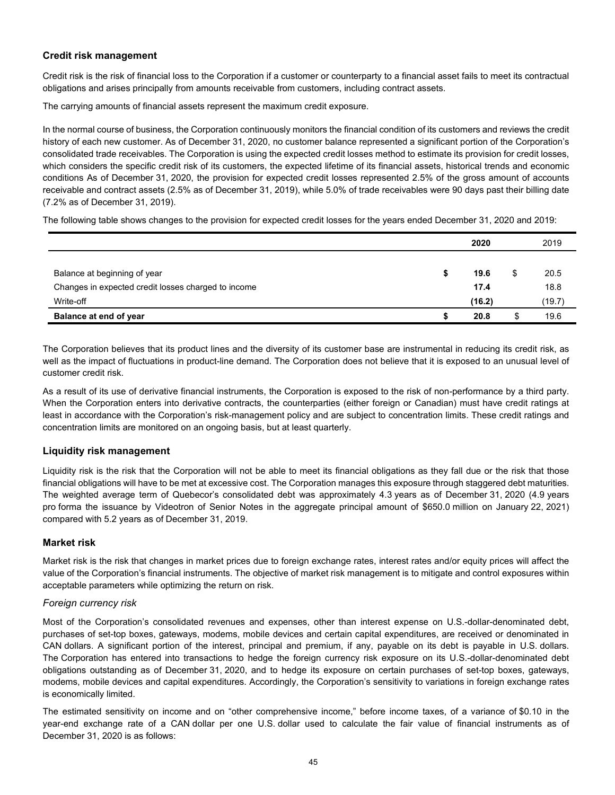# **Credit risk management**

Credit risk is the risk of financial loss to the Corporation if a customer or counterparty to a financial asset fails to meet its contractual obligations and arises principally from amounts receivable from customers, including contract assets.

The carrying amounts of financial assets represent the maximum credit exposure.

In the normal course of business, the Corporation continuously monitors the financial condition of its customers and reviews the credit history of each new customer. As of December 31, 2020, no customer balance represented a significant portion of the Corporation's consolidated trade receivables. The Corporation is using the expected credit losses method to estimate its provision for credit losses, which considers the specific credit risk of its customers, the expected lifetime of its financial assets, historical trends and economic conditions As of December 31, 2020, the provision for expected credit losses represented 2.5% of the gross amount of accounts receivable and contract assets (2.5% as of December 31, 2019), while 5.0% of trade receivables were 90 days past their billing date (7.2% as of December 31, 2019).

The following table shows changes to the provision for expected credit losses for the years ended December 31, 2020 and 2019:

|                                                     | 2020   |    | 2019   |
|-----------------------------------------------------|--------|----|--------|
|                                                     |        |    |        |
| Balance at beginning of year                        | 19.6   | \$ | 20.5   |
| Changes in expected credit losses charged to income | 17.4   |    | 18.8   |
| Write-off                                           | (16.2) |    | (19.7) |
| Balance at end of year                              | 20.8   | S  | 19.6   |

The Corporation believes that its product lines and the diversity of its customer base are instrumental in reducing its credit risk, as well as the impact of fluctuations in product-line demand. The Corporation does not believe that it is exposed to an unusual level of customer credit risk.

As a result of its use of derivative financial instruments, the Corporation is exposed to the risk of non-performance by a third party. When the Corporation enters into derivative contracts, the counterparties (either foreign or Canadian) must have credit ratings at least in accordance with the Corporation's risk-management policy and are subject to concentration limits. These credit ratings and concentration limits are monitored on an ongoing basis, but at least quarterly.

# **Liquidity risk management**

Liquidity risk is the risk that the Corporation will not be able to meet its financial obligations as they fall due or the risk that those financial obligations will have to be met at excessive cost. The Corporation manages this exposure through staggered debt maturities. The weighted average term of Quebecor's consolidated debt was approximately 4.3 years as of December 31, 2020 (4.9 years pro forma the issuance by Videotron of Senior Notes in the aggregate principal amount of \$650.0 million on January 22, 2021) compared with 5.2 years as of December 31, 2019.

# **Market risk**

Market risk is the risk that changes in market prices due to foreign exchange rates, interest rates and/or equity prices will affect the value of the Corporation's financial instruments. The objective of market risk management is to mitigate and control exposures within acceptable parameters while optimizing the return on risk.

#### *Foreign currency risk*

Most of the Corporation's consolidated revenues and expenses, other than interest expense on U.S.-dollar-denominated debt, purchases of set-top boxes, gateways, modems, mobile devices and certain capital expenditures, are received or denominated in CAN dollars. A significant portion of the interest, principal and premium, if any, payable on its debt is payable in U.S. dollars. The Corporation has entered into transactions to hedge the foreign currency risk exposure on its U.S.-dollar-denominated debt obligations outstanding as of December 31, 2020, and to hedge its exposure on certain purchases of set-top boxes, gateways, modems, mobile devices and capital expenditures. Accordingly, the Corporation's sensitivity to variations in foreign exchange rates is economically limited.

The estimated sensitivity on income and on "other comprehensive income," before income taxes, of a variance of \$0.10 in the year-end exchange rate of a CAN dollar per one U.S. dollar used to calculate the fair value of financial instruments as of December 31, 2020 is as follows: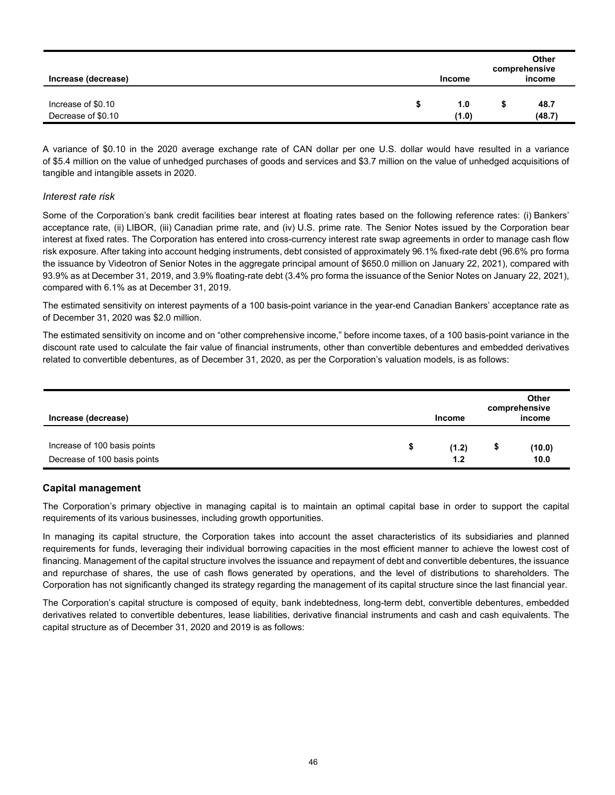| Increase (decrease)                      | <b>Other</b><br>comprehensive<br>income<br><b>Income</b> |   |                |  |  |
|------------------------------------------|----------------------------------------------------------|---|----------------|--|--|
| Increase of \$0.10<br>Decrease of \$0.10 | 1.0<br>(1.0)                                             | S | 48.7<br>(48.7) |  |  |

A variance of \$0.10 in the 2020 average exchange rate of CAN dollar per one U.S. dollar would have resulted in a variance of \$5.4 million on the value of unhedged purchases of goods and services and \$3.7 million on the value of unhedged acquisitions of tangible and intangible assets in 2020.

#### *Interest rate risk*

Some of the Corporation's bank credit facilities bear interest at floating rates based on the following reference rates: (i) Bankers' acceptance rate, (ii) LIBOR, (iii) Canadian prime rate, and (iv) U.S. prime rate. The Senior Notes issued by the Corporation bear interest at fixed rates. The Corporation has entered into cross-currency interest rate swap agreements in order to manage cash flow risk exposure. After taking into account hedging instruments, debt consisted of approximately 96.1% fixed-rate debt (96.6% pro forma the issuance by Videotron of Senior Notes in the aggregate principal amount of \$650.0 million on January 22, 2021), compared with 93.9% as at December 31, 2019, and 3.9% floating-rate debt (3.4% pro forma the issuance of the Senior Notes on January 22, 2021), compared with 6.1% as at December 31, 2019.

The estimated sensitivity on interest payments of a 100 basis-point variance in the year-end Canadian Bankers' acceptance rate as of December 31, 2020 was \$2.0 million.

The estimated sensitivity on income and on "other comprehensive income," before income taxes, of a 100 basis-point variance in the discount rate used to calculate the fair value of financial instruments, other than convertible debentures and embedded derivatives related to convertible debentures, as of December 31, 2020, as per the Corporation's valuation models, is as follows:

| Increase (decrease)                                          |   | Income       |   | Other<br>comprehensive<br>income |
|--------------------------------------------------------------|---|--------------|---|----------------------------------|
| Increase of 100 basis points<br>Decrease of 100 basis points | S | (1.2)<br>1.2 | ъ | (10.0)<br>10.0                   |

# **Capital management**

The Corporation's primary objective in managing capital is to maintain an optimal capital base in order to support the capital requirements of its various businesses, including growth opportunities.

In managing its capital structure, the Corporation takes into account the asset characteristics of its subsidiaries and planned requirements for funds, leveraging their individual borrowing capacities in the most efficient manner to achieve the lowest cost of financing. Management of the capital structure involves the issuance and repayment of debt and convertible debentures, the issuance and repurchase of shares, the use of cash flows generated by operations, and the level of distributions to shareholders. The Corporation has not significantly changed its strategy regarding the management of its capital structure since the last financial year.

The Corporation's capital structure is composed of equity, bank indebtedness, long-term debt, convertible debentures, embedded derivatives related to convertible debentures, lease liabilities, derivative financial instruments and cash and cash equivalents. The capital structure as of December 31, 2020 and 2019 is as follows: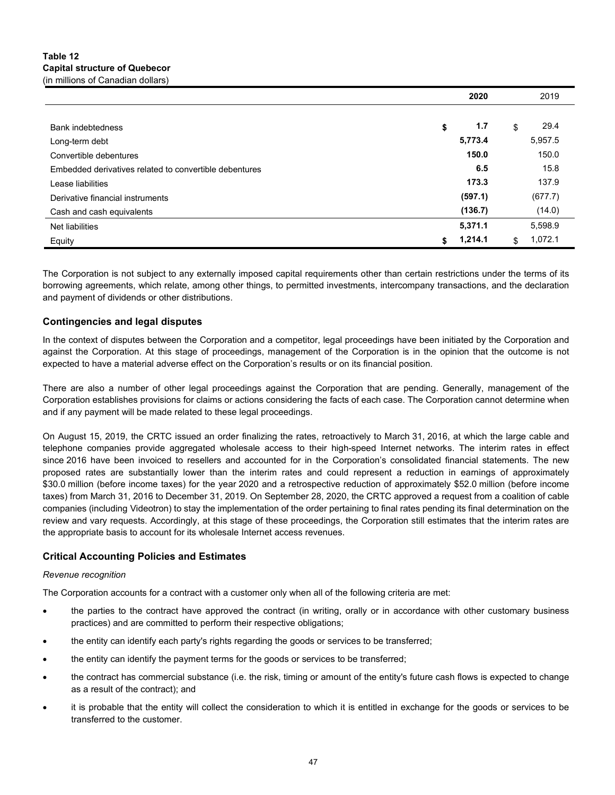|                                                        | 2020          | 2019          |
|--------------------------------------------------------|---------------|---------------|
|                                                        |               |               |
| <b>Bank indebtedness</b>                               | \$<br>1.7     | \$<br>29.4    |
| Long-term debt                                         | 5,773.4       | 5,957.5       |
| Convertible debentures                                 | 150.0         | 150.0         |
| Embedded derivatives related to convertible debentures | 6.5           | 15.8          |
| Lease liabilities                                      | 173.3         | 137.9         |
| Derivative financial instruments                       | (597.1)       | (677.7)       |
| Cash and cash equivalents                              | (136.7)       | (14.0)        |
| Net liabilities                                        | 5,371.1       | 5,598.9       |
| Equity                                                 | \$<br>1,214.1 | \$<br>1,072.1 |

The Corporation is not subject to any externally imposed capital requirements other than certain restrictions under the terms of its borrowing agreements, which relate, among other things, to permitted investments, intercompany transactions, and the declaration and payment of dividends or other distributions.

# **Contingencies and legal disputes**

In the context of disputes between the Corporation and a competitor, legal proceedings have been initiated by the Corporation and against the Corporation. At this stage of proceedings, management of the Corporation is in the opinion that the outcome is not expected to have a material adverse effect on the Corporation's results or on its financial position.

There are also a number of other legal proceedings against the Corporation that are pending. Generally, management of the Corporation establishes provisions for claims or actions considering the facts of each case. The Corporation cannot determine when and if any payment will be made related to these legal proceedings.

On August 15, 2019, the CRTC issued an order finalizing the rates, retroactively to March 31, 2016, at which the large cable and telephone companies provide aggregated wholesale access to their high-speed Internet networks. The interim rates in effect since 2016 have been invoiced to resellers and accounted for in the Corporation's consolidated financial statements. The new proposed rates are substantially lower than the interim rates and could represent a reduction in earnings of approximately \$30.0 million (before income taxes) for the year 2020 and a retrospective reduction of approximately \$52.0 million (before income taxes) from March 31, 2016 to December 31, 2019. On September 28, 2020, the CRTC approved a request from a coalition of cable companies (including Videotron) to stay the implementation of the order pertaining to final rates pending its final determination on the review and vary requests. Accordingly, at this stage of these proceedings, the Corporation still estimates that the interim rates are the appropriate basis to account for its wholesale Internet access revenues.

# **Critical Accounting Policies and Estimates**

# *Revenue recognition*

The Corporation accounts for a contract with a customer only when all of the following criteria are met:

- the parties to the contract have approved the contract (in writing, orally or in accordance with other customary business practices) and are committed to perform their respective obligations;
- the entity can identify each party's rights regarding the goods or services to be transferred;
- the entity can identify the payment terms for the goods or services to be transferred;
- the contract has commercial substance (i.e. the risk, timing or amount of the entity's future cash flows is expected to change as a result of the contract); and
- it is probable that the entity will collect the consideration to which it is entitled in exchange for the goods or services to be transferred to the customer.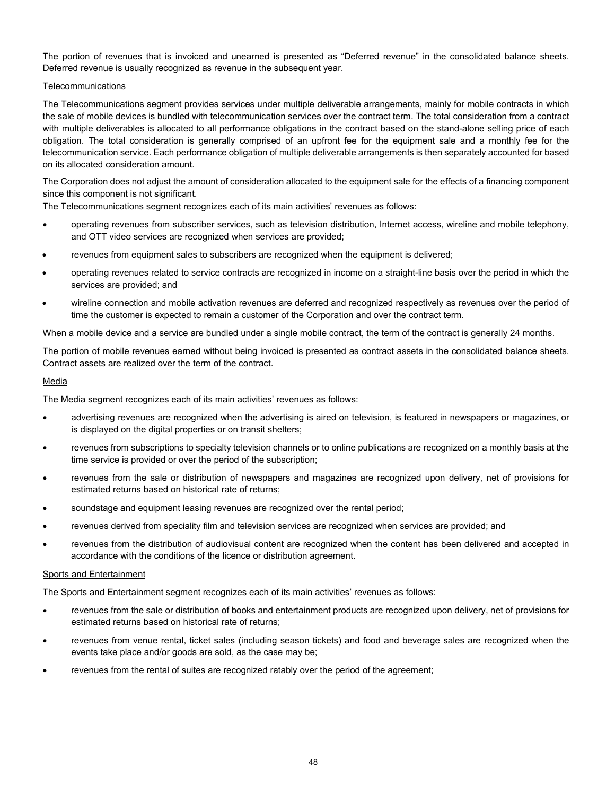The portion of revenues that is invoiced and unearned is presented as "Deferred revenue" in the consolidated balance sheets. Deferred revenue is usually recognized as revenue in the subsequent year.

#### **Telecommunications**

The Telecommunications segment provides services under multiple deliverable arrangements, mainly for mobile contracts in which the sale of mobile devices is bundled with telecommunication services over the contract term. The total consideration from a contract with multiple deliverables is allocated to all performance obligations in the contract based on the stand-alone selling price of each obligation. The total consideration is generally comprised of an upfront fee for the equipment sale and a monthly fee for the telecommunication service. Each performance obligation of multiple deliverable arrangements is then separately accounted for based on its allocated consideration amount.

The Corporation does not adjust the amount of consideration allocated to the equipment sale for the effects of a financing component since this component is not significant.

The Telecommunications segment recognizes each of its main activities' revenues as follows:

- operating revenues from subscriber services, such as television distribution, Internet access, wireline and mobile telephony, and OTT video services are recognized when services are provided;
- revenues from equipment sales to subscribers are recognized when the equipment is delivered;
- operating revenues related to service contracts are recognized in income on a straight-line basis over the period in which the services are provided; and
- wireline connection and mobile activation revenues are deferred and recognized respectively as revenues over the period of time the customer is expected to remain a customer of the Corporation and over the contract term.

When a mobile device and a service are bundled under a single mobile contract, the term of the contract is generally 24 months.

The portion of mobile revenues earned without being invoiced is presented as contract assets in the consolidated balance sheets. Contract assets are realized over the term of the contract.

#### Media

The Media segment recognizes each of its main activities' revenues as follows:

- advertising revenues are recognized when the advertising is aired on television, is featured in newspapers or magazines, or is displayed on the digital properties or on transit shelters;
- revenues from subscriptions to specialty television channels or to online publications are recognized on a monthly basis at the time service is provided or over the period of the subscription;
- revenues from the sale or distribution of newspapers and magazines are recognized upon delivery, net of provisions for estimated returns based on historical rate of returns;
- soundstage and equipment leasing revenues are recognized over the rental period;
- revenues derived from speciality film and television services are recognized when services are provided; and
- revenues from the distribution of audiovisual content are recognized when the content has been delivered and accepted in accordance with the conditions of the licence or distribution agreement.

#### Sports and Entertainment

The Sports and Entertainment segment recognizes each of its main activities' revenues as follows:

- revenues from the sale or distribution of books and entertainment products are recognized upon delivery, net of provisions for estimated returns based on historical rate of returns;
- revenues from venue rental, ticket sales (including season tickets) and food and beverage sales are recognized when the events take place and/or goods are sold, as the case may be;
- revenues from the rental of suites are recognized ratably over the period of the agreement;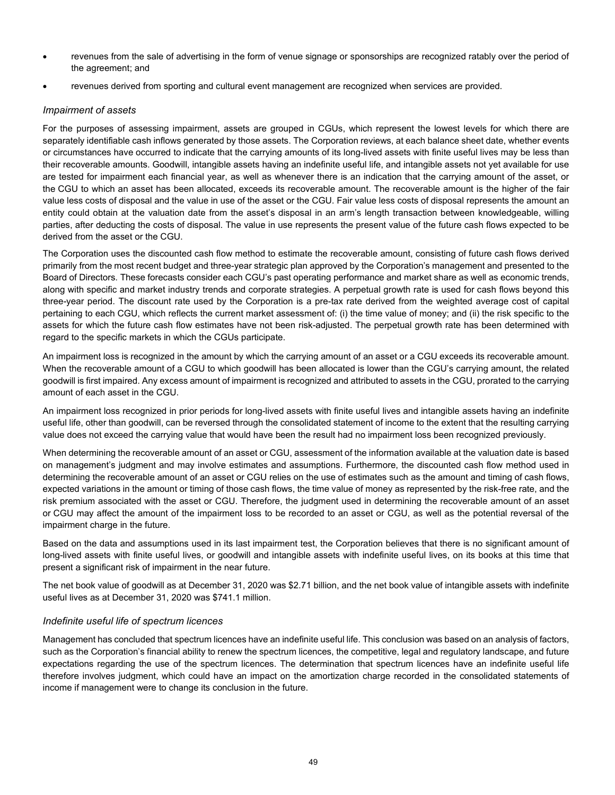- revenues from the sale of advertising in the form of venue signage or sponsorships are recognized ratably over the period of the agreement; and
- revenues derived from sporting and cultural event management are recognized when services are provided.

# *Impairment of assets*

For the purposes of assessing impairment, assets are grouped in CGUs, which represent the lowest levels for which there are separately identifiable cash inflows generated by those assets. The Corporation reviews, at each balance sheet date, whether events or circumstances have occurred to indicate that the carrying amounts of its long-lived assets with finite useful lives may be less than their recoverable amounts. Goodwill, intangible assets having an indefinite useful life, and intangible assets not yet available for use are tested for impairment each financial year, as well as whenever there is an indication that the carrying amount of the asset, or the CGU to which an asset has been allocated, exceeds its recoverable amount. The recoverable amount is the higher of the fair value less costs of disposal and the value in use of the asset or the CGU. Fair value less costs of disposal represents the amount an entity could obtain at the valuation date from the asset's disposal in an arm's length transaction between knowledgeable, willing parties, after deducting the costs of disposal. The value in use represents the present value of the future cash flows expected to be derived from the asset or the CGU.

The Corporation uses the discounted cash flow method to estimate the recoverable amount, consisting of future cash flows derived primarily from the most recent budget and three-year strategic plan approved by the Corporation's management and presented to the Board of Directors. These forecasts consider each CGU's past operating performance and market share as well as economic trends, along with specific and market industry trends and corporate strategies. A perpetual growth rate is used for cash flows beyond this three-year period. The discount rate used by the Corporation is a pre-tax rate derived from the weighted average cost of capital pertaining to each CGU, which reflects the current market assessment of: (i) the time value of money; and (ii) the risk specific to the assets for which the future cash flow estimates have not been risk-adjusted. The perpetual growth rate has been determined with regard to the specific markets in which the CGUs participate.

An impairment loss is recognized in the amount by which the carrying amount of an asset or a CGU exceeds its recoverable amount. When the recoverable amount of a CGU to which goodwill has been allocated is lower than the CGU's carrying amount, the related goodwill is first impaired. Any excess amount of impairment is recognized and attributed to assets in the CGU, prorated to the carrying amount of each asset in the CGU.

An impairment loss recognized in prior periods for long-lived assets with finite useful lives and intangible assets having an indefinite useful life, other than goodwill, can be reversed through the consolidated statement of income to the extent that the resulting carrying value does not exceed the carrying value that would have been the result had no impairment loss been recognized previously.

When determining the recoverable amount of an asset or CGU, assessment of the information available at the valuation date is based on management's judgment and may involve estimates and assumptions. Furthermore, the discounted cash flow method used in determining the recoverable amount of an asset or CGU relies on the use of estimates such as the amount and timing of cash flows, expected variations in the amount or timing of those cash flows, the time value of money as represented by the risk-free rate, and the risk premium associated with the asset or CGU. Therefore, the judgment used in determining the recoverable amount of an asset or CGU may affect the amount of the impairment loss to be recorded to an asset or CGU, as well as the potential reversal of the impairment charge in the future.

Based on the data and assumptions used in its last impairment test, the Corporation believes that there is no significant amount of long-lived assets with finite useful lives, or goodwill and intangible assets with indefinite useful lives, on its books at this time that present a significant risk of impairment in the near future.

The net book value of goodwill as at December 31, 2020 was \$2.71 billion, and the net book value of intangible assets with indefinite useful lives as at December 31, 2020 was \$741.1 million.

#### *Indefinite useful life of spectrum licences*

Management has concluded that spectrum licences have an indefinite useful life. This conclusion was based on an analysis of factors, such as the Corporation's financial ability to renew the spectrum licences, the competitive, legal and regulatory landscape, and future expectations regarding the use of the spectrum licences. The determination that spectrum licences have an indefinite useful life therefore involves judgment, which could have an impact on the amortization charge recorded in the consolidated statements of income if management were to change its conclusion in the future.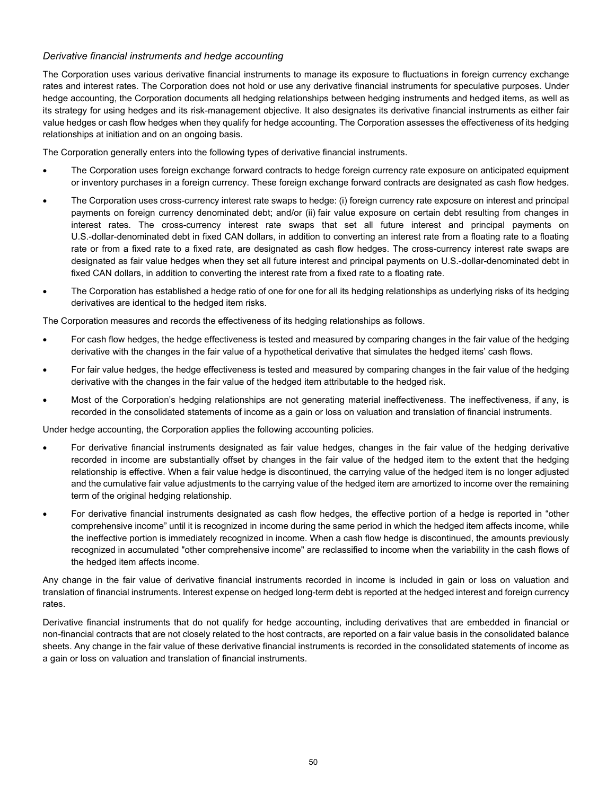# *Derivative financial instruments and hedge accounting*

The Corporation uses various derivative financial instruments to manage its exposure to fluctuations in foreign currency exchange rates and interest rates. The Corporation does not hold or use any derivative financial instruments for speculative purposes. Under hedge accounting, the Corporation documents all hedging relationships between hedging instruments and hedged items, as well as its strategy for using hedges and its risk-management objective. It also designates its derivative financial instruments as either fair value hedges or cash flow hedges when they qualify for hedge accounting. The Corporation assesses the effectiveness of its hedging relationships at initiation and on an ongoing basis.

The Corporation generally enters into the following types of derivative financial instruments.

- The Corporation uses foreign exchange forward contracts to hedge foreign currency rate exposure on anticipated equipment or inventory purchases in a foreign currency. These foreign exchange forward contracts are designated as cash flow hedges.
- The Corporation uses cross-currency interest rate swaps to hedge: (i) foreign currency rate exposure on interest and principal payments on foreign currency denominated debt; and/or (ii) fair value exposure on certain debt resulting from changes in interest rates. The cross-currency interest rate swaps that set all future interest and principal payments on U.S.-dollar-denominated debt in fixed CAN dollars, in addition to converting an interest rate from a floating rate to a floating rate or from a fixed rate to a fixed rate, are designated as cash flow hedges. The cross-currency interest rate swaps are designated as fair value hedges when they set all future interest and principal payments on U.S.-dollar-denominated debt in fixed CAN dollars, in addition to converting the interest rate from a fixed rate to a floating rate.
- The Corporation has established a hedge ratio of one for one for all its hedging relationships as underlying risks of its hedging derivatives are identical to the hedged item risks.

The Corporation measures and records the effectiveness of its hedging relationships as follows.

- For cash flow hedges, the hedge effectiveness is tested and measured by comparing changes in the fair value of the hedging derivative with the changes in the fair value of a hypothetical derivative that simulates the hedged items' cash flows.
- For fair value hedges, the hedge effectiveness is tested and measured by comparing changes in the fair value of the hedging derivative with the changes in the fair value of the hedged item attributable to the hedged risk.
- Most of the Corporation's hedging relationships are not generating material ineffectiveness. The ineffectiveness, if any, is recorded in the consolidated statements of income as a gain or loss on valuation and translation of financial instruments.

Under hedge accounting, the Corporation applies the following accounting policies.

- For derivative financial instruments designated as fair value hedges, changes in the fair value of the hedging derivative recorded in income are substantially offset by changes in the fair value of the hedged item to the extent that the hedging relationship is effective. When a fair value hedge is discontinued, the carrying value of the hedged item is no longer adjusted and the cumulative fair value adjustments to the carrying value of the hedged item are amortized to income over the remaining term of the original hedging relationship.
- For derivative financial instruments designated as cash flow hedges, the effective portion of a hedge is reported in "other comprehensive income" until it is recognized in income during the same period in which the hedged item affects income, while the ineffective portion is immediately recognized in income. When a cash flow hedge is discontinued, the amounts previously recognized in accumulated "other comprehensive income" are reclassified to income when the variability in the cash flows of the hedged item affects income.

Any change in the fair value of derivative financial instruments recorded in income is included in gain or loss on valuation and translation of financial instruments. Interest expense on hedged long-term debt is reported at the hedged interest and foreign currency rates.

Derivative financial instruments that do not qualify for hedge accounting, including derivatives that are embedded in financial or non-financial contracts that are not closely related to the host contracts, are reported on a fair value basis in the consolidated balance sheets. Any change in the fair value of these derivative financial instruments is recorded in the consolidated statements of income as a gain or loss on valuation and translation of financial instruments.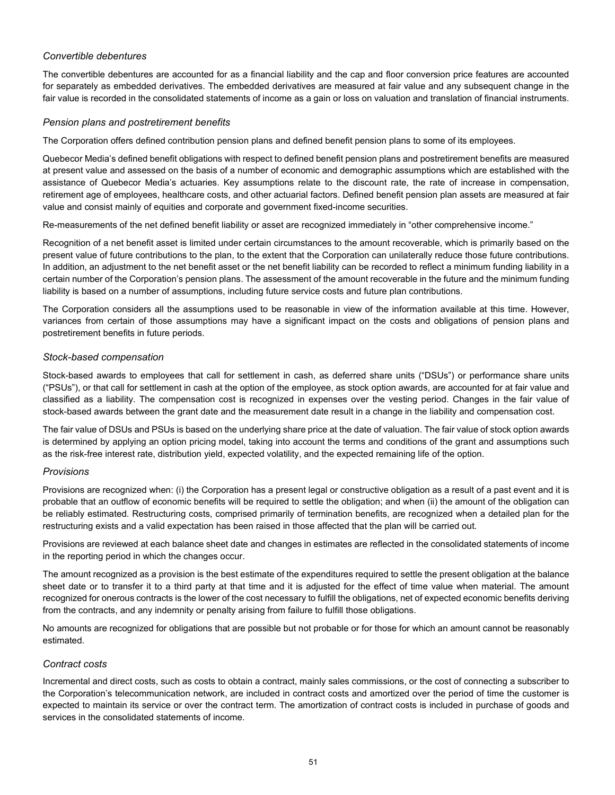# *Convertible debentures*

The convertible debentures are accounted for as a financial liability and the cap and floor conversion price features are accounted for separately as embedded derivatives. The embedded derivatives are measured at fair value and any subsequent change in the fair value is recorded in the consolidated statements of income as a gain or loss on valuation and translation of financial instruments.

# *Pension plans and postretirement benefits*

The Corporation offers defined contribution pension plans and defined benefit pension plans to some of its employees.

Quebecor Media's defined benefit obligations with respect to defined benefit pension plans and postretirement benefits are measured at present value and assessed on the basis of a number of economic and demographic assumptions which are established with the assistance of Quebecor Media's actuaries. Key assumptions relate to the discount rate, the rate of increase in compensation, retirement age of employees, healthcare costs, and other actuarial factors. Defined benefit pension plan assets are measured at fair value and consist mainly of equities and corporate and government fixed-income securities.

Re-measurements of the net defined benefit liability or asset are recognized immediately in "other comprehensive income."

Recognition of a net benefit asset is limited under certain circumstances to the amount recoverable, which is primarily based on the present value of future contributions to the plan, to the extent that the Corporation can unilaterally reduce those future contributions. In addition, an adjustment to the net benefit asset or the net benefit liability can be recorded to reflect a minimum funding liability in a certain number of the Corporation's pension plans. The assessment of the amount recoverable in the future and the minimum funding liability is based on a number of assumptions, including future service costs and future plan contributions.

The Corporation considers all the assumptions used to be reasonable in view of the information available at this time. However, variances from certain of those assumptions may have a significant impact on the costs and obligations of pension plans and postretirement benefits in future periods.

# *Stock-based compensation*

Stock-based awards to employees that call for settlement in cash, as deferred share units ("DSUs") or performance share units ("PSUs"), or that call for settlement in cash at the option of the employee, as stock option awards, are accounted for at fair value and classified as a liability. The compensation cost is recognized in expenses over the vesting period. Changes in the fair value of stock-based awards between the grant date and the measurement date result in a change in the liability and compensation cost.

The fair value of DSUs and PSUs is based on the underlying share price at the date of valuation. The fair value of stock option awards is determined by applying an option pricing model, taking into account the terms and conditions of the grant and assumptions such as the risk-free interest rate, distribution yield, expected volatility, and the expected remaining life of the option.

# *Provisions*

Provisions are recognized when: (i) the Corporation has a present legal or constructive obligation as a result of a past event and it is probable that an outflow of economic benefits will be required to settle the obligation; and when (ii) the amount of the obligation can be reliably estimated. Restructuring costs, comprised primarily of termination benefits, are recognized when a detailed plan for the restructuring exists and a valid expectation has been raised in those affected that the plan will be carried out.

Provisions are reviewed at each balance sheet date and changes in estimates are reflected in the consolidated statements of income in the reporting period in which the changes occur.

The amount recognized as a provision is the best estimate of the expenditures required to settle the present obligation at the balance sheet date or to transfer it to a third party at that time and it is adjusted for the effect of time value when material. The amount recognized for onerous contracts is the lower of the cost necessary to fulfill the obligations, net of expected economic benefits deriving from the contracts, and any indemnity or penalty arising from failure to fulfill those obligations.

No amounts are recognized for obligations that are possible but not probable or for those for which an amount cannot be reasonably estimated.

# *Contract costs*

Incremental and direct costs, such as costs to obtain a contract, mainly sales commissions, or the cost of connecting a subscriber to the Corporation's telecommunication network, are included in contract costs and amortized over the period of time the customer is expected to maintain its service or over the contract term. The amortization of contract costs is included in purchase of goods and services in the consolidated statements of income.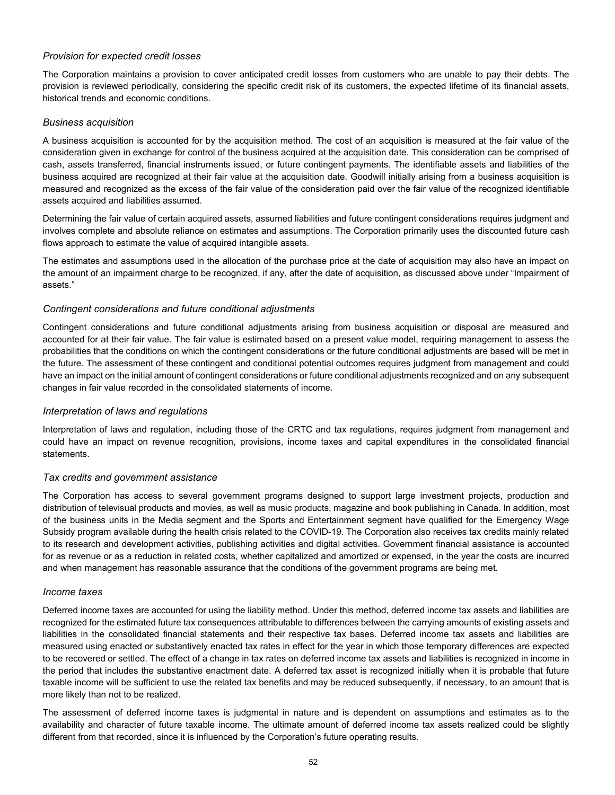# *Provision for expected credit losses*

The Corporation maintains a provision to cover anticipated credit losses from customers who are unable to pay their debts. The provision is reviewed periodically, considering the specific credit risk of its customers, the expected lifetime of its financial assets, historical trends and economic conditions.

# *Business acquisition*

A business acquisition is accounted for by the acquisition method. The cost of an acquisition is measured at the fair value of the consideration given in exchange for control of the business acquired at the acquisition date. This consideration can be comprised of cash, assets transferred, financial instruments issued, or future contingent payments. The identifiable assets and liabilities of the business acquired are recognized at their fair value at the acquisition date. Goodwill initially arising from a business acquisition is measured and recognized as the excess of the fair value of the consideration paid over the fair value of the recognized identifiable assets acquired and liabilities assumed.

Determining the fair value of certain acquired assets, assumed liabilities and future contingent considerations requires judgment and involves complete and absolute reliance on estimates and assumptions. The Corporation primarily uses the discounted future cash flows approach to estimate the value of acquired intangible assets.

The estimates and assumptions used in the allocation of the purchase price at the date of acquisition may also have an impact on the amount of an impairment charge to be recognized, if any, after the date of acquisition, as discussed above under "Impairment of assets."

# *Contingent considerations and future conditional adjustments*

Contingent considerations and future conditional adjustments arising from business acquisition or disposal are measured and accounted for at their fair value. The fair value is estimated based on a present value model, requiring management to assess the probabilities that the conditions on which the contingent considerations or the future conditional adjustments are based will be met in the future. The assessment of these contingent and conditional potential outcomes requires judgment from management and could have an impact on the initial amount of contingent considerations or future conditional adjustments recognized and on any subsequent changes in fair value recorded in the consolidated statements of income.

# *Interpretation of laws and regulations*

Interpretation of laws and regulation, including those of the CRTC and tax regulations, requires judgment from management and could have an impact on revenue recognition, provisions, income taxes and capital expenditures in the consolidated financial statements.

# *Tax credits and government assistance*

The Corporation has access to several government programs designed to support large investment projects, production and distribution of televisual products and movies, as well as music products, magazine and book publishing in Canada. In addition, most of the business units in the Media segment and the Sports and Entertainment segment have qualified for the Emergency Wage Subsidy program available during the health crisis related to the COVID-19. The Corporation also receives tax credits mainly related to its research and development activities, publishing activities and digital activities. Government financial assistance is accounted for as revenue or as a reduction in related costs, whether capitalized and amortized or expensed, in the year the costs are incurred and when management has reasonable assurance that the conditions of the government programs are being met.

# *Income taxes*

Deferred income taxes are accounted for using the liability method. Under this method, deferred income tax assets and liabilities are recognized for the estimated future tax consequences attributable to differences between the carrying amounts of existing assets and liabilities in the consolidated financial statements and their respective tax bases. Deferred income tax assets and liabilities are measured using enacted or substantively enacted tax rates in effect for the year in which those temporary differences are expected to be recovered or settled. The effect of a change in tax rates on deferred income tax assets and liabilities is recognized in income in the period that includes the substantive enactment date. A deferred tax asset is recognized initially when it is probable that future taxable income will be sufficient to use the related tax benefits and may be reduced subsequently, if necessary, to an amount that is more likely than not to be realized.

The assessment of deferred income taxes is judgmental in nature and is dependent on assumptions and estimates as to the availability and character of future taxable income. The ultimate amount of deferred income tax assets realized could be slightly different from that recorded, since it is influenced by the Corporation's future operating results.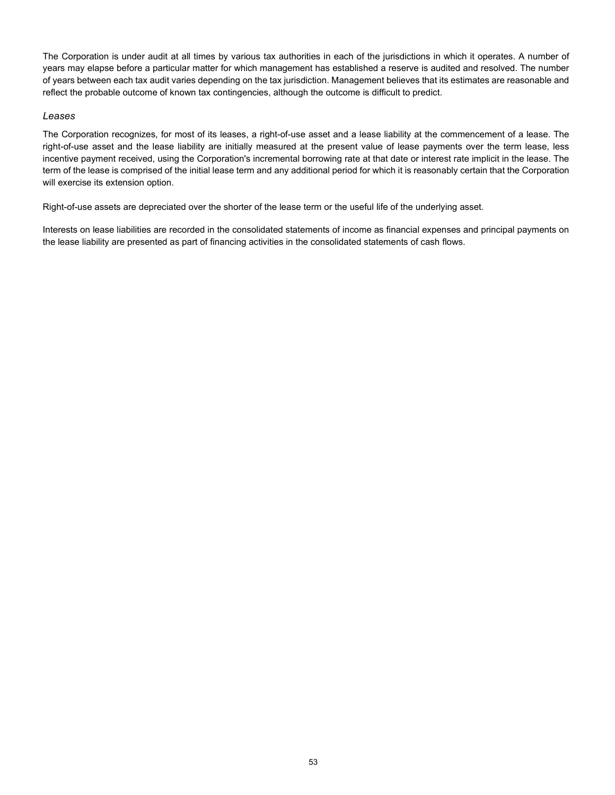The Corporation is under audit at all times by various tax authorities in each of the jurisdictions in which it operates. A number of years may elapse before a particular matter for which management has established a reserve is audited and resolved. The number of years between each tax audit varies depending on the tax jurisdiction. Management believes that its estimates are reasonable and reflect the probable outcome of known tax contingencies, although the outcome is difficult to predict.

#### *Leases*

The Corporation recognizes, for most of its leases, a right-of-use asset and a lease liability at the commencement of a lease. The right-of-use asset and the lease liability are initially measured at the present value of lease payments over the term lease, less incentive payment received, using the Corporation's incremental borrowing rate at that date or interest rate implicit in the lease. The term of the lease is comprised of the initial lease term and any additional period for which it is reasonably certain that the Corporation will exercise its extension option.

Right-of-use assets are depreciated over the shorter of the lease term or the useful life of the underlying asset.

Interests on lease liabilities are recorded in the consolidated statements of income as financial expenses and principal payments on the lease liability are presented as part of financing activities in the consolidated statements of cash flows.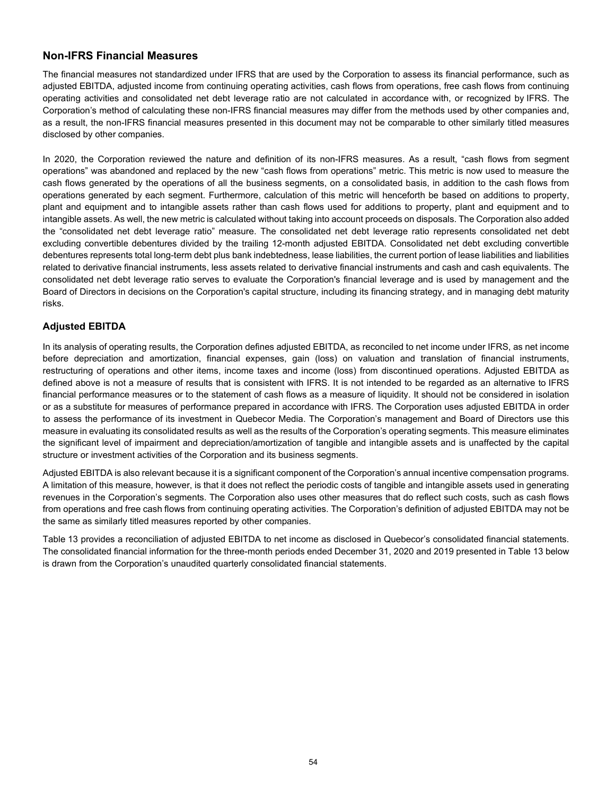# **Non-IFRS Financial Measures**

The financial measures not standardized under IFRS that are used by the Corporation to assess its financial performance, such as adjusted EBITDA, adjusted income from continuing operating activities, cash flows from operations, free cash flows from continuing operating activities and consolidated net debt leverage ratio are not calculated in accordance with, or recognized by IFRS. The Corporation's method of calculating these non-IFRS financial measures may differ from the methods used by other companies and, as a result, the non-IFRS financial measures presented in this document may not be comparable to other similarly titled measures disclosed by other companies.

In 2020, the Corporation reviewed the nature and definition of its non-IFRS measures. As a result, "cash flows from segment operations" was abandoned and replaced by the new "cash flows from operations" metric. This metric is now used to measure the cash flows generated by the operations of all the business segments, on a consolidated basis, in addition to the cash flows from operations generated by each segment. Furthermore, calculation of this metric will henceforth be based on additions to property, plant and equipment and to intangible assets rather than cash flows used for additions to property, plant and equipment and to intangible assets. As well, the new metric is calculated without taking into account proceeds on disposals. The Corporation also added the "consolidated net debt leverage ratio" measure. The consolidated net debt leverage ratio represents consolidated net debt excluding convertible debentures divided by the trailing 12-month adjusted EBITDA. Consolidated net debt excluding convertible debentures represents total long-term debt plus bank indebtedness, lease liabilities, the current portion of lease liabilities and liabilities related to derivative financial instruments, less assets related to derivative financial instruments and cash and cash equivalents. The consolidated net debt leverage ratio serves to evaluate the Corporation's financial leverage and is used by management and the Board of Directors in decisions on the Corporation's capital structure, including its financing strategy, and in managing debt maturity risks.

# **Adjusted EBITDA**

In its analysis of operating results, the Corporation defines adjusted EBITDA, as reconciled to net income under IFRS, as net income before depreciation and amortization, financial expenses, gain (loss) on valuation and translation of financial instruments, restructuring of operations and other items, income taxes and income (loss) from discontinued operations. Adjusted EBITDA as defined above is not a measure of results that is consistent with IFRS. It is not intended to be regarded as an alternative to IFRS financial performance measures or to the statement of cash flows as a measure of liquidity. It should not be considered in isolation or as a substitute for measures of performance prepared in accordance with IFRS. The Corporation uses adjusted EBITDA in order to assess the performance of its investment in Quebecor Media. The Corporation's management and Board of Directors use this measure in evaluating its consolidated results as well as the results of the Corporation's operating segments. This measure eliminates the significant level of impairment and depreciation/amortization of tangible and intangible assets and is unaffected by the capital structure or investment activities of the Corporation and its business segments.

Adjusted EBITDA is also relevant because it is a significant component of the Corporation's annual incentive compensation programs. A limitation of this measure, however, is that it does not reflect the periodic costs of tangible and intangible assets used in generating revenues in the Corporation's segments. The Corporation also uses other measures that do reflect such costs, such as cash flows from operations and free cash flows from continuing operating activities. The Corporation's definition of adjusted EBITDA may not be the same as similarly titled measures reported by other companies.

Table 13 provides a reconciliation of adjusted EBITDA to net income as disclosed in Quebecor's consolidated financial statements. The consolidated financial information for the three-month periods ended December 31, 2020 and 2019 presented in Table 13 below is drawn from the Corporation's unaudited quarterly consolidated financial statements.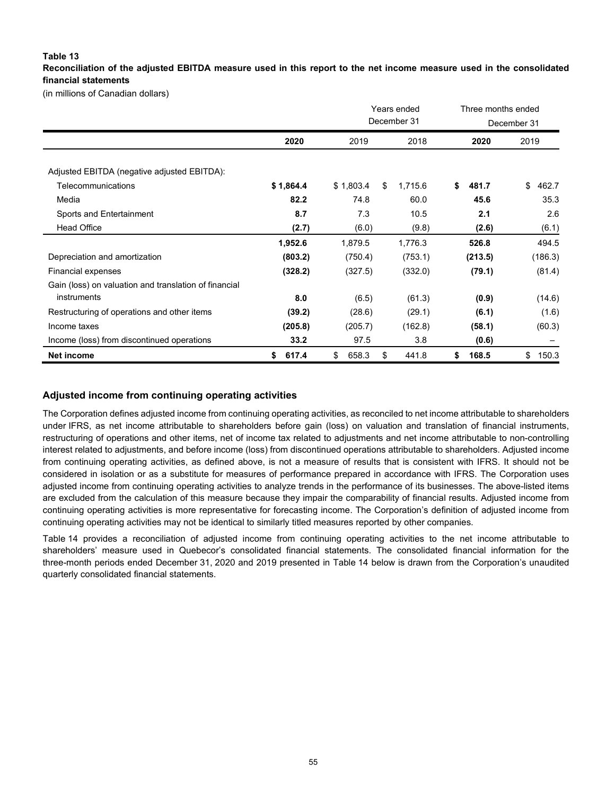**Reconciliation of the adjusted EBITDA measure used in this report to the net income measure used in the consolidated financial statements** 

(in millions of Canadian dollars)

|                                                       |             | Years ended<br>December 31 | Three months ended<br>December 31 |             |             |  |
|-------------------------------------------------------|-------------|----------------------------|-----------------------------------|-------------|-------------|--|
|                                                       | 2020        | 2019                       | 2018                              | 2020        | 2019        |  |
| Adjusted EBITDA (negative adjusted EBITDA):           |             |                            |                                   |             |             |  |
| Telecommunications                                    | \$1,864.4   | \$1,803.4                  | \$<br>1,715.6                     | \$<br>481.7 | \$<br>462.7 |  |
| Media                                                 | 82.2        | 74.8                       | 60.0                              | 45.6        | 35.3        |  |
| Sports and Entertainment                              | 8.7         | 7.3                        | 10.5                              | 2.1         | 2.6         |  |
| <b>Head Office</b>                                    | (2.7)       | (6.0)                      | (9.8)                             | (2.6)       | (6.1)       |  |
|                                                       | 1,952.6     | 1,879.5                    | 1,776.3                           | 526.8       | 494.5       |  |
| Depreciation and amortization                         | (803.2)     | (750.4)                    | (753.1)                           | (213.5)     | (186.3)     |  |
| Financial expenses                                    | (328.2)     | (327.5)                    | (332.0)                           | (79.1)      | (81.4)      |  |
| Gain (loss) on valuation and translation of financial |             |                            |                                   |             |             |  |
| instruments                                           | 8.0         | (6.5)                      | (61.3)                            | (0.9)       | (14.6)      |  |
| Restructuring of operations and other items           | (39.2)      | (28.6)                     | (29.1)                            | (6.1)       | (1.6)       |  |
| Income taxes                                          | (205.8)     | (205.7)                    | (162.8)                           | (58.1)      | (60.3)      |  |
| Income (loss) from discontinued operations            | 33.2        | 97.5                       | 3.8                               | (0.6)       |             |  |
| Net income                                            | 617.4<br>\$ | 658.3<br>\$                | 441.8<br>\$                       | 168.5<br>\$ | 150.3<br>\$ |  |

# **Adjusted income from continuing operating activities**

The Corporation defines adjusted income from continuing operating activities, as reconciled to net income attributable to shareholders under IFRS, as net income attributable to shareholders before gain (loss) on valuation and translation of financial instruments, restructuring of operations and other items, net of income tax related to adjustments and net income attributable to non-controlling interest related to adjustments, and before income (loss) from discontinued operations attributable to shareholders. Adjusted income from continuing operating activities, as defined above, is not a measure of results that is consistent with IFRS. It should not be considered in isolation or as a substitute for measures of performance prepared in accordance with IFRS. The Corporation uses adjusted income from continuing operating activities to analyze trends in the performance of its businesses. The above-listed items are excluded from the calculation of this measure because they impair the comparability of financial results. Adjusted income from continuing operating activities is more representative for forecasting income. The Corporation's definition of adjusted income from continuing operating activities may not be identical to similarly titled measures reported by other companies.

Table 14 provides a reconciliation of adjusted income from continuing operating activities to the net income attributable to shareholders' measure used in Quebecor's consolidated financial statements. The consolidated financial information for the three-month periods ended December 31, 2020 and 2019 presented in Table 14 below is drawn from the Corporation's unaudited quarterly consolidated financial statements.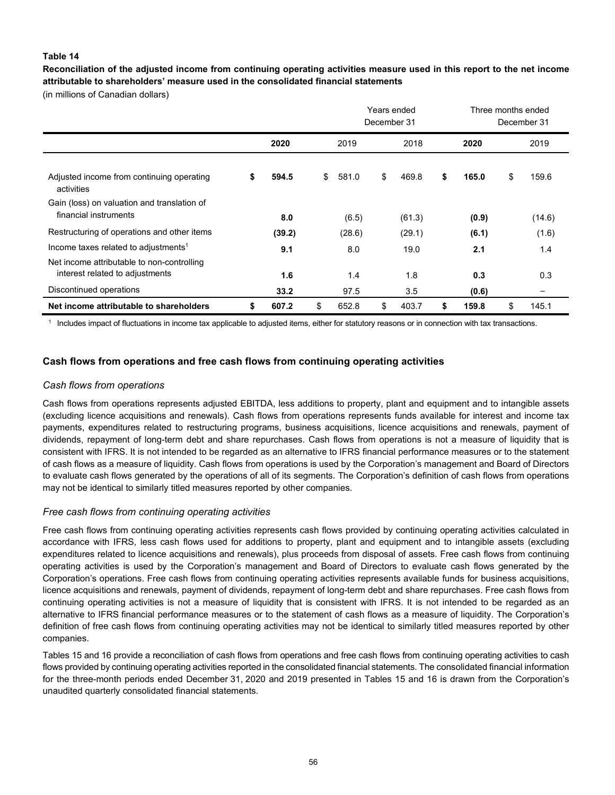**Reconciliation of the adjusted income from continuing operating activities measure used in this report to the net income attributable to shareholders' measure used in the consolidated financial statements** 

(in millions of Canadian dollars)

|                                                                               |             | Years ended<br>December 31 |    |        |    |       | Three months ended<br>December 31 |        |  |  |
|-------------------------------------------------------------------------------|-------------|----------------------------|----|--------|----|-------|-----------------------------------|--------|--|--|
|                                                                               | 2020        | 2019                       |    | 2018   |    | 2020  |                                   | 2019   |  |  |
| Adjusted income from continuing operating<br>activities                       | \$<br>594.5 | \$<br>581.0                | \$ | 469.8  | \$ | 165.0 | \$                                | 159.6  |  |  |
| Gain (loss) on valuation and translation of<br>financial instruments          | 8.0         | (6.5)                      |    | (61.3) |    | (0.9) |                                   | (14.6) |  |  |
| Restructuring of operations and other items                                   | (39.2)      | (28.6)                     |    | (29.1) |    | (6.1) |                                   | (1.6)  |  |  |
| Income taxes related to adjustments <sup>1</sup>                              | 9.1         | 8.0                        |    | 19.0   |    | 2.1   |                                   | 1.4    |  |  |
| Net income attributable to non-controlling<br>interest related to adjustments | 1.6         | 1.4                        |    | 1.8    |    | 0.3   |                                   | 0.3    |  |  |
| Discontinued operations                                                       | 33.2        | 97.5                       |    | 3.5    |    | (0.6) |                                   |        |  |  |
| Net income attributable to shareholders                                       | \$<br>607.2 | \$<br>652.8                | \$ | 403.7  | \$ | 159.8 | \$                                | 145.1  |  |  |

<sup>1</sup> Includes impact of fluctuations in income tax applicable to adjusted items, either for statutory reasons or in connection with tax transactions.

# **Cash flows from operations and free cash flows from continuing operating activities**

# *Cash flows from operations*

Cash flows from operations represents adjusted EBITDA, less additions to property, plant and equipment and to intangible assets (excluding licence acquisitions and renewals). Cash flows from operations represents funds available for interest and income tax payments, expenditures related to restructuring programs, business acquisitions, licence acquisitions and renewals, payment of dividends, repayment of long-term debt and share repurchases. Cash flows from operations is not a measure of liquidity that is consistent with IFRS. It is not intended to be regarded as an alternative to IFRS financial performance measures or to the statement of cash flows as a measure of liquidity. Cash flows from operations is used by the Corporation's management and Board of Directors to evaluate cash flows generated by the operations of all of its segments. The Corporation's definition of cash flows from operations may not be identical to similarly titled measures reported by other companies.

# *Free cash flows from continuing operating activities*

Free cash flows from continuing operating activities represents cash flows provided by continuing operating activities calculated in accordance with IFRS, less cash flows used for additions to property, plant and equipment and to intangible assets (excluding expenditures related to licence acquisitions and renewals), plus proceeds from disposal of assets. Free cash flows from continuing operating activities is used by the Corporation's management and Board of Directors to evaluate cash flows generated by the Corporation's operations. Free cash flows from continuing operating activities represents available funds for business acquisitions, licence acquisitions and renewals, payment of dividends, repayment of long-term debt and share repurchases. Free cash flows from continuing operating activities is not a measure of liquidity that is consistent with IFRS. It is not intended to be regarded as an alternative to IFRS financial performance measures or to the statement of cash flows as a measure of liquidity. The Corporation's definition of free cash flows from continuing operating activities may not be identical to similarly titled measures reported by other companies.

Tables 15 and 16 provide a reconciliation of cash flows from operations and free cash flows from continuing operating activities to cash flows provided by continuing operating activities reported in the consolidated financial statements. The consolidated financial information for the three-month periods ended December 31, 2020 and 2019 presented in Tables 15 and 16 is drawn from the Corporation's unaudited quarterly consolidated financial statements.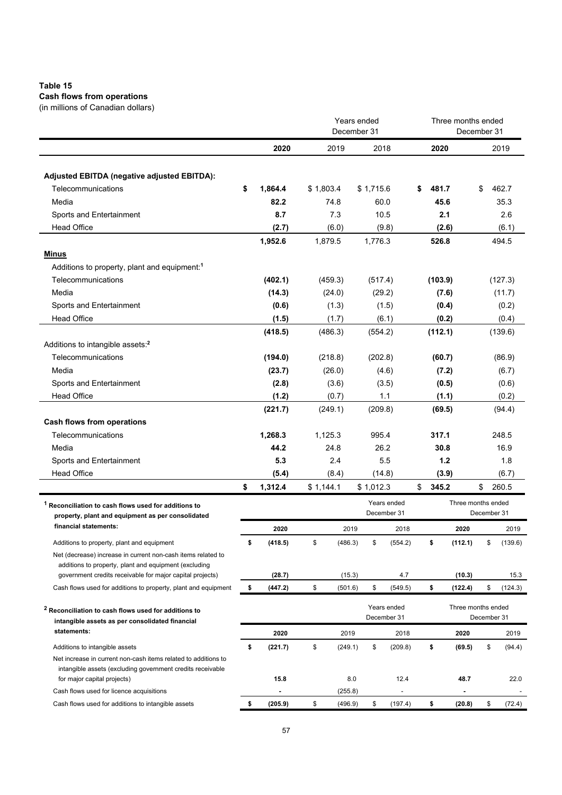**Cash flows from operations** 

(in millions of Canadian dollars)

|                                                                                                                       |               | Years ended<br>December 31 |         |           |                            |    | Three months ended | December 31 |         |
|-----------------------------------------------------------------------------------------------------------------------|---------------|----------------------------|---------|-----------|----------------------------|----|--------------------|-------------|---------|
|                                                                                                                       | 2020          |                            | 2019    | 2018      |                            |    | 2020               |             | 2019    |
|                                                                                                                       |               |                            |         |           |                            |    |                    |             |         |
| Adjusted EBITDA (negative adjusted EBITDA):                                                                           |               |                            |         |           |                            |    |                    |             |         |
| Telecommunications                                                                                                    | \$<br>1,864.4 | \$1,803.4                  |         | \$1,715.6 |                            | S. | 481.7              | \$          | 462.7   |
| Media                                                                                                                 | 82.2<br>8.7   |                            | 74.8    | 60.0      |                            |    | 45.6<br>2.1        |             | 35.3    |
| Sports and Entertainment                                                                                              |               |                            | 7.3     | 10.5      |                            |    |                    |             | 2.6     |
| <b>Head Office</b>                                                                                                    | (2.7)         |                            | (6.0)   |           | (9.8)                      |    | (2.6)              |             | (6.1)   |
|                                                                                                                       | 1,952.6       |                            | 1,879.5 | 1,776.3   |                            |    | 526.8              |             | 494.5   |
| <u>Minus</u>                                                                                                          |               |                            |         |           |                            |    |                    |             |         |
| Additions to property, plant and equipment: <sup>1</sup>                                                              |               |                            |         |           |                            |    |                    |             |         |
| Telecommunications                                                                                                    | (402.1)       |                            | (459.3) | (517.4)   |                            |    | (103.9)            |             | (127.3) |
| Media                                                                                                                 | (14.3)        |                            | (24.0)  | (29.2)    |                            |    | (7.6)              |             | (11.7)  |
| Sports and Entertainment                                                                                              | (0.6)         |                            | (1.3)   |           | (1.5)                      |    | (0.4)              |             | (0.2)   |
| <b>Head Office</b>                                                                                                    | (1.5)         |                            | (1.7)   |           | (6.1)                      |    | (0.2)              |             | (0.4)   |
|                                                                                                                       | (418.5)       |                            | (486.3) | (554.2)   |                            |    | (112.1)            |             | (139.6) |
| Additions to intangible assets: <sup>2</sup>                                                                          |               |                            |         |           |                            |    |                    |             |         |
| Telecommunications                                                                                                    | (194.0)       |                            | (218.8) | (202.8)   |                            |    | (60.7)             |             | (86.9)  |
| Media                                                                                                                 | (23.7)        |                            | (26.0)  |           | (4.6)                      |    | (7.2)              |             | (6.7)   |
| Sports and Entertainment                                                                                              | (2.8)         |                            | (3.6)   |           | (3.5)                      |    | (0.5)              |             | (0.6)   |
| <b>Head Office</b>                                                                                                    | (1.2)         |                            | (0.7)   |           | 1.1                        |    | (1.1)              |             | (0.2)   |
|                                                                                                                       | (221.7)       |                            | (249.1) | (209.8)   |                            |    | (69.5)             |             | (94.4)  |
| <b>Cash flows from operations</b>                                                                                     |               |                            |         |           |                            |    |                    |             |         |
| Telecommunications                                                                                                    | 1,268.3       |                            | 1,125.3 | 995.4     |                            |    | 317.1              |             | 248.5   |
| Media                                                                                                                 | 44.2          |                            | 24.8    | 26.2      |                            |    | 30.8               |             | 16.9    |
| Sports and Entertainment                                                                                              | 5.3           |                            | 2.4     |           | 5.5                        |    | 1.2                |             | 1.8     |
| <b>Head Office</b>                                                                                                    | (5.4)         |                            | (8.4)   | (14.8)    |                            |    | (3.9)              |             | (6.7)   |
|                                                                                                                       | \$<br>1,312.4 | \$1,144.1                  |         | \$1,012.3 |                            | \$ | 345.2              | \$          | 260.5   |
| <sup>1</sup> Reconciliation to cash flows used for additions to                                                       |               |                            |         |           | Years ended<br>December 31 |    | Three months ended | December 31 |         |
| property, plant and equipment as per consolidated<br>financial statements:                                            |               |                            |         |           |                            |    |                    |             |         |
|                                                                                                                       | 2020          |                            | 2019    |           | 2018                       |    | 2020               |             | 2019    |
| Additions to property, plant and equipment                                                                            | \$<br>(418.5) | \$                         | (486.3) | \$        | (554.2)                    | \$ | (112.1)            | \$          | (139.6) |
| Net (decrease) increase in current non-cash items related to<br>additions to property, plant and equipment (excluding |               |                            |         |           |                            |    |                    |             |         |
| government credits receivable for major capital projects)                                                             | (28.7)        |                            | (15.3)  |           | 4.7                        |    | (10.3)             |             | 15.3    |
| Cash flows used for additions to property, plant and equipment                                                        | \$<br>(447.2) | \$                         | (501.6) | \$        | (549.5)                    | \$ | (122.4)            | \$          | (124.3) |
|                                                                                                                       |               |                            |         |           |                            |    |                    |             |         |
| <sup>2</sup> Reconciliation to cash flows used for additions to                                                       |               |                            |         |           | Years ended<br>December 31 |    | Three months ended | December 31 |         |
| intangible assets as per consolidated financial                                                                       |               |                            |         |           |                            |    |                    |             |         |
| statements:                                                                                                           | 2020          |                            | 2019    |           | 2018                       |    | 2020               |             | 2019    |
| Additions to intangible assets                                                                                        | \$<br>(221.7) | \$                         | (249.1) | \$        | (209.8)                    | \$ | (69.5)             | \$          | (94.4)  |
| Net increase in current non-cash items related to additions to                                                        |               |                            |         |           |                            |    |                    |             |         |
| intangible assets (excluding government credits receivable<br>for major capital projects)                             | 15.8          |                            | 8.0     |           | 12.4                       |    | 48.7               |             | 22.0    |
| Cash flows used for licence acquisitions                                                                              | ٠             |                            | (255.8) |           | $\overline{\phantom{a}}$   |    |                    |             |         |
| Cash flows used for additions to intangible assets                                                                    | \$<br>(205.9) | \$                         | (496.9) | \$        | (197.4)                    | \$ | (20.8)             | \$          | (72.4)  |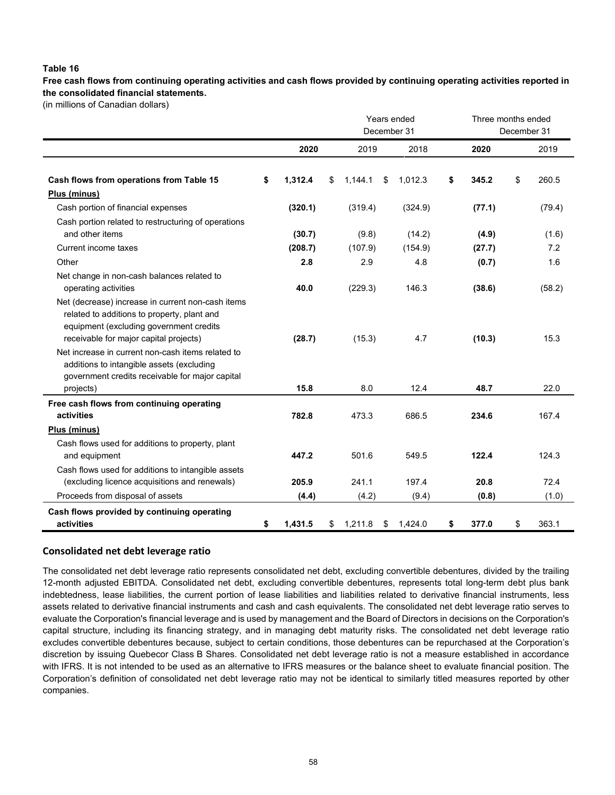**Free cash flows from continuing operating activities and cash flows provided by continuing operating activities reported in the consolidated financial statements.**

(in millions of Canadian dollars)

|                                                                                                                                                                                       | Years ended<br>December 31 |    |         |    |         |    |        | Three months ended<br>December 31 |        |
|---------------------------------------------------------------------------------------------------------------------------------------------------------------------------------------|----------------------------|----|---------|----|---------|----|--------|-----------------------------------|--------|
|                                                                                                                                                                                       | 2020                       |    | 2019    |    | 2018    |    | 2020   |                                   | 2019   |
| Cash flows from operations from Table 15<br>Plus (minus)                                                                                                                              | \$<br>1,312.4              | \$ | 1,144.1 | \$ | 1,012.3 | \$ | 345.2  | \$                                | 260.5  |
| Cash portion of financial expenses<br>Cash portion related to restructuring of operations                                                                                             | (320.1)                    |    | (319.4) |    | (324.9) |    | (77.1) |                                   | (79.4) |
| and other items                                                                                                                                                                       | (30.7)                     |    | (9.8)   |    | (14.2)  |    | (4.9)  |                                   | (1.6)  |
| Current income taxes                                                                                                                                                                  | (208.7)                    |    | (107.9) |    | (154.9) |    | (27.7) |                                   | 7.2    |
| Other                                                                                                                                                                                 | 2.8                        |    | 2.9     |    | 4.8     |    | (0.7)  |                                   | 1.6    |
| Net change in non-cash balances related to<br>operating activities                                                                                                                    | 40.0                       |    | (229.3) |    | 146.3   |    | (38.6) |                                   | (58.2) |
| Net (decrease) increase in current non-cash items<br>related to additions to property, plant and<br>equipment (excluding government credits<br>receivable for major capital projects) | (28.7)                     |    | (15.3)  |    | 4.7     |    | (10.3) |                                   | 15.3   |
| Net increase in current non-cash items related to<br>additions to intangible assets (excluding<br>government credits receivable for major capital<br>projects)                        | 15.8                       |    | 8.0     |    | 12.4    |    | 48.7   |                                   | 22.0   |
| Free cash flows from continuing operating                                                                                                                                             |                            |    |         |    |         |    |        |                                   |        |
| activities                                                                                                                                                                            | 782.8                      |    | 473.3   |    | 686.5   |    | 234.6  |                                   | 167.4  |
| Plus (minus)                                                                                                                                                                          |                            |    |         |    |         |    |        |                                   |        |
| Cash flows used for additions to property, plant<br>and equipment                                                                                                                     | 447.2                      |    | 501.6   |    | 549.5   |    | 122.4  |                                   | 124.3  |
| Cash flows used for additions to intangible assets<br>(excluding licence acquisitions and renewals)                                                                                   | 205.9                      |    | 241.1   |    | 197.4   |    | 20.8   |                                   | 72.4   |
| Proceeds from disposal of assets                                                                                                                                                      | (4.4)                      |    | (4.2)   |    | (9.4)   |    | (0.8)  |                                   | (1.0)  |
| Cash flows provided by continuing operating                                                                                                                                           |                            |    |         |    |         |    |        |                                   |        |
| activities                                                                                                                                                                            | \$<br>1,431.5              | \$ | 1,211.8 | \$ | 1,424.0 | \$ | 377.0  | \$                                | 363.1  |

# **Consolidated net debt leverage ratio**

The consolidated net debt leverage ratio represents consolidated net debt, excluding convertible debentures, divided by the trailing 12-month adjusted EBITDA. Consolidated net debt, excluding convertible debentures, represents total long-term debt plus bank indebtedness, lease liabilities, the current portion of lease liabilities and liabilities related to derivative financial instruments, less assets related to derivative financial instruments and cash and cash equivalents. The consolidated net debt leverage ratio serves to evaluate the Corporation's financial leverage and is used by management and the Board of Directors in decisions on the Corporation's capital structure, including its financing strategy, and in managing debt maturity risks. The consolidated net debt leverage ratio excludes convertible debentures because, subject to certain conditions, those debentures can be repurchased at the Corporation's discretion by issuing Quebecor Class B Shares. Consolidated net debt leverage ratio is not a measure established in accordance with IFRS. It is not intended to be used as an alternative to IFRS measures or the balance sheet to evaluate financial position. The Corporation's definition of consolidated net debt leverage ratio may not be identical to similarly titled measures reported by other companies.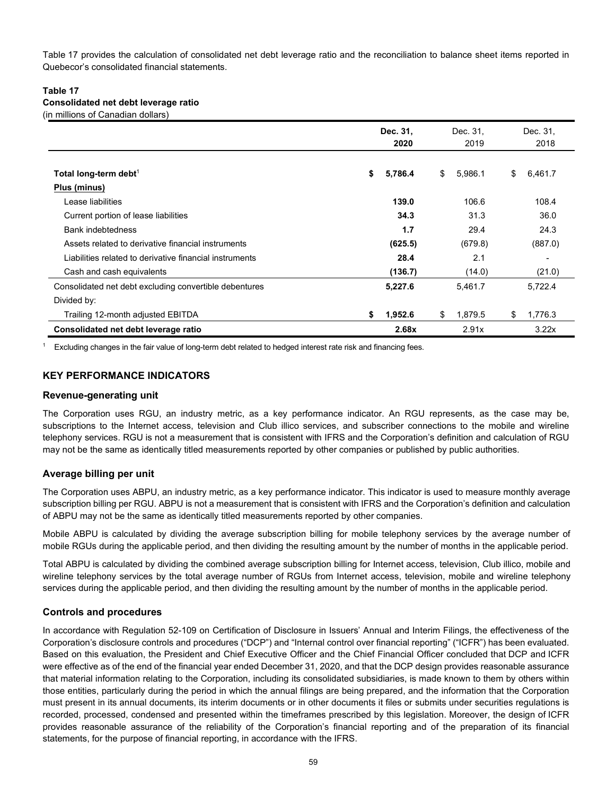Table 17 provides the calculation of consolidated net debt leverage ratio and the reconciliation to balance sheet items reported in Quebecor's consolidated financial statements.

#### **Table 17 Consolidated net debt leverage ratio**

(in millions of Canadian dollars)

|                                                         | Dec. 31,<br>2020 | Dec. 31,<br>2019 | Dec. 31,<br>2018 |
|---------------------------------------------------------|------------------|------------------|------------------|
|                                                         |                  |                  |                  |
| Total long-term debt <sup>1</sup>                       | \$<br>5,786.4    | \$<br>5,986.1    | \$<br>6,461.7    |
| Plus (minus)                                            |                  |                  |                  |
| Lease liabilities                                       | 139.0            | 106.6            | 108.4            |
| Current portion of lease liabilities                    | 34.3             | 31.3             | 36.0             |
| <b>Bank indebtedness</b>                                | 1.7              | 29.4             | 24.3             |
| Assets related to derivative financial instruments      | (625.5)          | (679.8)          | (887.0)          |
| Liabilities related to derivative financial instruments | 28.4             | 2.1              |                  |
| Cash and cash equivalents                               | (136.7)          | (14.0)           | (21.0)           |
| Consolidated net debt excluding convertible debentures  | 5,227.6          | 5,461.7          | 5,722.4          |
| Divided by:                                             |                  |                  |                  |
| Trailing 12-month adjusted EBITDA                       | 1,952.6<br>\$    | \$<br>1,879.5    | 1,776.3<br>\$    |
| Consolidated net debt leverage ratio                    | 2.68x            | 2.91x            | 3.22x            |

 $1$  Excluding changes in the fair value of long-term debt related to hedged interest rate risk and financing fees.

# **KEY PERFORMANCE INDICATORS**

#### **Revenue-generating unit**

The Corporation uses RGU, an industry metric, as a key performance indicator. An RGU represents, as the case may be, subscriptions to the Internet access, television and Club illico services, and subscriber connections to the mobile and wireline telephony services. RGU is not a measurement that is consistent with IFRS and the Corporation's definition and calculation of RGU may not be the same as identically titled measurements reported by other companies or published by public authorities.

# **Average billing per unit**

The Corporation uses ABPU, an industry metric, as a key performance indicator. This indicator is used to measure monthly average subscription billing per RGU. ABPU is not a measurement that is consistent with IFRS and the Corporation's definition and calculation of ABPU may not be the same as identically titled measurements reported by other companies.

Mobile ABPU is calculated by dividing the average subscription billing for mobile telephony services by the average number of mobile RGUs during the applicable period, and then dividing the resulting amount by the number of months in the applicable period.

Total ABPU is calculated by dividing the combined average subscription billing for Internet access, television, Club illico, mobile and wireline telephony services by the total average number of RGUs from Internet access, television, mobile and wireline telephony services during the applicable period, and then dividing the resulting amount by the number of months in the applicable period.

# **Controls and procedures**

In accordance with Regulation 52-109 on Certification of Disclosure in Issuers' Annual and Interim Filings, the effectiveness of the Corporation's disclosure controls and procedures ("DCP") and "Internal control over financial reporting" ("ICFR") has been evaluated. Based on this evaluation, the President and Chief Executive Officer and the Chief Financial Officer concluded that DCP and ICFR were effective as of the end of the financial year ended December 31, 2020, and that the DCP design provides reasonable assurance that material information relating to the Corporation, including its consolidated subsidiaries, is made known to them by others within those entities, particularly during the period in which the annual filings are being prepared, and the information that the Corporation must present in its annual documents, its interim documents or in other documents it files or submits under securities regulations is recorded, processed, condensed and presented within the timeframes prescribed by this legislation. Moreover, the design of ICFR provides reasonable assurance of the reliability of the Corporation's financial reporting and of the preparation of its financial statements, for the purpose of financial reporting, in accordance with the IFRS.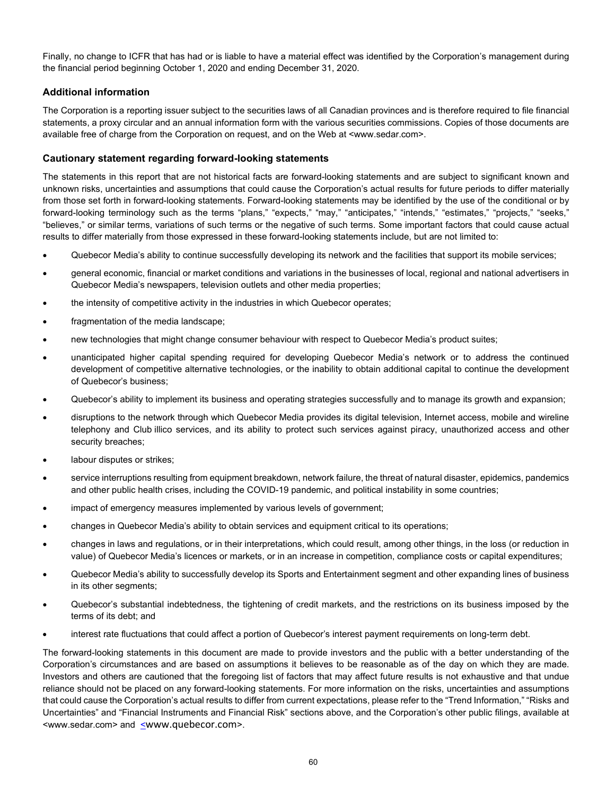Finally, no change to ICFR that has had or is liable to have a material effect was identified by the Corporation's management during the financial period beginning October 1, 2020 and ending December 31, 2020.

# **Additional information**

The Corporation is a reporting issuer subject to the securities laws of all Canadian provinces and is therefore required to file financial statements, a proxy circular and an annual information form with the various securities commissions. Copies of those documents are available free of charge from the Corporation on request, and on the Web at <www.sedar.com>.

# **Cautionary statement regarding forward-looking statements**

The statements in this report that are not historical facts are forward-looking statements and are subject to significant known and unknown risks, uncertainties and assumptions that could cause the Corporation's actual results for future periods to differ materially from those set forth in forward-looking statements. Forward-looking statements may be identified by the use of the conditional or by forward-looking terminology such as the terms "plans," "expects," "may," "anticipates," "intends," "estimates," "projects," "seeks," "believes," or similar terms, variations of such terms or the negative of such terms. Some important factors that could cause actual results to differ materially from those expressed in these forward-looking statements include, but are not limited to:

- Quebecor Media's ability to continue successfully developing its network and the facilities that support its mobile services;
- general economic, financial or market conditions and variations in the businesses of local, regional and national advertisers in Quebecor Media's newspapers, television outlets and other media properties;
- the intensity of competitive activity in the industries in which Quebecor operates;
- fragmentation of the media landscape;
- new technologies that might change consumer behaviour with respect to Quebecor Media's product suites;
- unanticipated higher capital spending required for developing Quebecor Media's network or to address the continued development of competitive alternative technologies, or the inability to obtain additional capital to continue the development of Quebecor's business;
- Quebecor's ability to implement its business and operating strategies successfully and to manage its growth and expansion;
- disruptions to the network through which Quebecor Media provides its digital television, Internet access, mobile and wireline telephony and Club illico services, and its ability to protect such services against piracy, unauthorized access and other security breaches;
- labour disputes or strikes;
- service interruptions resulting from equipment breakdown, network failure, the threat of natural disaster, epidemics, pandemics and other public health crises, including the COVID-19 pandemic, and political instability in some countries;
- impact of emergency measures implemented by various levels of government;
- changes in Quebecor Media's ability to obtain services and equipment critical to its operations;
- changes in laws and regulations, or in their interpretations, which could result, among other things, in the loss (or reduction in value) of Quebecor Media's licences or markets, or in an increase in competition, compliance costs or capital expenditures;
- Quebecor Media's ability to successfully develop its Sports and Entertainment segment and other expanding lines of business in its other segments;
- Quebecor's substantial indebtedness, the tightening of credit markets, and the restrictions on its business imposed by the terms of its debt; and
- interest rate fluctuations that could affect a portion of Quebecor's interest payment requirements on long-term debt.

The forward-looking statements in this document are made to provide investors and the public with a better understanding of the Corporation's circumstances and are based on assumptions it believes to be reasonable as of the day on which they are made. Investors and others are cautioned that the foregoing list of factors that may affect future results is not exhaustive and that undue reliance should not be placed on any forward-looking statements. For more information on the risks, uncertainties and assumptions that could cause the Corporation's actual results to differ from current expectations, please refer to the "Trend Information," "Risks and Uncertainties" and "Financial Instruments and Financial Risk" sections above, and the Corporation's other public filings, available at <www.sedar.com> and <www.quebecor.com>.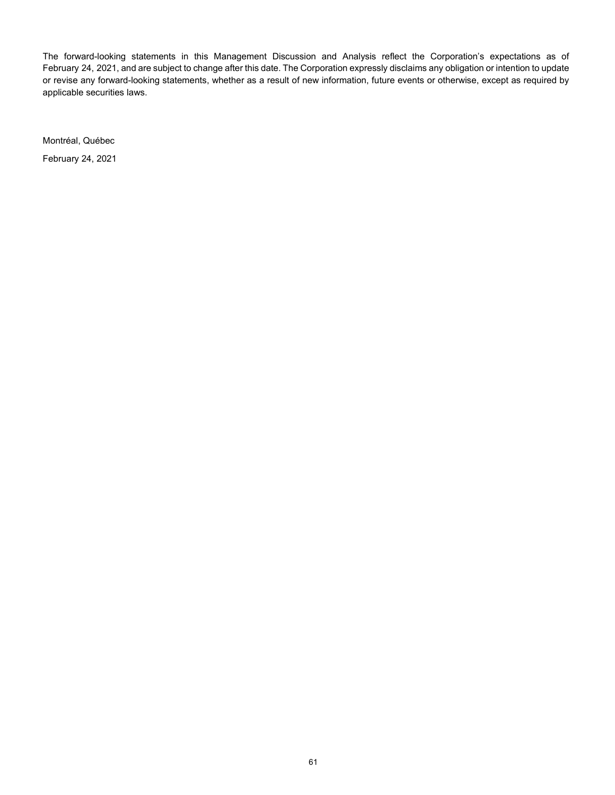The forward-looking statements in this Management Discussion and Analysis reflect the Corporation's expectations as of February 24, 2021, and are subject to change after this date. The Corporation expressly disclaims any obligation or intention to update or revise any forward-looking statements, whether as a result of new information, future events or otherwise, except as required by applicable securities laws.

Montréal, Québec

February 24, 2021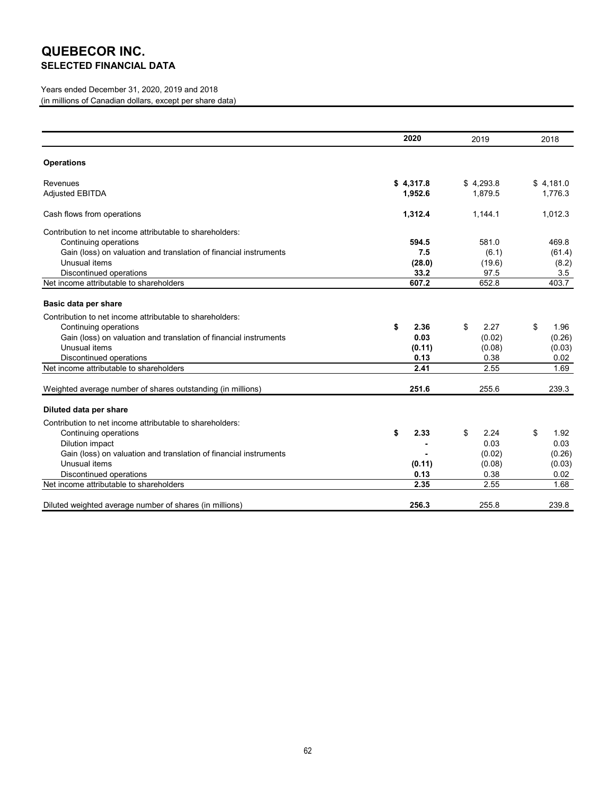# **QUEBECOR INC. SELECTED FINANCIAL DATA**

Years ended December 31, 2020, 2019 and 2018 (in millions of Canadian dollars, except per share data)

|                                                                   | 2020       | 2019       | 2018       |
|-------------------------------------------------------------------|------------|------------|------------|
| <b>Operations</b>                                                 |            |            |            |
| Revenues                                                          | \$4,317.8  | \$4,293.8  | \$4,181.0  |
| <b>Adjusted EBITDA</b>                                            | 1,952.6    | 1.879.5    | 1,776.3    |
| Cash flows from operations                                        | 1,312.4    | 1,144.1    | 1,012.3    |
| Contribution to net income attributable to shareholders:          |            |            |            |
| Continuing operations                                             | 594.5      | 581.0      | 469.8      |
| Gain (loss) on valuation and translation of financial instruments | 7.5        | (6.1)      | (61.4)     |
| Unusual items                                                     | (28.0)     | (19.6)     | (8.2)      |
| Discontinued operations                                           | 33.2       | 97.5       | 3.5        |
| Net income attributable to shareholders                           | 607.2      | 652.8      | 403.7      |
| Basic data per share                                              |            |            |            |
| Contribution to net income attributable to shareholders:          |            |            |            |
| Continuing operations                                             | \$<br>2.36 | \$<br>2.27 | \$<br>1.96 |
| Gain (loss) on valuation and translation of financial instruments | 0.03       | (0.02)     | (0.26)     |
| Unusual items                                                     | (0.11)     | (0.08)     | (0.03)     |
| Discontinued operations                                           | 0.13       | 0.38       | 0.02       |
| Net income attributable to shareholders                           | 2.41       | 2.55       | 1.69       |
|                                                                   |            |            |            |
| Weighted average number of shares outstanding (in millions)       | 251.6      | 255.6      | 239.3      |
| Diluted data per share                                            |            |            |            |
| Contribution to net income attributable to shareholders:          |            |            |            |
| Continuing operations                                             | \$<br>2.33 | \$<br>2.24 | \$<br>1.92 |
| Dilution impact                                                   |            | 0.03       | 0.03       |
| Gain (loss) on valuation and translation of financial instruments |            | (0.02)     | (0.26)     |
| Unusual items                                                     | (0.11)     | (0.08)     | (0.03)     |
| Discontinued operations                                           | 0.13       | 0.38       | 0.02       |
| Net income attributable to shareholders                           | 2.35       | 2.55       | 1.68       |
|                                                                   |            |            |            |
| Diluted weighted average number of shares (in millions)           | 256.3      | 255.8      | 239.8      |